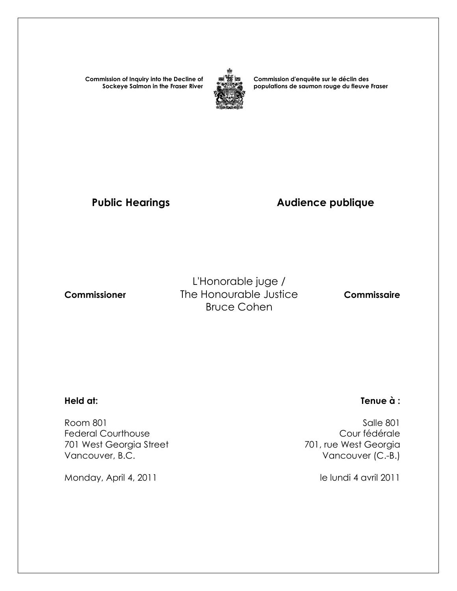**Commission of Inquiry into the Decline of Sockeye Salmon in the Fraser River**



**Commission d'enquête sur le déclin des populations de saumon rouge du fleuve Fraser** 

# Public Hearings **Audience publique**

L'Honorable juge /  **Commissioner** The Honourable Justice **Commissaire** Bruce Cohen

 Room 801 Salle 801 Federal Courthouse<br>
701 west Georgia Street<br>
701 west Georgia Street<br>
201 west Georgia 701 West Georgia Street Vancouver, B.C. **Vancouver (C.-B.)** 

Monday, April 4, 2011 and 1990 and 1990 and 1990 and 1990 and 1990 and 1990 and 1990 and 1990 and 1990 and 19

### **Held at: Tenue à :**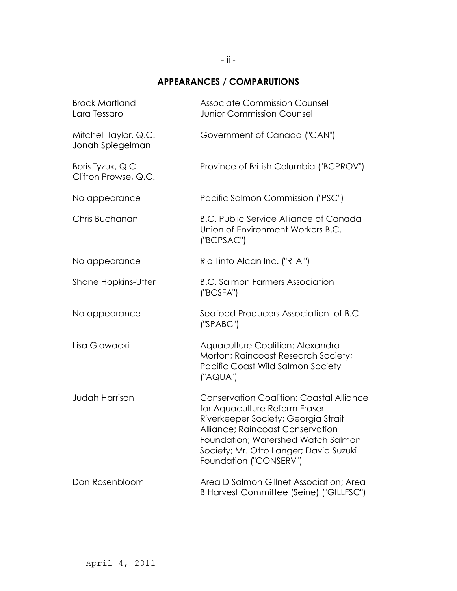## **APPEARANCES / COMPARUTIONS**

| <b>Brock Martland</b><br>Lara Tessaro     | <b>Associate Commission Counsel</b><br><b>Junior Commission Counsel</b>                                                                                                                                                                                               |
|-------------------------------------------|-----------------------------------------------------------------------------------------------------------------------------------------------------------------------------------------------------------------------------------------------------------------------|
| Mitchell Taylor, Q.C.<br>Jonah Spiegelman | Government of Canada ("CAN")                                                                                                                                                                                                                                          |
| Boris Tyzuk, Q.C.<br>Clifton Prowse, Q.C. | Province of British Columbia ("BCPROV")                                                                                                                                                                                                                               |
| No appearance                             | Pacific Salmon Commission ("PSC")                                                                                                                                                                                                                                     |
| Chris Buchanan                            | <b>B.C. Public Service Alliance of Canada</b><br>Union of Environment Workers B.C.<br>('BCPSAC")                                                                                                                                                                      |
| No appearance                             | Rio Tinto Alcan Inc. ("RTAI")                                                                                                                                                                                                                                         |
| <b>Shane Hopkins-Utter</b>                | <b>B.C. Salmon Farmers Association</b><br>('BCSFA")                                                                                                                                                                                                                   |
| No appearance                             | Seafood Producers Association of B.C.<br>('SPABC")                                                                                                                                                                                                                    |
| Lisa Glowacki                             | Aquaculture Coalition: Alexandra<br>Morton; Raincoast Research Society;<br>Pacific Coast Wild Salmon Society<br>("AQUA")                                                                                                                                              |
| <b>Judah Harrison</b>                     | <b>Conservation Coalition: Coastal Alliance</b><br>for Aquaculture Reform Fraser<br>Riverkeeper Society; Georgia Strait<br>Alliance; Raincoast Conservation<br>Foundation; Watershed Watch Salmon<br>Society; Mr. Otto Langer; David Suzuki<br>Foundation ("CONSERV") |
| Don Rosenbloom                            | Area D Salmon Gillnet Association; Area<br>B Harvest Committee (Seine) ("GILLFSC")                                                                                                                                                                                    |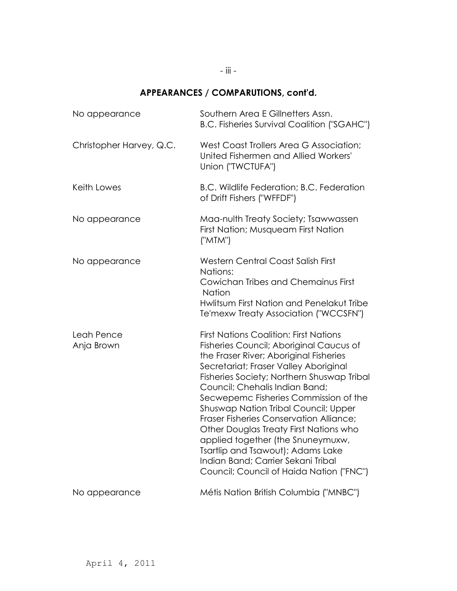# - iii -

# **APPEARANCES / COMPARUTIONS, cont'd.**

| No appearance            | Southern Area E Gillnetters Assn.<br><b>B.C. Fisheries Survival Coalition ("SGAHC")</b>                                                                                                                                                                                                                                                                                                                                                                                                                                                                                                       |
|--------------------------|-----------------------------------------------------------------------------------------------------------------------------------------------------------------------------------------------------------------------------------------------------------------------------------------------------------------------------------------------------------------------------------------------------------------------------------------------------------------------------------------------------------------------------------------------------------------------------------------------|
| Christopher Harvey, Q.C. | West Coast Trollers Area G Association;<br>United Fishermen and Allied Workers'<br>Union ("TWCTUFA")                                                                                                                                                                                                                                                                                                                                                                                                                                                                                          |
| Keith Lowes              | B.C. Wildlife Federation; B.C. Federation<br>of Drift Fishers ("WFFDF")                                                                                                                                                                                                                                                                                                                                                                                                                                                                                                                       |
| No appearance            | Maa-nulth Treaty Society; Tsawwassen<br>First Nation; Musqueam First Nation<br>("MTM")                                                                                                                                                                                                                                                                                                                                                                                                                                                                                                        |
| No appearance            | <b>Western Central Coast Salish First</b><br>Nations:<br>Cowichan Tribes and Chemainus First<br><b>Nation</b><br>Hwlitsum First Nation and Penelakut Tribe<br>Te'mexw Treaty Association ("WCCSFN")                                                                                                                                                                                                                                                                                                                                                                                           |
| Leah Pence<br>Anja Brown | <b>First Nations Coalition: First Nations</b><br>Fisheries Council; Aboriginal Caucus of<br>the Fraser River; Aboriginal Fisheries<br>Secretariat; Fraser Valley Aboriginal<br>Fisheries Society; Northern Shuswap Tribal<br>Council; Chehalis Indian Band;<br>Secwepemc Fisheries Commission of the<br>Shuswap Nation Tribal Council; Upper<br>Fraser Fisheries Conservation Alliance;<br>Other Douglas Treaty First Nations who<br>applied together (the Snuneymuxw,<br>Tsartlip and Tsawout); Adams Lake<br>Indian Band; Carrier Sekani Tribal<br>Council; Council of Haida Nation ("FNC") |
| No appearance            | Métis Nation British Columbia ("MNBC")                                                                                                                                                                                                                                                                                                                                                                                                                                                                                                                                                        |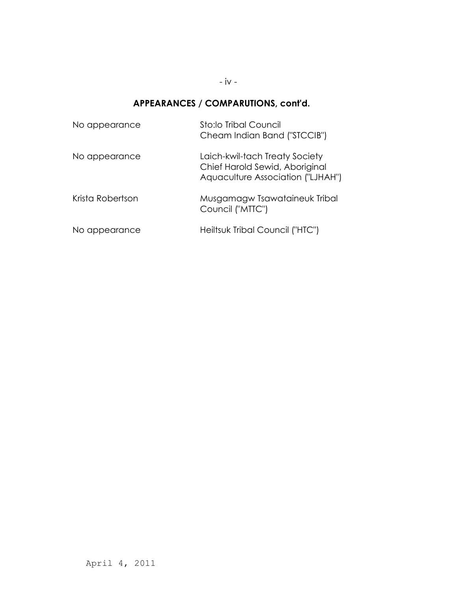- iv -

#### **APPEARANCES / COMPARUTIONS, cont'd.**

| No appearance    | Sto:lo Tribal Council<br>Cheam Indian Band ("STCCIB")                                                 |
|------------------|-------------------------------------------------------------------------------------------------------|
| No appearance    | Laich-kwil-tach Treaty Society<br>Chief Harold Sewid, Aboriginal<br>Aquaculture Association ("LJHAH") |
| Krista Robertson | Musgamagw Tsawataineuk Tribal<br>Council ("MTTC")                                                     |
| No appearance    | Heiltsuk Tribal Council ("HTC")                                                                       |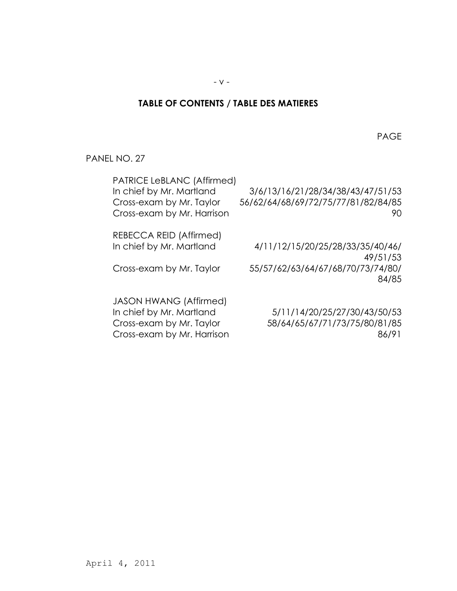### **TABLE OF CONTENTS / TABLE DES MATIERES**

en de la provincia de la provincia de la provincia de la provincia de la provincia de la provincia de la provi

PANEL NO. 27

| PATRICE LeBLANC (Affirmed)<br>In chief by Mr. Martland<br>Cross-exam by Mr. Taylor<br>Cross-exam by Mr. Harrison | 3/6/13/16/21/28/34/38/43/47/51/53<br>56/62/64/68/69/72/75/77/81/82/84/85<br>90 |
|------------------------------------------------------------------------------------------------------------------|--------------------------------------------------------------------------------|
| REBECCA REID (Affirmed)                                                                                          |                                                                                |
| In chief by Mr. Martland                                                                                         | 4/11/12/15/20/25/28/33/35/40/46/                                               |
|                                                                                                                  | 49/51/53                                                                       |
| Cross-exam by Mr. Taylor                                                                                         | 55/57/62/63/64/67/68/70/73/74/80/                                              |
|                                                                                                                  | 84/85                                                                          |
| <b>JASON HWANG (Affirmed)</b>                                                                                    |                                                                                |
| In chief by Mr. Martland                                                                                         | 5/11/14/20/25/27/30/43/50/53                                                   |
| Cross-exam by Mr. Taylor                                                                                         | 58/64/65/67/71/73/75/80/81/85                                                  |
| Cross-exam by Mr. Harrison                                                                                       | 86/91                                                                          |
|                                                                                                                  |                                                                                |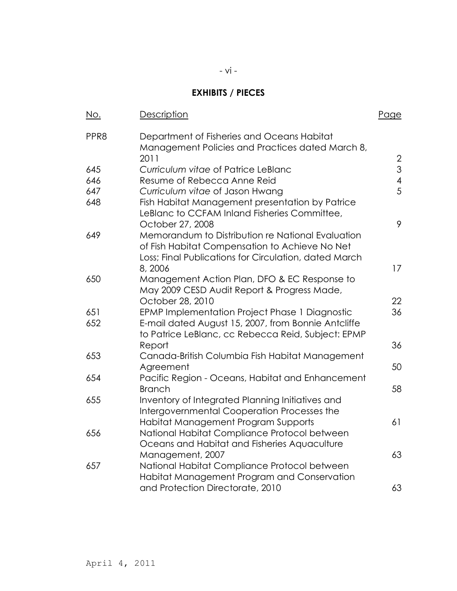# **EXHIBITS / PIECES**

| <u>No.</u> | <b>Description</b>                                                                                        | <u>Page</u>    |
|------------|-----------------------------------------------------------------------------------------------------------|----------------|
| PPR8       | Department of Fisheries and Oceans Habitat<br>Management Policies and Practices dated March 8,<br>2011    | $\overline{2}$ |
| 645        | Curriculum vitae of Patrice LeBlanc                                                                       | 3              |
| 646        | Resume of Rebecca Anne Reid                                                                               | $\overline{4}$ |
| 647        | Curriculum vitae of Jason Hwang                                                                           | 5              |
| 648        | Fish Habitat Management presentation by Patrice<br>LeBlanc to CCFAM Inland Fisheries Committee,           |                |
|            | October 27, 2008                                                                                          | 9              |
| 649        | Memorandum to Distribution re National Evaluation<br>of Fish Habitat Compensation to Achieve No Net       |                |
|            | Loss; Final Publications for Circulation, dated March<br>8,2006                                           | 17             |
| 650        | Management Action Plan, DFO & EC Response to<br>May 2009 CESD Audit Report & Progress Made,               |                |
|            | October 28, 2010                                                                                          | 22             |
| 651        | EPMP Implementation Project Phase 1 Diagnostic                                                            | 36             |
| 652        | E-mail dated August 15, 2007, from Bonnie Antcliffe<br>to Patrice LeBlanc, cc Rebecca Reid, Subject: EPMP |                |
|            | Report                                                                                                    | 36             |
| 653        | Canada-British Columbia Fish Habitat Management                                                           |                |
|            | Agreement                                                                                                 | 50             |
| 654        | Pacific Region - Oceans, Habitat and Enhancement<br><b>Branch</b>                                         | 58             |
| 655        | Inventory of Integrated Planning Initiatives and                                                          |                |
|            | Intergovernmental Cooperation Processes the                                                               |                |
|            | Habitat Management Program Supports                                                                       | 61             |
| 656        | National Habitat Compliance Protocol between                                                              |                |
|            | Oceans and Habitat and Fisheries Aquaculture                                                              |                |
|            | Management, 2007                                                                                          | 63             |
| 657        | National Habitat Compliance Protocol between<br>Habitat Management Program and Conservation               |                |
|            | and Protection Directorate, 2010                                                                          | 63             |
|            |                                                                                                           |                |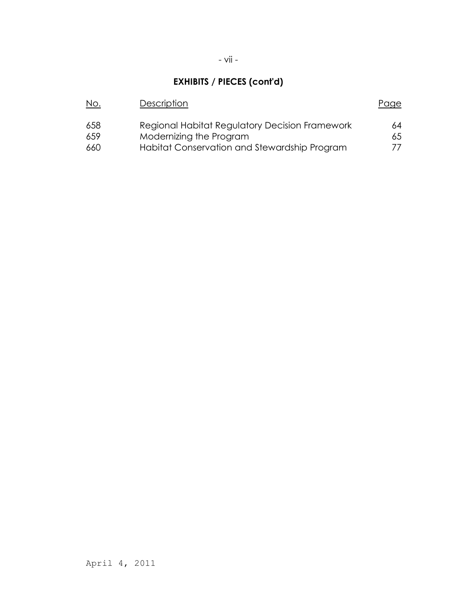# **EXHIBITS / PIECES (cont'd)**

| <u>No.</u> | Description                                    | Page |
|------------|------------------------------------------------|------|
| 658        | Regional Habitat Regulatory Decision Framework | 64   |
| 659        | Modernizing the Program                        | 65   |
| 660        | Habitat Conservation and Stewardship Program   | 77.  |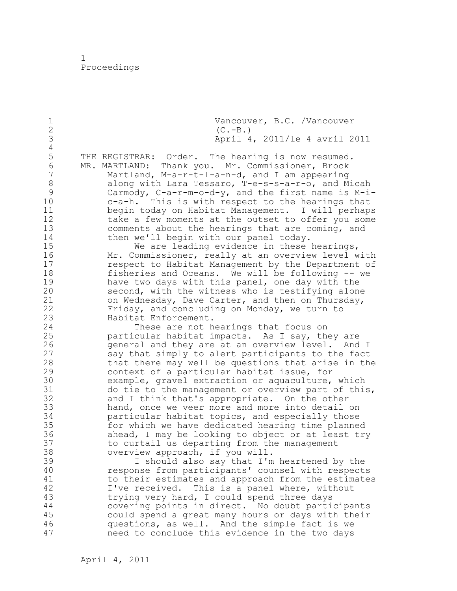1 Proceedings

1 Vancouver, B.C. /Vancouver<br>2 (C.-B.) 2 (C.-B.)<br>3 April 4 3 April 4, 2011/le 4 avril 2011 4 5 THE REGISTRAR: Order. The hearing is now resumed.<br>6 MR. MARTLAND: Thank vou. Mr. Commissioner, Brock 6 MR. MARTLAND: Thank you. Mr. Commissioner, Brock Martland,  $M-a-r-t-l-a-n-d$ , and I am appearing 8 along with Lara Tessaro, T-e-s-s-a-r-o, and Micah 9 Carmody, C-a-r-m-o-d-y, and the first name is M-i-<br>10 c-a-h. This is with respect to the hearings that  $c-a-h$ . This is with respect to the hearings that 11 begin today on Habitat Management. I will perhaps 12 take a few moments at the outset to offer you some 13 comments about the hearings that are coming, and 14 then we'll begin with our panel today. 15 We are leading evidence in these hearings,<br>16 Mr. Commissioner, really at an overview level w 16 Mr. Commissioner, really at an overview level with<br>17 Tespect to Habitat Management by the Department of respect to Habitat Management by the Department of 18 fisheries and Oceans. We will be following -- we 19 have two days with this panel, one day with the<br>20 second, with the witness who is testifying alon second, with the witness who is testifying alone 21 on Wednesday, Dave Carter, and then on Thursday, 22 Friday, and concluding on Monday, we turn to 23 Habitat Enforcement. 24 These are not hearings that focus on 25 particular habitat impacts. As I say, they are 26 general and they are at an overview level. And I<br>27 say that simply to alert participants to the fact 27 say that simply to alert participants to the fact<br>28 that there may well be questions that arise in the that there may well be questions that arise in the 29 context of a particular habitat issue, for 30 example, gravel extraction or aquaculture, which<br>31 do tie to the management or overview part of thi: 31 do tie to the management or overview part of this,<br>32 and I think that's appropriate. On the other and I think that's appropriate. On the other 33 hand, once we veer more and more into detail on 34 particular habitat topics, and especially those 35 for which we have dedicated hearing time planned 36 ahead, I may be looking to object or at least try 37 to curtail us departing from the management 38 overview approach, if you will. 39 I should also say that I'm heartened by the 40 response from participants' counsel with respects 41 to their estimates and approach from the estimates<br>42 I've received. This is a panel where, without I've received. This is a panel where, without 43 trying very hard, I could spend three days 44 covering points in direct. No doubt participants 45 could spend a great many hours or days with their 46 questions, as well. And the simple fact is we 47 need to conclude this evidence in the two days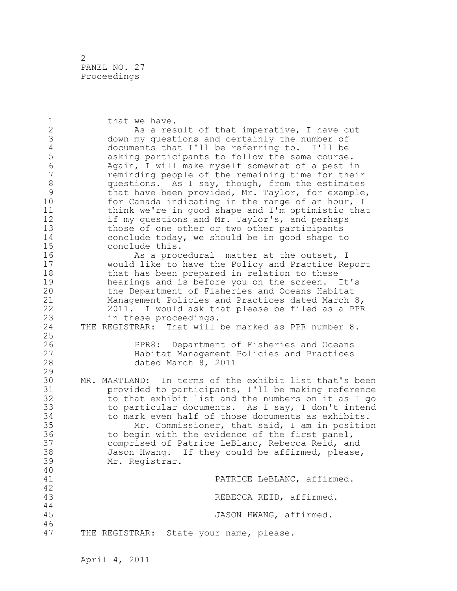2 PANEL NO. 27 Proceedings

1 that we have. 2 As a result of that imperative, I have cut 3 down my questions and certainly the number of<br>4 documents that I'll be referring to. I'll be 4 documents that I'll be referring to. I'll be 5 asking participants to follow the same course. 6 Again, I will make myself somewhat of a pest in reminding people of the remaining time for their 8 questions. As I say, though, from the estimates<br>9 that have been provided, Mr. Taylor, for example 9 that have been provided, Mr. Taylor, for example,<br>10 for Canada indicating in the range of an hour, I for Canada indicating in the range of an hour, I 11 think we're in good shape and I'm optimistic that 12 if my questions and Mr. Taylor's, and perhaps 13 those of one other or two other participants 14 conclude today, we should be in good shape to 15 conclude this. 16 As a procedural matter at the outset, I 17 would like to have the Policy and Practice Report 18 that has been prepared in relation to these 19 hearings and is before you on the screen. It's<br>20 the Department of Fisheries and Oceans Habitat the Department of Fisheries and Oceans Habitat 21 Management Policies and Practices dated March 8, 22 2011. I would ask that please be filed as a PPR 23 in these proceedings. 24 THE REGISTRAR: That will be marked as PPR number 8. 25 26 PPR8: Department of Fisheries and Oceans<br>27 Habitat Management Policies and Practices Habitat Management Policies and Practices 28 dated March 8, 2011 29 30 MR. MARTLAND: In terms of the exhibit list that's been<br>31 orovided to participants, I'll be making reference provided to participants, I'll be making reference 32 to that exhibit list and the numbers on it as I go 33 to particular documents. As I say, I don't intend 34 to mark even half of those documents as exhibits. 35 Mr. Commissioner, that said, I am in position 36 to begin with the evidence of the first panel, 37 comprised of Patrice LeBlanc, Rebecca Reid, and 38 Jason Hwang. If they could be affirmed, please, 39 Mr. Registrar. 40 41 PATRICE LeBLANC, affirmed. 42 REBECCA REID, affirmed. 44 45 JASON HWANG, affirmed. 46 47 THE REGISTRAR: State your name, please.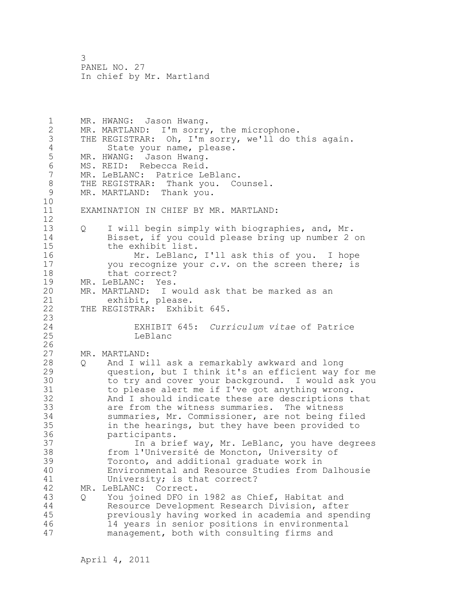1 MR. HWANG: Jason Hwang. 2 MR. MARTLAND: I'm sorry, the microphone. 3 THE REGISTRAR: Oh, I'm sorry, we'll do this again. 4 State your name, please.<br>5 MR. HWANG: Jason Hwang. 5 MR. HWANG: Jason Hwang.<br>6 MS. REID: Rebecca Reid. 6 MS. REID: Rebecca Reid.<br>7 MR. LeBLANC: Patrice Le MR. LeBLANC: Patrice LeBlanc. 8 THE REGISTRAR: Thank you. Counsel.<br>9 MR. MARTLAND: Thank you. MR. MARTLAND: Thank you. 10 11 EXAMINATION IN CHIEF BY MR. MARTLAND: 12 13 Q I will begin simply with biographies, and, Mr. 14 Bisset, if you could please bring up number 2 on 15 the exhibit list. 16 Mr. LeBlanc, I'll ask this of you. I hope 17 you recognize your *c.v.* on the screen there; is 18 that correct? 19 MR. LeBLANC: Yes.<br>20 MR. MARTLAND: I w MR. MARTLAND: I would ask that be marked as an 21 exhibit, please. 22 THE REGISTRAR: Exhibit 645. 23 24 EXHIBIT 645: *Curriculum vitae* of Patrice 25 LeBlanc  $\frac{26}{27}$ MR. MARTLAND: 28 Q And I will ask a remarkably awkward and long 29 question, but I think it's an efficient way for me 30 to try and cover your background. I would ask you<br>31 to please alert me if I've got anything wrong. to please alert me if I've got anything wrong. 32 And I should indicate these are descriptions that 33 are from the witness summaries. The witness 34 summaries, Mr. Commissioner, are not being filed 35 in the hearings, but they have been provided to 36 participants. 37 In a brief way, Mr. LeBlanc, you have degrees 38 from l'Université de Moncton, University of 39 Toronto, and additional graduate work in 40 Environmental and Resource Studies from Dalhousie 41 University; is that correct?<br>42 MR. LeBLANC: Correct. MR. LeBLANC: Correct. 43 Q You joined DFO in 1982 as Chief, Habitat and 44 Resource Development Research Division, after 45 previously having worked in academia and spending 46 14 years in senior positions in environmental 47 management, both with consulting firms and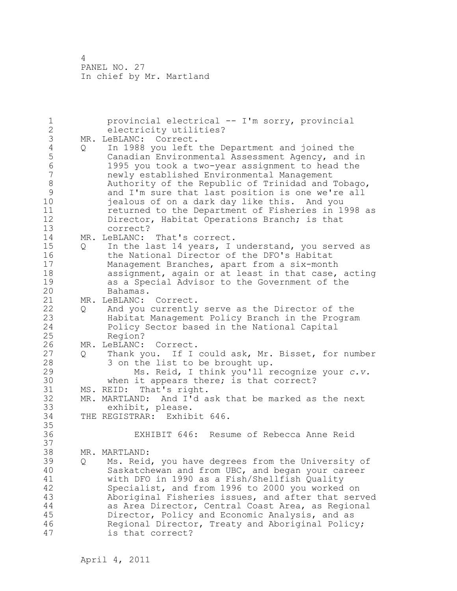1 provincial electrical -- I'm sorry, provincial 2 electricity utilities? 3 MR. LeBLANC: Correct.<br>4 Q In 1988 you left 4 Q In 1988 you left the Department and joined the<br>5 Canadian Environmental Assessment Agency, and 5 Canadian Environmental Assessment Agency, and in 6 1995 you took a two-year assignment to head the newly established Environmental Management 8 Authority of the Republic of Trinidad and Tobago,<br>9 and I'm sure that last position is one we're all 9 and I'm sure that last position is one we're all<br>10 iealous of on a dark day like this. And you jealous of on a dark day like this. And you 11 returned to the Department of Fisheries in 1998 as 12 Director, Habitat Operations Branch; is that 13 correct? 14 MR. LeBLANC: That's correct. 15 Q In the last 14 years, I understand, you served as 16 the National Director of the DFO's Habitat 17 Management Branches, apart from a six-month 18 assignment, again or at least in that case, acting 19 as a Special Advisor to the Government of the Bahamas. 21 MR. LeBLANC: Correct. 22 Q And you currently serve as the Director of the 23 Habitat Management Policy Branch in the Program 24 Policy Sector based in the National Capital 25 Region? 26 MR. LeBLANC: Correct.<br>27 0 Thank you. If I 27 Q Thank you. If I could ask, Mr. Bisset, for number 28 3 on the list to be brought up. 29 Ms. Reid, I think you'll recognize your *c.v.* 30 when it appears there; is that correct?<br>31 MS. REID: That's right. MS. REID: That's right. 32 MR. MARTLAND: And I'd ask that be marked as the next 33 exhibit, please. 34 THE REGISTRAR: Exhibit 646. 35 36 EXHIBIT 646: Resume of Rebecca Anne Reid 37 38 MR. MARTLAND: 39 Q Ms. Reid, you have degrees from the University of 40 Saskatchewan and from UBC, and began your career 41 with DFO in 1990 as a Fish/Shellfish Quality Specialist, and from 1996 to 2000 you worked on 43 Aboriginal Fisheries issues, and after that served 44 as Area Director, Central Coast Area, as Regional 45 Director, Policy and Economic Analysis, and as 46 Regional Director, Treaty and Aboriginal Policy; 47 is that correct?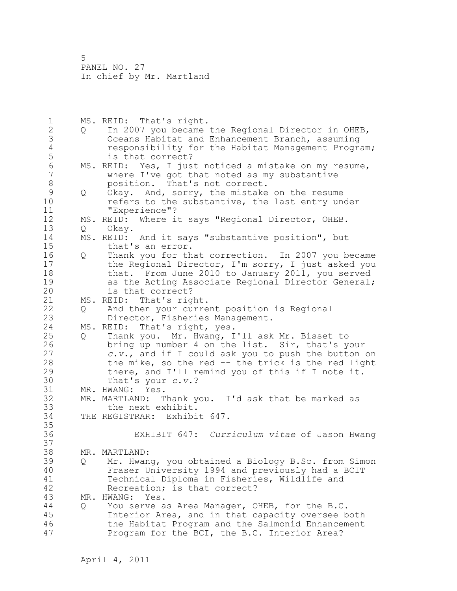1 MS. REID: That's right. 2 Q In 2007 you became the Regional Director in OHEB, 3 Oceans Habitat and Enhancement Branch, assuming 4 responsibility for the Habitat Management Program; 5 is that correct?<br>6 MS. REID: Yes, I jus 6 MS. REID: Yes, I just noticed a mistake on my resume,<br>7 where I've got that noted as my substantive where I've got that noted as my substantive 8 position. That's not correct.<br>9 0 Okay. And, sorry, the mistake 9 Q Okay. And, sorry, the mistake on the resume<br>10 cefers to the substantive, the last entry un refers to the substantive, the last entry under 11 "Experience"? 12 MS. REID: Where it says "Regional Director, OHEB. 13 Q Okay. 14 MS. REID: And it says "substantive position", but 15 that's an error. 16 Q Thank you for that correction. In 2007 you became 17 the Regional Director, I'm sorry, I just asked you 18 that. From June 2010 to January 2011, you served 19 as the Acting Associate Regional Director General;<br>20 is that correct? is that correct? 21 MS. REID: That's right. 22 Q And then your current position is Regional 23 Director, Fisheries Management. 24 MS. REID: That's right, yes. 25 Q Thank you. Mr. Hwang, I'll ask Mr. Bisset to 26 bring up number 4 on the list. Sir, that's your<br>27 c.v., and if I could ask you to push the button c.v., and if I could ask you to push the button on 28 the mike, so the red -- the trick is the red light 29 there, and I'll remind you of this if I note it. 30 That's your *c.v.*?<br>31 MR. HWANG: Yes. MR. HWANG: Yes. 32 MR. MARTLAND: Thank you. I'd ask that be marked as 33 the next exhibit. 34 THE REGISTRAR: Exhibit 647. 35 36 EXHIBIT 647: *Curriculum vitae* of Jason Hwang 37 38 MR. MARTLAND: 39 Q Mr. Hwang, you obtained a Biology B.Sc. from Simon 40 Fraser University 1994 and previously had a BCIT 41 Technical Diploma in Fisheries, Wildlife and<br>42 Recreation: is that correct? Recreation; is that correct? 43 MR. HWANG: Yes. 44 Q You serve as Area Manager, OHEB, for the B.C. 45 Interior Area, and in that capacity oversee both 46 the Habitat Program and the Salmonid Enhancement 47 Program for the BCI, the B.C. Interior Area?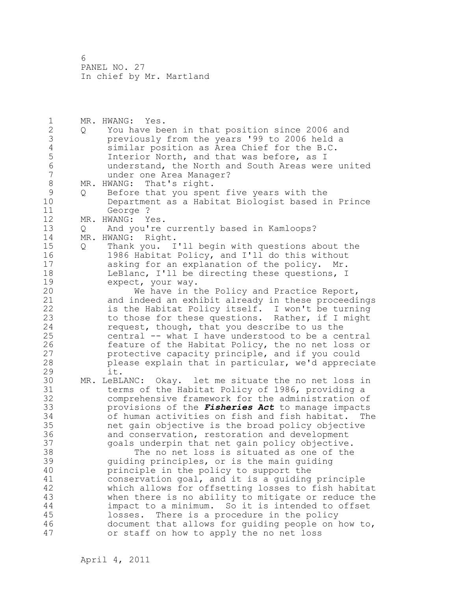1 MR. HWANG: Yes. 2 Q You have been in that position since 2006 and 3 previously from the years '99 to 2006 held a 4 similar position as Area Chief for the B.C.<br>5 1nterior North, and that was before, as I 5 1nterior North, and that was before, as I<br>6 11 understand, the North and South Areas were 6 understand, the North and South Areas were united under one Area Manager? 8 MR. HWANG: That's right.<br>9 0 Before that you spen 9 Q Before that you spent five years with the<br>10 Department as a Habitat Biologist based i Department as a Habitat Biologist based in Prince 11 George ? 12 MR. HWANG: Yes. 13 Q And you're currently based in Kamloops? 14 MR. HWANG: Right. 15 Q Thank you. I'll begin with questions about the 16 1986 Habitat Policy, and I'll do this without 17 asking for an explanation of the policy. Mr. 18 LeBlanc, I'll be directing these questions, I 19 expect, your way.<br>20 We have in t We have in the Policy and Practice Report, 21 and indeed an exhibit already in these proceedings 22 is the Habitat Policy itself. I won't be turning 23 to those for these questions. Rather, if I might 24 request, though, that you describe to us the 25 central -- what I have understood to be a central 26 feature of the Habitat Policy, the no net loss or<br>27 protective capacity principle, and if you could protective capacity principle, and if you could 28 please explain that in particular, we'd appreciate 29 it. 30 MR. LeBLANC: Okay. let me situate the no net loss in terms of the Habitat Policy of 1986, providing a 32 comprehensive framework for the administration of 33 provisions of the *Fisheries Act* to manage impacts 34 of human activities on fish and fish habitat. The 35 net gain objective is the broad policy objective 36 and conservation, restoration and development 37 goals underpin that net gain policy objective. 38 The no net loss is situated as one of the 39 guiding principles, or is the main guiding 40 principle in the policy to support the 41 conservation goal, and it is a guiding principle<br>42 which allows for offsetting losses to fish habit which allows for offsetting losses to fish habitat 43 when there is no ability to mitigate or reduce the 44 impact to a minimum. So it is intended to offset 45 losses. There is a procedure in the policy 46 document that allows for guiding people on how to, 47 or staff on how to apply the no net loss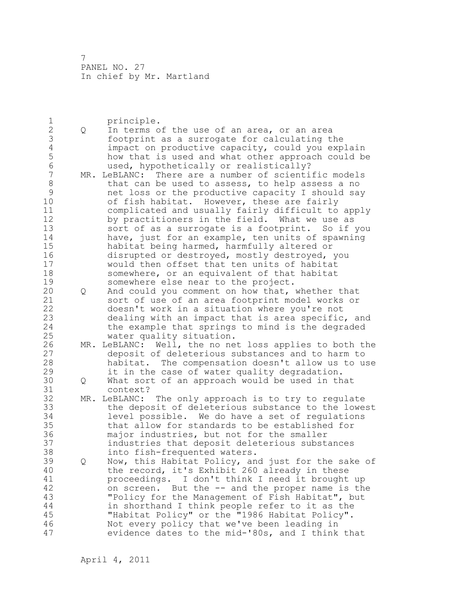1 principle.<br>2 Q In terms o 2 Q In terms of the use of an area, or an area 3 footprint as a surrogate for calculating the<br>4 impact on productive capacity, could you exp. 4 impact on productive capacity, could you explain<br>5 how that is used and what other approach could be 5 how that is used and what other approach could be 6 used, hypothetically or realistically? MR. LeBLANC: There are a number of scientific models 8 that can be used to assess, to help assess a no<br>9 het loss or the productive capacity I should say 9 10 10 net loss or the productive capacity I should say<br>10 10 10 of fish habitat. However, these are fairly of fish habitat. However, these are fairly 11 complicated and usually fairly difficult to apply 12 by practitioners in the field. What we use as 13 sort of as a surrogate is a footprint. So if you 14 have, just for an example, ten units of spawning 15 habitat being harmed, harmfully altered or 16 disrupted or destroyed, mostly destroyed, you 17 would then offset that ten units of habitat 18 somewhere, or an equivalent of that habitat 19 somewhere else near to the project.<br>20 0 And could you comment on how that, 20 Q And could you comment on how that, whether that 21 sort of use of an area footprint model works or 22 doesn't work in a situation where you're not 23 dealing with an impact that is area specific, and 24 the example that springs to mind is the degraded 25 water quality situation. 26 MR. LeBLANC: Well, the no net loss applies to both the<br>27 deposit of deleterious substances and to harm to 27 deposit of deleterious substances and to harm to<br>28 habitat. The compensation doesn't allow us to u habitat. The compensation doesn't allow us to use 29 it in the case of water quality degradation. 30 Q What sort of an approach would be used in that 31 context?<br>32 MR. LeBLANC: MR. LeBLANC: The only approach is to try to regulate 33 the deposit of deleterious substance to the lowest 34 level possible. We do have a set of regulations 35 that allow for standards to be established for 36 major industries, but not for the smaller 37 industries that deposit deleterious substances 38 into fish-frequented waters. 39 Q Now, this Habitat Policy, and just for the sake of 40 the record, it's Exhibit 260 already in these 41 proceedings. I don't think I need it brought up<br>42 on screen. But the -- and the proper name is the on screen. But the -- and the proper name is the 43 "Policy for the Management of Fish Habitat", but 44 in shorthand I think people refer to it as the 45 "Habitat Policy" or the "1986 Habitat Policy". 46 Not every policy that we've been leading in 47 evidence dates to the mid-'80s, and I think that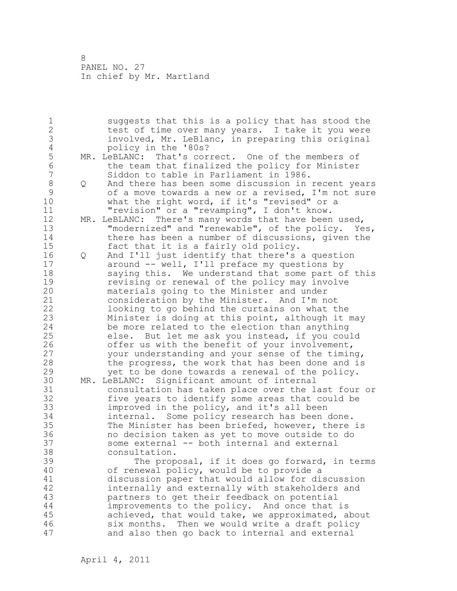1 suggests that this is a policy that has stood the 2 test of time over many years. I take it you were 3 involved, Mr. LeBlanc, in preparing this original 4 policy in the '80s?<br>5 MR. LeBLANC: That's cor. 5 MR. LeBLANC: That's correct. One of the members of<br>6 the team that finalized the policy for Minister 6 the team that finalized the policy for Minister<br>7 Siddon to table in Parliament in 1986. Siddon to table in Parliament in 1986. 8 Q And there has been some discussion in recent years<br>9 of a move towards a new or a revised. I'm not sure 9 of a move towards a new or a revised, I'm not sure<br>10 what the right word, if it's "revised" or a what the right word, if it's "revised" or a 11 "revision" or a "revamping", I don't know. 12 MR. LeBLANC: There's many words that have been used, 13 "modernized" and "renewable", of the policy. Yes, 14 there has been a number of discussions, given the 15 fact that it is a fairly old policy. 16 Q And I'll just identify that there's a question 17 around -- well, I'll preface my questions by 18 saying this. We understand that some part of this 19 revising or renewal of the policy may involve<br>20 materials going to the Minister and under materials going to the Minister and under 21 consideration by the Minister. And I'm not 22 looking to go behind the curtains on what the 23 Minister is doing at this point, although it may 24 be more related to the election than anything 25 else. But let me ask you instead, if you could 26 offer us with the benefit of your involvement,<br>27 vour understanding and your sense of the timin your understanding and your sense of the timing, 28 the progress, the work that has been done and is 29 yet to be done towards a renewal of the policy. 30 MR. LeBLANC: Significant amount of internal consultation has taken place over the last four or 32 five years to identify some areas that could be 33 improved in the policy, and it's all been 34 internal. Some policy research has been done. 35 The Minister has been briefed, however, there is 36 no decision taken as yet to move outside to do 37 some external -- both internal and external 38 consultation. 39 The proposal, if it does go forward, in terms 40 of renewal policy, would be to provide a 41 discussion paper that would allow for discussion<br>42 internally and externally with stakeholders and internally and externally with stakeholders and 43 partners to get their feedback on potential 44 improvements to the policy. And once that is 45 achieved, that would take, we approximated, about 46 six months. Then we would write a draft policy 47 and also then go back to internal and external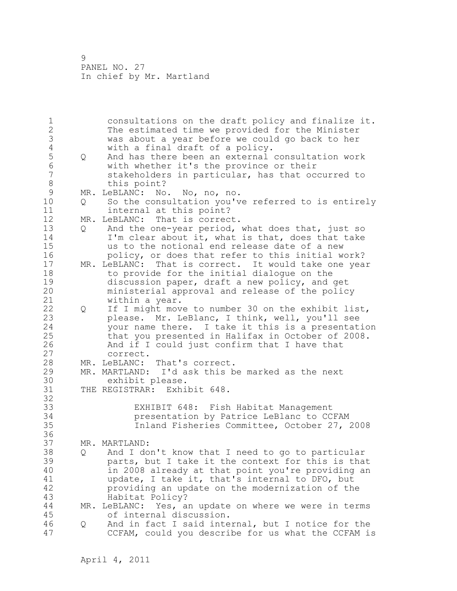1 consultations on the draft policy and finalize it. 2 The estimated time we provided for the Minister 3 was about a year before we could go back to her 4 with a final draft of a policy.<br>5 0 And has there been an external 5 Q And has there been an external consultation work<br>6 with whether it's the province or their 6 with whether it's the province or their stakeholders in particular, has that occurred to 8 this point?<br>9 MR. LeBLANC: No 9 MR. LeBLANC: No. No, no, no.<br>10 0 So the consultation you'v 0 So the consultation you've referred to is entirely 11 internal at this point? 12 MR. LeBLANC: That is correct. 13 Q And the one-year period, what does that, just so 14 I'm clear about it, what is that, does that take 15 us to the notional end release date of a new 16 policy, or does that refer to this initial work? 17 MR. LeBLANC: That is correct. It would take one year 18 to provide for the initial dialogue on the 19 discussion paper, draft a new policy, and get<br>20 ministerial approval and release of the polic ministerial approval and release of the policy 21 within a year. 22 Q If I might move to number 30 on the exhibit list, 23 please. Mr. LeBlanc, I think, well, you'll see 24 your name there. I take it this is a presentation 25 that you presented in Halifax in October of 2008. 26 And if I could just confirm that I have that 27 correct. 28 MR. LeBLANC: That's correct. 29 MR. MARTLAND: I'd ask this be marked as the next 30 exhibit please.<br>31 THE REGISTRAR: Exhi THE REGISTRAR: Exhibit 648. 32 33 EXHIBIT 648: Fish Habitat Management 34 presentation by Patrice LeBlanc to CCFAM 35 Inland Fisheries Committee, October 27, 2008 36 37 MR. MARTLAND: 38 Q And I don't know that I need to go to particular 39 parts, but I take it the context for this is that 40 in 2008 already at that point you're providing an 41 update, I take it, that's internal to DFO, but<br>42 providing an update on the modernization of the providing an update on the modernization of the 43 Habitat Policy? 44 MR. LeBLANC: Yes, an update on where we were in terms 45 of internal discussion. 46 Q And in fact I said internal, but I notice for the 47 CCFAM, could you describe for us what the CCFAM is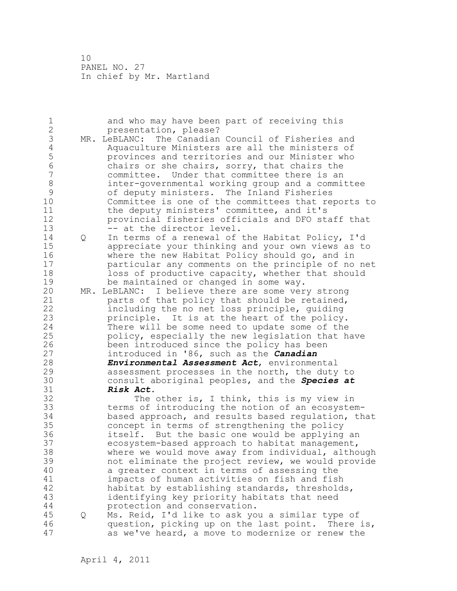| 1                   |     | and who may have been part of receiving this         |
|---------------------|-----|------------------------------------------------------|
| $\overline{2}$<br>3 |     | presentation, please?                                |
|                     | MR. | LeBLANC: The Canadian Council of Fisheries and       |
| $\sqrt{4}$          |     | Aquaculture Ministers are all the ministers of       |
| 5                   |     | provinces and territories and our Minister who       |
| 6                   |     | chairs or she chairs, sorry, that chairs the         |
| $\overline{7}$      |     | committee. Under that committee there is an          |
| $\,8\,$             |     | inter-governmental working group and a committee     |
| 9                   |     | of deputy ministers. The Inland Fisheries            |
| 10                  |     | Committee is one of the committees that reports to   |
| 11                  |     | the deputy ministers' committee, and it's            |
| 12                  |     | provincial fisheries officials and DFO staff that    |
| 13                  |     | -- at the director level.                            |
| 14                  | Q   | In terms of a renewal of the Habitat Policy, I'd     |
| 15                  |     | appreciate your thinking and your own views as to    |
| 16                  |     | where the new Habitat Policy should go, and in       |
| 17                  |     | particular any comments on the principle of no net   |
| 18                  |     | loss of productive capacity, whether that should     |
| 19                  |     | be maintained or changed in some way.                |
| 20                  | MR. | LeBLANC: I believe there are some very strong        |
| 21                  |     | parts of that policy that should be retained,        |
| 22                  |     |                                                      |
|                     |     | including the no net loss principle, guiding         |
| 23                  |     | principle. It is at the heart of the policy.         |
| 24                  |     | There will be some need to update some of the        |
| 25                  |     | policy, especially the new legislation that have     |
| 26                  |     | been introduced since the policy has been            |
| 27                  |     | introduced in '86, such as the <i>Canadian</i>       |
| 28                  |     | Environmental Assessment Act, environmental          |
| 29                  |     | assessment processes in the north, the duty to       |
| 30                  |     | consult aboriginal peoples, and the Species at       |
| 31                  |     | Risk Act.                                            |
| 32                  |     | The other is, I think, this is my view in            |
| 33                  |     | terms of introducing the notion of an ecosystem-     |
| 34                  |     | based approach, and results based regulation, that   |
| 35                  |     | concept in terms of strengthening the policy         |
| 36                  |     | itself. But the basic one would be applying an       |
| 37                  |     | ecosystem-based approach to habitat management,      |
| 38                  |     | where we would move away from individual, although   |
| 39                  |     | not eliminate the project review, we would provide   |
| 40                  |     | a greater context in terms of assessing the          |
| 41                  |     | impacts of human activities on fish and fish         |
| 42                  |     | habitat by establishing standards, thresholds,       |
| 43                  |     | identifying key priority habitats that need          |
| 44                  |     | protection and conservation.                         |
| 45                  |     | Ms. Reid, I'd like to ask you a similar type of      |
|                     | Q   |                                                      |
| 46                  |     | question, picking up on the last point.<br>There is, |
| 47                  |     | as we've heard, a move to modernize or renew the     |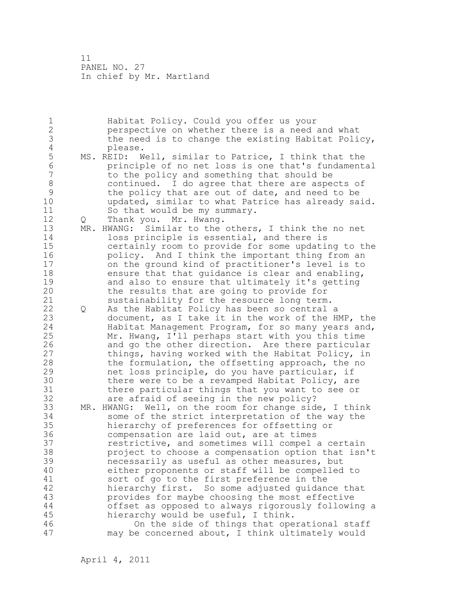1 Habitat Policy. Could you offer us your 2 perspective on whether there is a need and what 3 the need is to change the existing Habitat Policy,<br>4 please. 4 please.<br>5 MS. REID: W 5 MS. REID: Well, similar to Patrice, I think that the<br>6 manufaciole of no net loss is one that's fundament 6 principle of no net loss is one that's fundamental to the policy and something that should be 8 continued. I do agree that there are aspects of<br>9 the policy that are out of date, and need to be 9 the policy that are out of date, and need to be<br>10 bupdated, similar to what Patrice has already sa updated, similar to what Patrice has already said. 11 So that would be my summary. 12 Q Thank you. Mr. Hwang. 13 MR. HWANG: Similar to the others, I think the no net 14 loss principle is essential, and there is 15 certainly room to provide for some updating to the 16 **policy.** And I think the important thing from an 17 on the ground kind of practitioner's level is to 18 ensure that that quidance is clear and enabling, 19 and also to ensure that ultimately it's getting<br>20 the results that are going to provide for the results that are going to provide for 21 sustainability for the resource long term. 22 Q As the Habitat Policy has been so central a 23 document, as I take it in the work of the HMP, the 24 Habitat Management Program, for so many years and, 25 Mr. Hwang, I'll perhaps start with you this time 26 and go the other direction. Are there particular<br>27 things, having worked with the Habitat Policy, in things, having worked with the Habitat Policy, in 28 the formulation, the offsetting approach, the no 29 net loss principle, do you have particular, if 30 there were to be a revamped Habitat Policy, are<br>31 there particular things that you want to see or 31 there particular things that you want to see or<br>32 are afraid of seeing in the new policy? are afraid of seeing in the new policy? 33 MR. HWANG: Well, on the room for change side, I think 34 some of the strict interpretation of the way the 35 hierarchy of preferences for offsetting or 36 compensation are laid out, are at times 37 restrictive, and sometimes will compel a certain 38 project to choose a compensation option that isn't 39 necessarily as useful as other measures, but 40 either proponents or staff will be compelled to 41 sort of go to the first preference in the<br>42 hierarchy first. So some adjusted quidan hierarchy first. So some adjusted guidance that 43 provides for maybe choosing the most effective 44 offset as opposed to always rigorously following a 45 hierarchy would be useful, I think. 46 On the side of things that operational staff 47 may be concerned about, I think ultimately would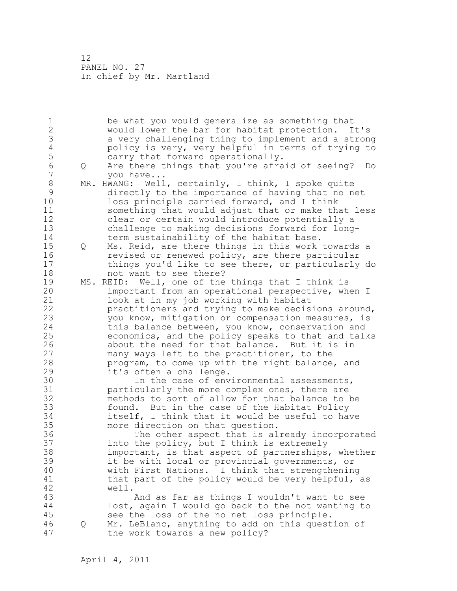1 be what you would generalize as something that 2 would lower the bar for habitat protection. It's 3 a very challenging thing to implement and a strong<br>4 bolicy is very, very helpful in terms of trying to 4 policy is very, very helpful in terms of trying to<br>5 carry that forward operationally. 5 carry that forward operationally.<br>6 0 Are there things that you're afra 6 Q Are there things that you're afraid of seeing? Do 7 you have... 8 MR. HWANG: Well, certainly, I think, I spoke quite<br>9 directly to the importance of having that no n 9 directly to the importance of having that no net<br>10 10ss principle carried forward, and I think loss principle carried forward, and I think 11 something that would adjust that or make that less 12 clear or certain would introduce potentially a 13 challenge to making decisions forward for long-<br>14 ferm sustainability of the habitat base. term sustainability of the habitat base. 15 Q Ms. Reid, are there things in this work towards a 16 revised or renewed policy, are there particular 17 things you'd like to see there, or particularly do 18 not want to see there? 19 MS. REID: Well, one of the things that I think is<br>20 important from an operational perspective, wh important from an operational perspective, when I 21 look at in my job working with habitat 22 practitioners and trying to make decisions around, 23 you know, mitigation or compensation measures, is 24 this balance between, you know, conservation and 25 economics, and the policy speaks to that and talks 26 about the need for that balance. But it is in<br>27 many ways left to the practitioner, to the many ways left to the practitioner, to the 28 program, to come up with the right balance, and 29 it's often a challenge. 30 In the case of environmental assessments,<br>31 oarticularly the more complex ones, there are 31 particularly the more complex ones, there are<br>32 methods to sort of allow for that balance to methods to sort of allow for that balance to be 33 found. But in the case of the Habitat Policy 34 itself, I think that it would be useful to have 35 more direction on that question. 36 The other aspect that is already incorporated 37 into the policy, but I think is extremely 38 important, is that aspect of partnerships, whether 39 it be with local or provincial governments, or 40 with First Nations. I think that strengthening 41 that part of the policy would be very helpful, as 42 well. 43 And as far as things I wouldn't want to see 44 lost, again I would go back to the not wanting to 45 see the loss of the no net loss principle. 46 Q Mr. LeBlanc, anything to add on this question of 47 the work towards a new policy?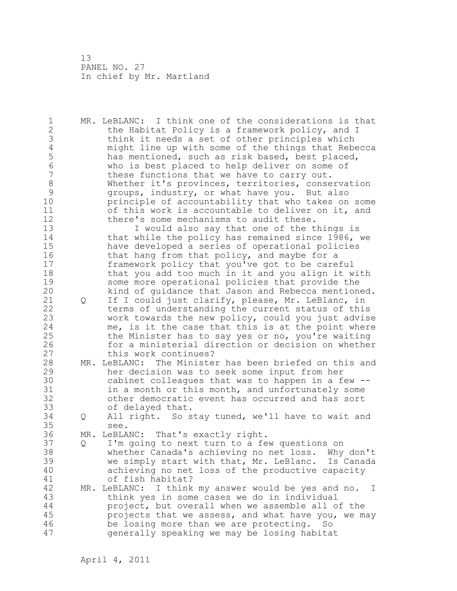1 MR. LeBLANC: I think one of the considerations is that 2 the Habitat Policy is a framework policy, and I 3 think it needs a set of other principles which<br>4 might line up with some of the things that Rebe 4 might line up with some of the things that Rebecca<br>5 has mentioned, such as risk based, best placed, 5 has mentioned, such as risk based, best placed,<br>6 has who is best placed to help deliver on some of 6 6 who is best placed to help deliver on some of 6<br>7 these functions that we have to carry out. these functions that we have to carry out. 8 Whether it's provinces, territories, conservation<br>9 (aroups, industry, or what have you. But also 9 9 groups, industry, or what have you. But also<br>10 brinciple of accountability that who takes on principle of accountability that who takes on some 11 of this work is accountable to deliver on it, and 12 there's some mechanisms to audit these. 13 I would also say that one of the things is 14 that while the policy has remained since 1986, we 15 have developed a series of operational policies 16 that hang from that policy, and maybe for a 17 framework policy that you've got to be careful 18 that you add too much in it and you align it with 19 some more operational policies that provide the<br>20 kind of quidance that Jason and Rebecca mention kind of guidance that Jason and Rebecca mentioned. 21 Q If I could just clarify, please, Mr. LeBlanc, in 22 terms of understanding the current status of this 23 work towards the new policy, could you just advise 24 me, is it the case that this is at the point where 25 the Minister has to say yes or no, you're waiting 26 for a ministerial direction or decision on whether<br>27 this work continues? this work continues? 28 MR. LeBLANC: The Minister has been briefed on this and 29 her decision was to seek some input from her 30 cabinet colleagues that was to happen in a few --<br>31 in a month or this month, and unfortunately some in a month or this month, and unfortunately some 32 other democratic event has occurred and has sort 33 of delayed that. 34 Q All right. So stay tuned, we'll have to wait and 35 see. 36 MR. LeBLANC: That's exactly right. 37 Q I'm going to next turn to a few questions on 38 whether Canada's achieving no net loss. Why don't 39 we simply start with that, Mr. LeBlanc. Is Canada 40 achieving no net loss of the productive capacity 41 of fish habitat?<br>42 MR. LeBLANC: I think MR. LeBLANC: I think my answer would be yes and no. I 43 think yes in some cases we do in individual 44 project, but overall when we assemble all of the 45 projects that we assess, and what have you, we may 46 be losing more than we are protecting. So 47 generally speaking we may be losing habitat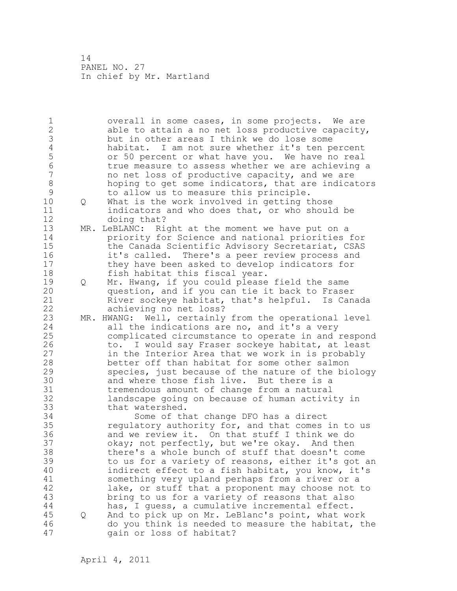1 overall in some cases, in some projects. We are 2 able to attain a no net loss productive capacity, 3 but in other areas I think we do lose some<br>4 habitat. I am not sure whether it's ten pe 4 habitat. I am not sure whether it's ten percent<br>5 or 50 percent or what have you. We have no real 5 or 50 percent or what have you. We have no real 6 true measure to assess whether we are achieving a<br>7 and net loss of productive capacity, and we are no net loss of productive capacity, and we are 8 hoping to get some indicators, that are indicators 9 to allow us to measure this principle.<br>10 0 What is the work involved in getting t 10 Q What is the work involved in getting those 11 indicators and who does that, or who should be 12 doing that? 13 MR. LeBLANC: Right at the moment we have put on a 14 priority for Science and national priorities for 15 the Canada Scientific Advisory Secretariat, CSAS 16 it's called. There's a peer review process and 17 they have been asked to develop indicators for 18 fish habitat this fiscal year. 19 Q Mr. Hwang, if you could please field the same<br>20 question, and if you can tie it back to Frase question, and if you can tie it back to Fraser 21 River sockeye habitat, that's helpful. Is Canada 22 achieving no net loss? 23 MR. HWANG: Well, certainly from the operational level 24 all the indications are no, and it's a very 25 complicated circumstance to operate in and respond 26 to. I would say Fraser sockeye habitat, at least<br>27 in the Interior Area that we work in is probably in the Interior Area that we work in is probably 28 better off than habitat for some other salmon 29 species, just because of the nature of the biology 30 and where those fish live. But there is a<br>31 tremendous amount of change from a natural 31 tremendous amount of change from a natural<br>32 landscape going on because of human activi landscape going on because of human activity in 33 that watershed. 34 Some of that change DFO has a direct 35 regulatory authority for, and that comes in to us 36 and we review it. On that stuff I think we do 37 okay; not perfectly, but we're okay. And then 38 there's a whole bunch of stuff that doesn't come 39 to us for a variety of reasons, either it's got an 40 indirect effect to a fish habitat, you know, it's 41 something very upland perhaps from a river or a<br>42 lake, or stuff that a proponent may choose not lake, or stuff that a proponent may choose not to 43 bring to us for a variety of reasons that also 44 has, I guess, a cumulative incremental effect. 45 Q And to pick up on Mr. LeBlanc's point, what work 46 do you think is needed to measure the habitat, the 47 gain or loss of habitat?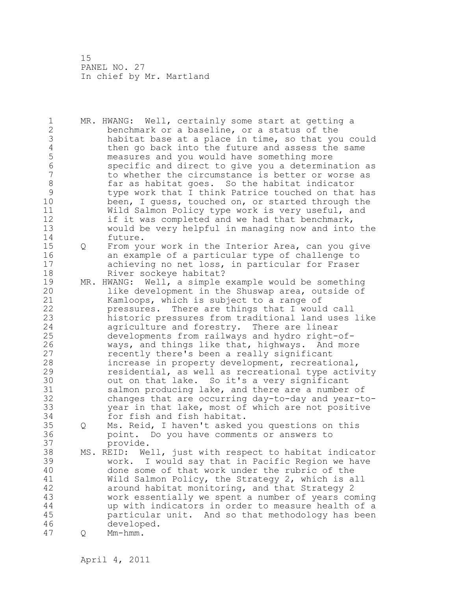1 MR. HWANG: Well, certainly some start at getting a 2 benchmark or a baseline, or a status of the 3 habitat base at a place in time, so that you could<br>4 then go back into the future and assess the same 4 then go back into the future and assess the same<br>5 measures and you would have something more 5 measures and you would have something more 6 specific and direct to give you a determination as to whether the circumstance is better or worse as 8 far as habitat goes. So the habitat indicator<br>9 type work that I think Patrice touched on that 9 type work that I think Patrice touched on that has<br>10 been, I quess, touched on, or started through the been, I guess, touched on, or started through the 11 Wild Salmon Policy type work is very useful, and 12 if it was completed and we had that benchmark, 13 would be very helpful in managing now and into the 14 future. 15 Q From your work in the Interior Area, can you give 16 an example of a particular type of challenge to 17 achieving no net loss, in particular for Fraser 18 River sockeye habitat? 19 MR. HWANG: Well, a simple example would be something<br>20 1ike development in the Shuswap area, outside of like development in the Shuswap area, outside of 21 Kamloops, which is subject to a range of 22 pressures. There are things that I would call 23 historic pressures from traditional land uses like 24 agriculture and forestry. There are linear 25 developments from railways and hydro right-of-26 ways, and things like that, highways. And more<br>27 secently there's been a really significant recently there's been a really significant 28 increase in property development, recreational, 29 residential, as well as recreational type activity 30 out on that lake. So it's a very significant<br>31 salmon producing lake, and there are a number salmon producing lake, and there are a number of 32 changes that are occurring day-to-day and year-to-33 year in that lake, most of which are not positive 34 for fish and fish habitat. 35 Q Ms. Reid, I haven't asked you questions on this 36 point. Do you have comments or answers to 37 provide. 38 MS. REID: Well, just with respect to habitat indicator 39 work. I would say that in Pacific Region we have 40 done some of that work under the rubric of the 41 Wild Salmon Policy, the Strategy 2, which is all<br>42 around habitat monitoring, and that Strategy 2 around habitat monitoring, and that Strategy 2 43 work essentially we spent a number of years coming 44 up with indicators in order to measure health of a 45 particular unit. And so that methodology has been 46 developed. 47 Q Mm-hmm.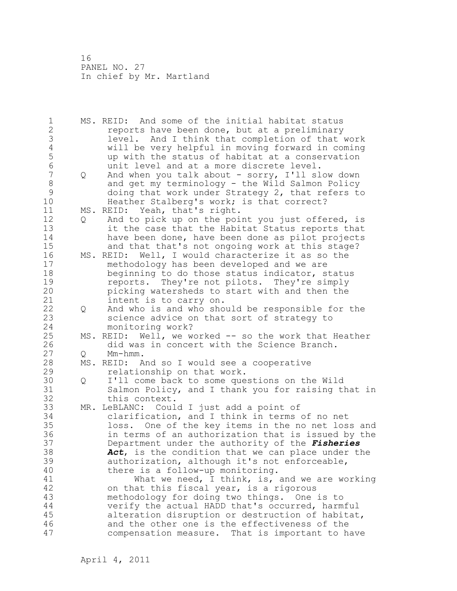| 1              |   | MS. REID: And some of the initial habitat status      |
|----------------|---|-------------------------------------------------------|
| $\overline{2}$ |   | reports have been done, but at a preliminary          |
| 3              |   | level. And I think that completion of that work       |
| $\overline{4}$ |   | will be very helpful in moving forward in coming      |
| 5              |   | up with the status of habitat at a conservation       |
| $6\phantom{a}$ |   | unit level and at a more discrete level.              |
| $\overline{7}$ | Q | And when you talk about - sorry, I'll slow down       |
| 8              |   | and get my terminology - the Wild Salmon Policy       |
| $\mathcal{G}$  |   |                                                       |
|                |   | doing that work under Strategy 2, that refers to      |
| 10             |   | Heather Stalberg's work; is that correct?             |
| 11             |   | MS. REID: Yeah, that's right.                         |
| 12             | Q | And to pick up on the point you just offered, is      |
| 13             |   | it the case that the Habitat Status reports that      |
| 14             |   | have been done, have been done as pilot projects      |
| 15             |   | and that that's not ongoing work at this stage?       |
| 16             |   | MS. REID: Well, I would characterize it as so the     |
| 17             |   | methodology has been developed and we are             |
| 18             |   | beginning to do those status indicator, status        |
| 19             |   | reports. They're not pilots. They're simply           |
| 20             |   | picking watersheds to start with and then the         |
| 21             |   | intent is to carry on.                                |
| 22             | Q | And who is and who should be responsible for the      |
| 23             |   | science advice on that sort of strategy to            |
| 24             |   | monitoring work?                                      |
| 25             |   | MS. REID: Well, we worked -- so the work that Heather |
| 26             |   | did was in concert with the Science Branch.           |
| 27             | Q | $Mm-hmm$ .                                            |
| 28             |   | MS. REID: And so I would see a cooperative            |
| 29             |   | relationship on that work.                            |
| 30             |   |                                                       |
|                | Q | I'll come back to some questions on the Wild          |
| 31             |   | Salmon Policy, and I thank you for raising that in    |
| 32             |   | this context.                                         |
| 33             |   | MR. LeBLANC: Could I just add a point of              |
| 34             |   | clarification, and I think in terms of no net         |
| 35             |   | loss. One of the key items in the no net loss and     |
| 36             |   | in terms of an authorization that is issued by the    |
| 37             |   | Department under the authority of the Fisheries       |
| 38             |   | Act, is the condition that we can place under the     |
| 39             |   | authorization, although it's not enforceable,         |
| 40             |   | there is a follow-up monitoring.                      |
| 41             |   | What we need, I think, is, and we are working         |
| 42             |   | on that this fiscal year, is a rigorous               |
| 43             |   | methodology for doing two things. One is to           |
| 44             |   | verify the actual HADD that's occurred, harmful       |
| 45             |   | alteration disruption or destruction of habitat,      |
| 46             |   | and the other one is the effectiveness of the         |
| 47             |   | compensation measure. That is important to have       |
|                |   |                                                       |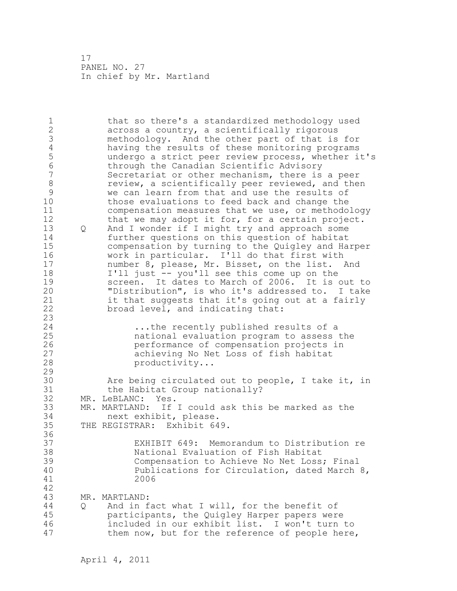1 that so there's a standardized methodology used 2 across a country, a scientifically rigorous 3 methodology. And the other part of that is for 4 having the results of these monitoring programs<br>5 andergo a strict peer review process, whether i 5 undergo a strict peer review process, whether it's<br>6 through the Canadian Scientific Advisory 6 through the Canadian Scientific Advisory Secretariat or other mechanism, there is a peer 8 review, a scientifically peer reviewed, and then<br>9 we can learn from that and use the results of 9 we can learn from that and use the results of<br>10 those evaluations to feed back and change the those evaluations to feed back and change the 11 compensation measures that we use, or methodology 12 that we may adopt it for, for a certain project. 13 Q And I wonder if I might try and approach some 14 further questions on this question of habitat 15 compensation by turning to the Quigley and Harper 16 work in particular. I'll do that first with 17 number 8, please, Mr. Bisset, on the list. And 18 I'll just -- you'll see this come up on the 19 screen. It dates to March of 2006. It is out to<br>20 TDistribution", is who it's addressed to. I take "Distribution", is who it's addressed to. I take 21 it that suggests that it's going out at a fairly 22 broad level, and indicating that: 23 24 ...the recently published results of a 25 national evaluation program to assess the 26 **120 performance of compensation projects in**<br>27 **performance of compensation projects in** achieving No Net Loss of fish habitat 28 productivity... 29 30 Are being circulated out to people, I take it, in<br>31 the Habitat Group nationally? 31 the Habitat Group nationally?<br>32 MR. LeBLANC: Yes. MR. LeBLANC: Yes. 33 MR. MARTLAND: If I could ask this be marked as the 34 next exhibit, please. 35 THE REGISTRAR: Exhibit 649. 36 37 EXHIBIT 649: Memorandum to Distribution re 38 National Evaluation of Fish Habitat 39 Compensation to Achieve No Net Loss; Final 40 Publications for Circulation, dated March 8, 41 2006 42 43 MR. MARTLAND: 44 Q And in fact what I will, for the benefit of 45 participants, the Quigley Harper papers were 46 included in our exhibit list. I won't turn to 47 them now, but for the reference of people here,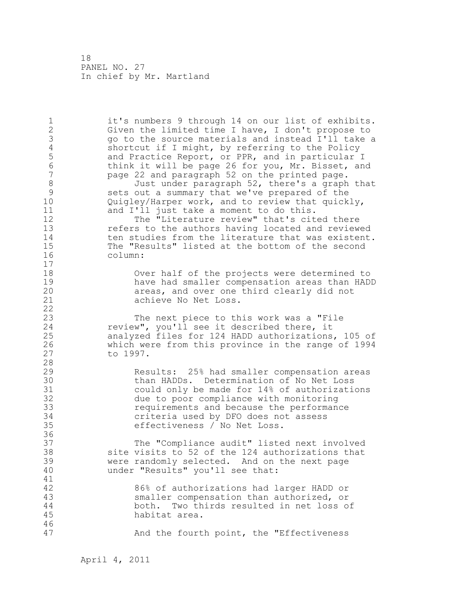1 it's numbers 9 through 14 on our list of exhibits. 2 Given the limited time I have, I don't propose to 3 go to the source materials and instead I'll take a<br>4 Shortcut if I might, by referring to the Policy 4 shortcut if I might, by referring to the Policy<br>5 and Practice Report, or PPR, and in particular 5 and Practice Report, or PPR, and in particular I<br>6 think it will be page 26 for you, Mr. Bisset, an 6 think it will be page 26 for you, Mr. Bisset, and page 22 and paragraph 52 on the printed page. 8 Just under paragraph 52, there's a graph that<br>9 sets out a summary that we've prepared of the 9 sets out a summary that we've prepared of the<br>10 0uiglev/Harper work, and to review that guick Quigley/Harper work, and to review that quickly, 11 and I'll just take a moment to do this. 12 The "Literature review" that's cited there 13 refers to the authors having located and reviewed 14 ten studies from the literature that was existent.<br>15 The "Results" listed at the bottom of the second 15 The "Results" listed at the bottom of the second<br>16 column: column: 17 18 Over half of the projects were determined to 19 have had smaller compensation areas than HADD<br>20 have areas, and over one third clearly did not areas, and over one third clearly did not 21 achieve No Net Loss. 22 23 The next piece to this work was a "File 24 review", you'll see it described there, it 25 analyzed files for 124 HADD authorizations, 105 of 26 which were from this province in the range of 1994 to 1997. 28 29 Results: 25% had smaller compensation areas 30 50 than HADDs. Determination of No Net Loss<br>31 51 could only be made for 14% of authorization 31 could only be made for 14% of authorizations<br>32 due to poor compliance with monitoring due to poor compliance with monitoring 33 requirements and because the performance 34 criteria used by DFO does not assess 35 effectiveness / No Net Loss. 36 37 The "Compliance audit" listed next involved 38 site visits to 52 of the 124 authorizations that 39 were randomly selected. And on the next page 40 under "Results" you'll see that: 41<br>42 86% of authorizations had larger HADD or 43 smaller compensation than authorized, or 44 both. Two thirds resulted in net loss of 45 habitat area. 46 47 And the fourth point, the "Effectiveness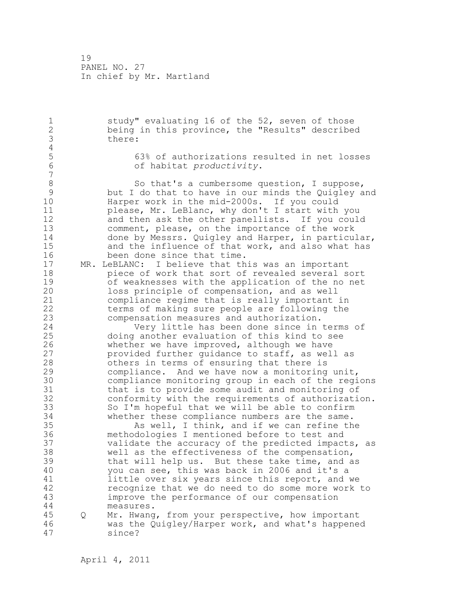1 study" evaluating 16 of the 52, seven of those 2 being in this province, the "Results" described 3 there:  $\frac{4}{5}$ 5 63% of authorizations resulted in net losses 6 of habitat *productivity*. 7 8 So that's a cumbersome question, I suppose,<br>9 but I do that to have in our minds the Quigley a 9 but I do that to have in our minds the Quigley and Harper work in the mid-2000s. If you could 11 please, Mr. LeBlanc, why don't I start with you 12 and then ask the other panellists. If you could 13 comment, please, on the importance of the work 14 done by Messrs. Quigley and Harper, in particular, 15 and the influence of that work, and also what has 16 been done since that time. 17 MR. LeBLANC: I believe that this was an important 18 piece of work that sort of revealed several sort 19 of weaknesses with the application of the no net<br>20 10ss principle of compensation, and as well loss principle of compensation, and as well 21 compliance regime that is really important in 22 terms of making sure people are following the 23 compensation measures and authorization. 24 Very little has been done since in terms of 25 doing another evaluation of this kind to see 26 whether we have improved, although we have<br>27 provided further quidance to staff, as wel. 27 provided further guidance to staff, as well as<br>28 bthers in terms of ensuring that there is others in terms of ensuring that there is 29 compliance. And we have now a monitoring unit, 30 compliance monitoring group in each of the regions 31 that is to provide some audit and monitoring of<br>32 conformity with the requirements of authorization conformity with the requirements of authorization. 33 So I'm hopeful that we will be able to confirm 34 whether these compliance numbers are the same. 35 As well, I think, and if we can refine the 36 methodologies I mentioned before to test and 37 validate the accuracy of the predicted impacts, as 38 well as the effectiveness of the compensation, 39 that will help us. But these take time, and as 40 you can see, this was back in 2006 and it's a 41 little over six years since this report, and we<br>42 ecoqnize that we do need to do some more work recognize that we do need to do some more work to 43 improve the performance of our compensation 44 measures. 45 Q Mr. Hwang, from your perspective, how important 46 was the Quigley/Harper work, and what's happened 47 since?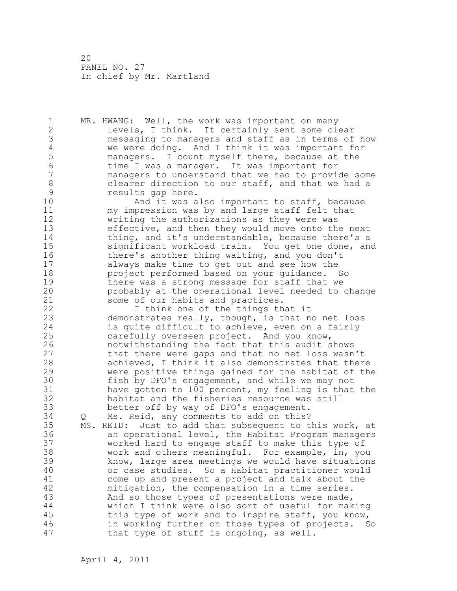1 MR. HWANG: Well, the work was important on many 2 levels, I think. It certainly sent some clear 3 messaging to managers and staff as in terms of how 4 we were doing. And I think it was important for<br>5 managers. I count myself there, because at the 5 managers. I count myself there, because at the<br>6 time I was a manager. It was important for 6 time I was a manager. It was important for managers to understand that we had to provide some 8 clearer direction to our staff, and that we had a<br>9 secults qap here. 9 results gap here.<br>10 and it was a And it was also important to staff, because 11 my impression was by and large staff felt that 12 writing the authorizations as they were was 13 effective, and then they would move onto the next 14 thing, and it's understandable, because there's a 15 significant workload train. You get one done, and 16 there's another thing waiting, and you don't 17 always make time to get out and see how the 18 project performed based on your guidance. So 19 there was a strong message for staff that we<br>20 probably at the operational level needed to probably at the operational level needed to change 21 some of our habits and practices. 22 I think one of the things that it 23 demonstrates really, though, is that no net loss 24 is quite difficult to achieve, even on a fairly 25 carefully overseen project. And you know, 26 notwithstanding the fact that this audit shows<br>27 that there were gaps and that no net loss wasn that there were gaps and that no net loss wasn't 28 achieved, I think it also demonstrates that there 29 were positive things gained for the habitat of the 30 fish by DFO's engagement, and while we may not<br>31 have gotten to 100 percent, my feeling is that have gotten to 100 percent, my feeling is that the 32 habitat and the fisheries resource was still 33 better off by way of DFO's engagement. 34 Q Ms. Reid, any comments to add on this? 35 MS. REID: Just to add that subsequent to this work, at 36 an operational level, the Habitat Program managers 37 worked hard to engage staff to make this type of 38 work and others meaningful. For example, in, you 39 know, large area meetings we would have situations 40 or case studies. So a Habitat practitioner would 41 come up and present a project and talk about the<br>42 mitigation, the compensation in a time series. mitigation, the compensation in a time series. 43 And so those types of presentations were made, 44 which I think were also sort of useful for making 45 this type of work and to inspire staff, you know, 46 in working further on those types of projects. So 47 that type of stuff is ongoing, as well.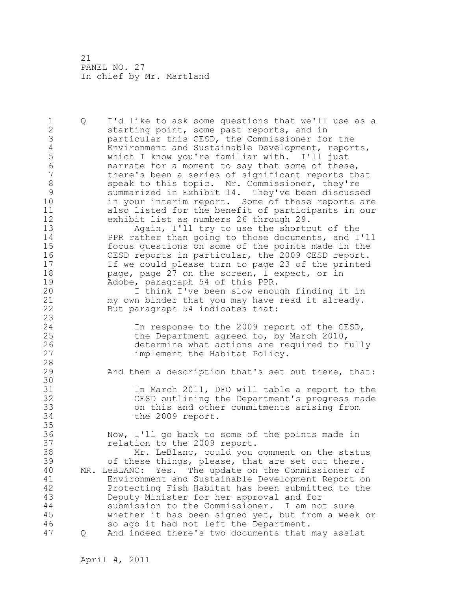1 Q I'd like to ask some questions that we'll use as a 2 starting point, some past reports, and in 3 particular this CESD, the Commissioner for the<br>4 Environment and Sustainable Development, repor 4 Environment and Sustainable Development, reports,<br>5 which I know you're familiar with. I'll just 5 which I know you're familiar with. I'll just 6 marrate for a moment to say that some of these,<br>7 there's been a series of significant reports th there's been a series of significant reports that 8 speak to this topic. Mr. Commissioner, they're<br>9 summarized in Exhibit 14. They've been discuss 9 summarized in Exhibit 14. They've been discussed<br>10 in your interim report. Some of those reports are in your interim report. Some of those reports are 11 also listed for the benefit of participants in our 12 exhibit list as numbers 26 through 29. 13 Again, I'll try to use the shortcut of the 14 PPR rather than going to those documents, and I'll 15 focus questions on some of the points made in the 16 CESD reports in particular, the 2009 CESD report. 17 If we could please turn to page 23 of the printed 18 **page, page 27 on the screen, I expect, or in** 19 Adobe, paragraph 54 of this PPR.<br>20 1 think I've been slow enou I think I've been slow enough finding it in 21 my own binder that you may have read it already. 22 But paragraph 54 indicates that: 23 24 In response to the 2009 report of the CESD, 25 the Department agreed to, by March 2010, 26 determine what actions are required to fully<br>27 implement the Habitat Policy. implement the Habitat Policy. 28 29 And then a description that's set out there, that: 30<br>31 31 1 In March 2011, DFO will table a report to the<br>32 CESD outlining the Department's progress made CESD outlining the Department's progress made 33 on this and other commitments arising from 34 the 2009 report. 35 36 Now, I'll go back to some of the points made in 37 relation to the 2009 report. 38 Mr. LeBlanc, could you comment on the status 39 of these things, please, that are set out there. 40 MR. LeBLANC: Yes. The update on the Commissioner of 41 Environment and Sustainable Development Report on Protecting Fish Habitat has been submitted to the 43 Deputy Minister for her approval and for 44 submission to the Commissioner. I am not sure 45 whether it has been signed yet, but from a week or 46 so ago it had not left the Department. 47 Q And indeed there's two documents that may assist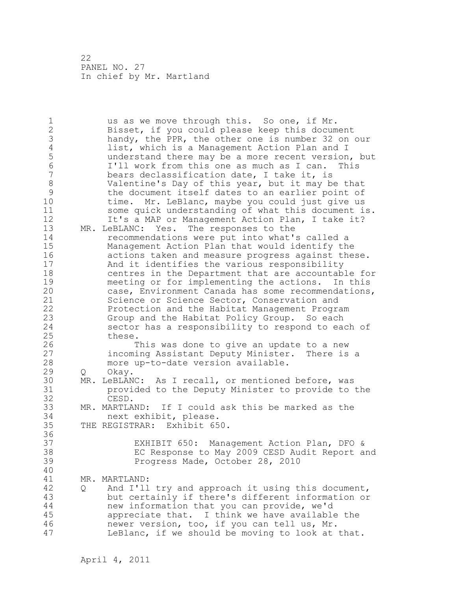1 us as we move through this. So one, if Mr. 2 Bisset, if you could please keep this document 3 handy, the PPR, the other one is number 32 on our<br>4 list, which is a Management Action Plan and I 4 list, which is a Management Action Plan and I<br>5 understand there may be a more recent version 5 understand there may be a more recent version, but 6 I'll work from this one as much as I can. This bears declassification date, I take it, is 8 Valentine's Day of this year, but it may be that 9 the document itself dates to an earlier point of<br>10 time. Mr. LeBlanc, maybe you could just give us time. Mr. LeBlanc, maybe you could just give us 11 some quick understanding of what this document is. 12 It's a MAP or Management Action Plan, I take it? 13 MR. LeBLANC: Yes. The responses to the 14 recommendations were put into what's called a 15 Management Action Plan that would identify the 16 actions taken and measure progress against these. 17 And it identifies the various responsibility 18 centres in the Department that are accountable for 19 meeting or for implementing the actions. In this<br>20 case, Environment Canada has some recommendations case, Environment Canada has some recommendations, 21 Science or Science Sector, Conservation and 22 Protection and the Habitat Management Program 23 Group and the Habitat Policy Group. So each 24 sector has a responsibility to respond to each of 25 these. 26 This was done to give an update to a new<br>27 incoming Assistant Deputy Minister. There is incoming Assistant Deputy Minister. There is a 28 more up-to-date version available. 29 Q Okay. 30 MR. LeBLANC: As I recall, or mentioned before, was 31 provided to the Deputy Minister to provide to the CESD. 33 MR. MARTLAND: If I could ask this be marked as the 34 next exhibit, please. 35 THE REGISTRAR: Exhibit 650. 36 37 EXHIBIT 650: Management Action Plan, DFO & 38 EC Response to May 2009 CESD Audit Report and 39 Progress Made, October 28, 2010 40 41 MR. MARTLAND:<br>42 0 And I'll 42 Q And I'll try and approach it using this document, 43 but certainly if there's different information or 44 new information that you can provide, we'd 45 appreciate that. I think we have available the 46 newer version, too, if you can tell us, Mr. 47 LeBlanc, if we should be moving to look at that.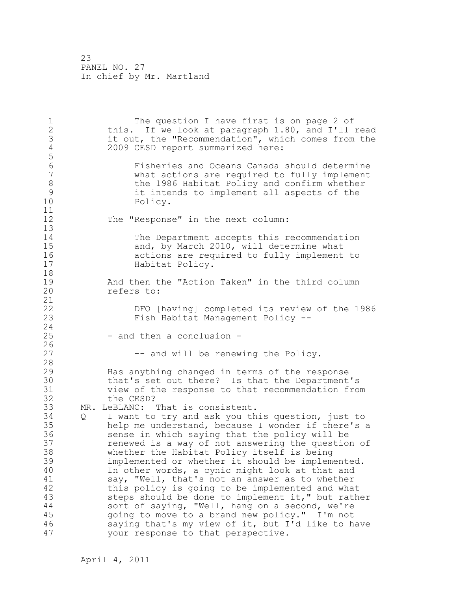1 The question I have first is on page 2 of 2 this. If we look at paragraph 1.80, and I'll read 3 it out, the "Recommendation", which comes from the<br>4 2009 CESD report summarized here: 2009 CESD report summarized here: 5 6 Fisheries and Oceans Canada should determine what actions are required to fully implement 8 the 1986 Habitat Policy and confirm whether<br>9 it intends to implement all aspects of the 9 it intends to implement all aspects of the 10 Policy. 11 12 The "Response" in the next column: 13 14 The Department accepts this recommendation<br>15 and, by March 2010, will determine what 15 and, by March 2010, will determine what<br>16 actions are required to fully implement 16 **16** actions are required to fully implement to 17 Habitat Policy. 18 19 and then the "Action Taken" in the third column<br>20 cefers to: refers to: 21 22 DFO [having] completed its review of the 1986 23 Fish Habitat Management Policy -- 24 25 - and then a conclusion - $\frac{26}{27}$ -- and will be renewing the Policy. 28 29 Has anything changed in terms of the response 30 that's set out there? Is that the Department's<br>31 view of the response to that recommendation from 31 view of the response to that recommendation from the CESD? 33 MR. LeBLANC: That is consistent. 34 Q I want to try and ask you this question, just to 35 help me understand, because I wonder if there's a 36 sense in which saying that the policy will be 37 renewed is a way of not answering the question of 38 whether the Habitat Policy itself is being 39 implemented or whether it should be implemented. 40 In other words, a cynic might look at that and 41 say, "Well, that's not an answer as to whether<br>42 this policy is going to be implemented and wha this policy is going to be implemented and what 43 steps should be done to implement it," but rather 44 sort of saying, "Well, hang on a second, we're 45 going to move to a brand new policy." I'm not 46 saying that's my view of it, but I'd like to have 47 your response to that perspective.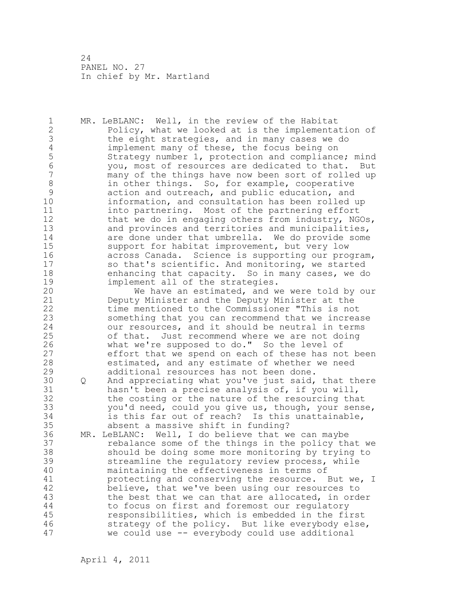1 MR. LeBLANC: Well, in the review of the Habitat 2 Policy, what we looked at is the implementation of 3 the eight strategies, and in many cases we do<br>4 implement many of these, the focus being on 4 implement many of these, the focus being on<br>5 Strategy number 1, protection and compliance 5 Strategy number 1, protection and compliance; mind 6 you, most of resources are dedicated to that. But many of the things have now been sort of rolled up 8 in other things. So, for example, cooperative<br>9 action and outreach, and public education, and 9 action and outreach, and public education, and<br>10 10 information, and consultation has been rolled information, and consultation has been rolled up 11 into partnering. Most of the partnering effort 12 that we do in engaging others from industry, NGOs, 13 and provinces and territories and municipalities, 14 are done under that umbrella. We do provide some 15 support for habitat improvement, but very low 16 across Canada. Science is supporting our program, 17 so that's scientific. And monitoring, we started 18 enhancing that capacity. So in many cases, we do 19 implement all of the strategies.<br>20 We have an estimated, and w We have an estimated, and we were told by our 21 Deputy Minister and the Deputy Minister at the 22 time mentioned to the Commissioner "This is not 23 something that you can recommend that we increase 24 our resources, and it should be neutral in terms 25 of that. Just recommend where we are not doing 26 what we're supposed to do." So the level of<br>27 effort that we spend on each of these has no effort that we spend on each of these has not been 28 estimated, and any estimate of whether we need 29 additional resources has not been done. 30 Q And appreciating what you've just said, that there<br>31 hasn't been a precise analysis of, if you will, hasn't been a precise analysis of, if you will, 32 the costing or the nature of the resourcing that 33 you'd need, could you give us, though, your sense, 34 is this far out of reach? Is this unattainable, 35 absent a massive shift in funding? 36 MR. LeBLANC: Well, I do believe that we can maybe 37 rebalance some of the things in the policy that we 38 should be doing some more monitoring by trying to 39 streamline the regulatory review process, while 40 maintaining the effectiveness in terms of 41 protecting and conserving the resource. But we, I<br>42 believe, that we've been using our resources to believe, that we've been using our resources to 43 the best that we can that are allocated, in order 44 to focus on first and foremost our regulatory 45 responsibilities, which is embedded in the first 46 strategy of the policy. But like everybody else, 47 we could use -- everybody could use additional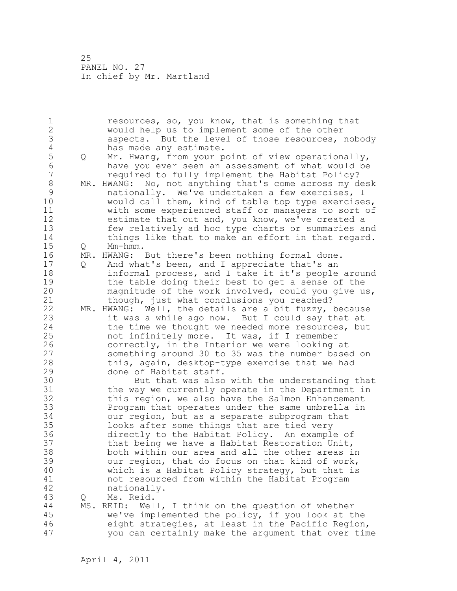1 resources, so, you know, that is something that 2 would help us to implement some of the other 3 aspects. But the level of those resources, nobody 4 has made any estimate.<br>5 0 Mr. Hwang, from your p 5 Q Mr. Hwang, from your point of view operationally,<br>6 have you ever seen an assessment of what would be 6 have you ever seen an assessment of what would be 7 required to fully implement the Habitat Policy? 8 MR. HWANG: No, not anything that's come across my desk 9 mationally. We've undertaken a few exercises, I<br>10 would call them, kind of table top type exercise would call them, kind of table top type exercises, 11 with some experienced staff or managers to sort of 12 estimate that out and, you know, we've created a 13 few relatively ad hoc type charts or summaries and 14 things like that to make an effort in that regard. 15 Q Mm-hmm. 16 MR. HWANG: But there's been nothing formal done. 17 Q And what's been, and I appreciate that's an 18 informal process, and I take it it's people around 19 the table doing their best to get a sense of the<br>20 magnitude of the work involved, could you give u magnitude of the work involved, could you give us, 21 though, just what conclusions you reached? 22 MR. HWANG: Well, the details are a bit fuzzy, because 23 it was a while ago now. But I could say that at 24 the time we thought we needed more resources, but 25 not infinitely more. It was, if I remember 26 correctly, in the Interior we were looking at<br>27 something around 30 to 35 was the number base something around 30 to 35 was the number based on 28 this, again, desktop-type exercise that we had 29 done of Habitat staff. 30 But that was also with the understanding that<br>31 the way we currently operate in the Department in the way we currently operate in the Department in 32 this region, we also have the Salmon Enhancement 33 Program that operates under the same umbrella in 34 our region, but as a separate subprogram that 35 looks after some things that are tied very 36 directly to the Habitat Policy. An example of 37 that being we have a Habitat Restoration Unit, 38 both within our area and all the other areas in 39 our region, that do focus on that kind of work, 40 which is a Habitat Policy strategy, but that is 41 not resourced from within the Habitat Program<br>42 hationally. nationally. 43 Q Ms. Reid. 44 MS. REID: Well, I think on the question of whether 45 we've implemented the policy, if you look at the 46 eight strategies, at least in the Pacific Region, 47 you can certainly make the argument that over time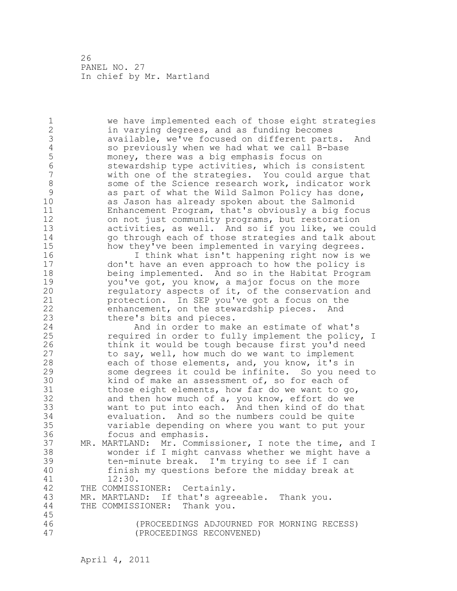1 we have implemented each of those eight strategies 2 in varying degrees, and as funding becomes 3 available, we've focused on different parts. And<br>4 so previously when we had what we call B-base 4 so previously when we had what we call B-base<br>5 money, there was a big emphasis focus on 5 money, there was a big emphasis focus on<br>6 stewardship type activities, which is com 6 stewardship type activities, which is consistent with one of the strategies. You could argue that 8 some of the Science research work, indicator work<br>9 as part of what the Wild Salmon Policy has done, 9 as part of what the Wild Salmon Policy has done,<br>10 as Jason has already spoken about the Salmonid as Jason has already spoken about the Salmonid 11 Enhancement Program, that's obviously a big focus 12 on not just community programs, but restoration 13 activities, as well. And so if you like, we could 14 go through each of those strategies and talk about 15 how they've been implemented in varying degrees. 16 I think what isn't happening right now is we 17 don't have an even approach to how the policy is 18 being implemented. And so in the Habitat Program 19 you've got, you know, a major focus on the more<br>20 cequlatory aspects of it, of the conservation and regulatory aspects of it, of the conservation and 21 protection. In SEP you've got a focus on the 22 enhancement, on the stewardship pieces. And 23 there's bits and pieces. 24 And in order to make an estimate of what's 25 required in order to fully implement the policy, I 26 think it would be tough because first you'd need<br>27 to say, well, how much do we want to implement to say, well, how much do we want to implement 28 each of those elements, and, you know, it's in 29 some degrees it could be infinite. So you need to 30 kind of make an assessment of, so for each of<br>31 those eight elements, how far do we want to g 31 those eight elements, how far do we want to go,<br>32 and then how much of a, you know, effort do we and then how much of a, you know, effort do we 33 want to put into each. And then kind of do that 34 evaluation. And so the numbers could be quite 35 variable depending on where you want to put your 36 focus and emphasis. 37 MR. MARTLAND: Mr. Commissioner, I note the time, and I 38 wonder if I might canvass whether we might have a 39 ten-minute break. I'm trying to see if I can 40 finish my questions before the midday break at 41 12:30.<br>42 THE COMMISS THE COMMISSIONER: Certainly. 43 MR. MARTLAND: If that's agreeable. Thank you. 44 THE COMMISSIONER: Thank you. 45 46 (PROCEEDINGS ADJOURNED FOR MORNING RECESS) 47 (PROCEEDINGS RECONVENED)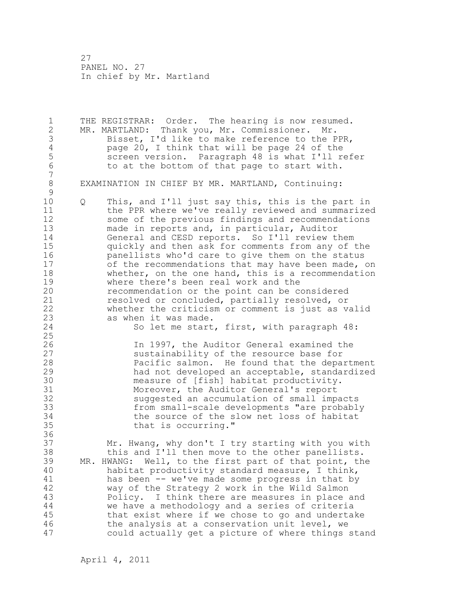1 THE REGISTRAR: Order. The hearing is now resumed. 2 MR. MARTLAND: Thank you, Mr. Commissioner. Mr. 3 Bisset, I'd like to make reference to the PPR,<br>4 page 20, I think that will be page 24 of the 4 page 20, I think that will be page 24 of the<br>5 screen version. Paragraph 48 is what I'll re 5 screen version. Paragraph 48 is what I'll refer<br>6 to at the bottom of that page to start with. to at the bottom of that page to start with. 7 8 EXAMINATION IN CHIEF BY MR. MARTLAND, Continuing:  $\begin{array}{c} 9 \\ 10 \end{array}$ 10 Q This, and I'll just say this, this is the part in 11 the PPR where we've really reviewed and summarized 12 some of the previous findings and recommendations 13 made in reports and, in particular, Auditor 14 General and CESD reports. So I'll review them 15 quickly and then ask for comments from any of the 16 panellists who'd care to give them on the status 17 of the recommendations that may have been made, on 18 whether, on the one hand, this is a recommendation 19 where there's been real work and the<br>20 mecommendation or the point can be commendation or the point can be commendation recommendation or the point can be considered 21 resolved or concluded, partially resolved, or 22 whether the criticism or comment is just as valid 23 as when it was made. 24 So let me start, first, with paragraph 48: 25 26 1n 1997, the Auditor General examined the<br>27 sustainability of the resource base for 27 sustainability of the resource base for<br>28 **Pacific salmon.** He found that the depa Pacific salmon. He found that the department 29 had not developed an acceptable, standardized 30 measure of [fish] habitat productivity.<br>31 Moreover, the Auditor General's report 31 Moreover, the Auditor General's report<br>32 suggested an accumulation of small imp. suggested an accumulation of small impacts 33 from small-scale developments "are probably 34 the source of the slow net loss of habitat 35 that is occurring." 36 37 Mr. Hwang, why don't I try starting with you with 38 this and I'll then move to the other panellists. 39 MR. HWANG: Well, to the first part of that point, the 40 habitat productivity standard measure, I think, 41 has been -- we've made some progress in that by<br>42 way of the Strategy 2 work in the Wild Salmon way of the Strategy 2 work in the Wild Salmon 43 Policy. I think there are measures in place and 44 we have a methodology and a series of criteria 45 that exist where if we chose to go and undertake 46 the analysis at a conservation unit level, we 47 could actually get a picture of where things stand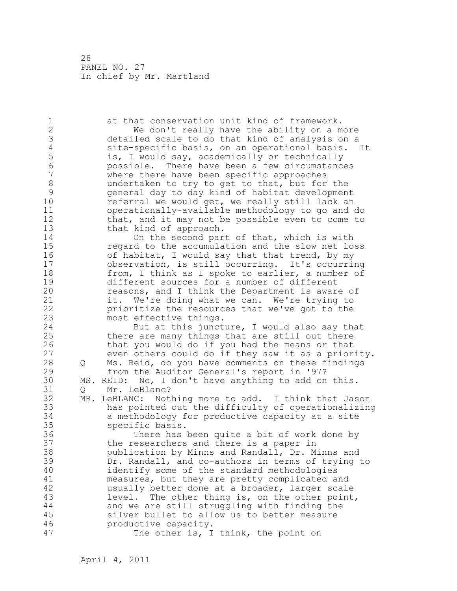1 at that conservation unit kind of framework. 2 We don't really have the ability on a more 3 detailed scale to do that kind of analysis on a 4 site-specific basis, on an operational basis. It 5 is, I would say, academically or technically<br>6 bossible. There have been a few circumstance 6 possible. There have been a few circumstances where there have been specific approaches 8 undertaken to try to get to that, but for the<br>9 general day to day kind of habitat developmen 9 general day to day kind of habitat development referral we would get, we really still lack an 11 operationally-available methodology to go and do 12 that, and it may not be possible even to come to 13 that kind of approach. 14 On the second part of that, which is with 15 regard to the accumulation and the slow net loss 16 of habitat, I would say that that trend, by my 17 observation, is still occurring. It's occurring 18 from, I think as I spoke to earlier, a number of 19 different sources for a number of different<br>20 measons, and I think the Department is awar reasons, and I think the Department is aware of 21 it. We're doing what we can. We're trying to 22 prioritize the resources that we've got to the 23 most effective things. 24 But at this juncture, I would also say that 25 there are many things that are still out there 26 that you would do if you had the means or that<br>27 even others could do if they saw it as a prior even others could do if they saw it as a priority. 28 Q Ms. Reid, do you have comments on these findings 29 from the Auditor General's report in '97? 30 MS. REID: No, I don't have anything to add on this. Q Mr. LeBlanc? 32 MR. LeBLANC: Nothing more to add. I think that Jason 33 has pointed out the difficulty of operationalizing 34 a methodology for productive capacity at a site 35 specific basis. 36 There has been quite a bit of work done by 37 the researchers and there is a paper in 38 publication by Minns and Randall, Dr. Minns and 39 Dr. Randall, and co-authors in terms of trying to 40 identify some of the standard methodologies 41 measures, but they are pretty complicated and 42 usually better done at a broader, larger scale 43 level. The other thing is, on the other point, 44 and we are still struggling with finding the 45 silver bullet to allow us to better measure 46 productive capacity. 47 The other is, I think, the point on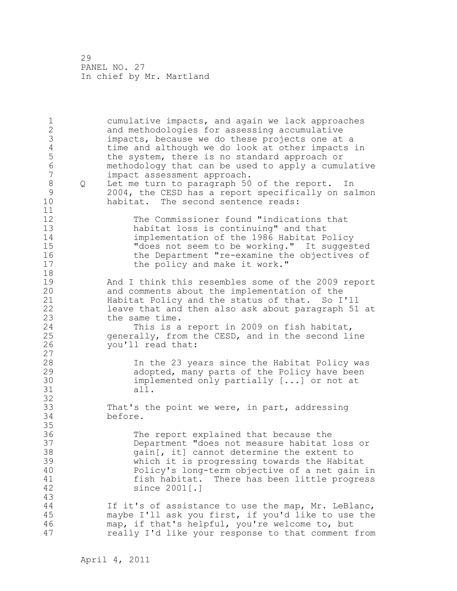| $\mathbf 1$<br>$\frac{2}{3}$<br>$\overline{4}$<br>5<br>$6\phantom{a}$<br>$\overline{7}$<br>$\,8\,$<br>Q<br>$\mathcal{G}$<br>10<br>11 | cumulative impacts, and again we lack approaches<br>and methodologies for assessing accumulative<br>impacts, because we do these projects one at a<br>time and although we do look at other impacts in<br>the system, there is no standard approach or<br>methodology that can be used to apply a cumulative<br>impact assessment approach.<br>Let me turn to paragraph 50 of the report. In<br>2004, the CESD has a report specifically on salmon<br>habitat. The second sentence reads: |
|--------------------------------------------------------------------------------------------------------------------------------------|-------------------------------------------------------------------------------------------------------------------------------------------------------------------------------------------------------------------------------------------------------------------------------------------------------------------------------------------------------------------------------------------------------------------------------------------------------------------------------------------|
| 12<br>13<br>14<br>15<br>16<br>17<br>18                                                                                               | The Commissioner found "indications that<br>habitat loss is continuing" and that<br>implementation of the 1986 Habitat Policy<br>"does not seem to be working." It suggested<br>the Department "re-examine the objectives of<br>the policy and make it work."                                                                                                                                                                                                                             |
| 19<br>20<br>21<br>22<br>23<br>24<br>25<br>26<br>27                                                                                   | And I think this resembles some of the 2009 report<br>and comments about the implementation of the<br>Habitat Policy and the status of that. So I'll<br>leave that and then also ask about paragraph 51 at<br>the same time.<br>This is a report in 2009 on fish habitat,<br>generally, from the CESD, and in the second line<br>you'll read that:                                                                                                                                        |
| 28<br>29<br>30<br>31<br>32                                                                                                           | In the 23 years since the Habitat Policy was<br>adopted, many parts of the Policy have been<br>implemented only partially $[]$ or not at<br>all.                                                                                                                                                                                                                                                                                                                                          |
| 33<br>34<br>35                                                                                                                       | That's the point we were, in part, addressing<br>before.                                                                                                                                                                                                                                                                                                                                                                                                                                  |
| 36<br>37<br>38<br>39<br>40<br>41<br>42<br>43                                                                                         | The report explained that because the<br>Department "does not measure habitat loss or<br>gain [, it] cannot determine the extent to<br>which it is progressing towards the Habitat<br>Policy's long-term objective of a net gain in<br>There has been little progress<br>fish habitat.<br>since 2001[.]                                                                                                                                                                                   |
| 44<br>45<br>46<br>47                                                                                                                 | If it's of assistance to use the map, Mr. LeBlanc,<br>maybe I'll ask you first, if you'd like to use the<br>map, if that's helpful, you're welcome to, but<br>really I'd like your response to that comment from                                                                                                                                                                                                                                                                          |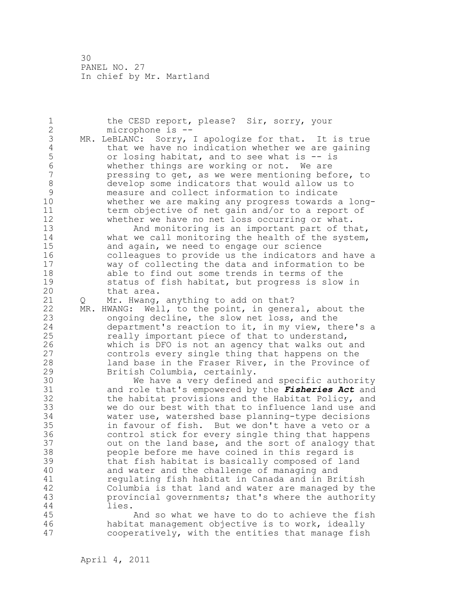1 the CESD report, please? Sir, sorry, your 2 microphone is -- 3 MR. LeBLANC: Sorry, I apologize for that. It is true<br>4 that we have no indication whether we are gaining 4 that we have no indication whether we are gaining<br>5 or losing habitat, and to see what is -- is 5 or losing habitat, and to see what is -- is 6 whether things are working or not. We are pressing to get, as we were mentioning before, to 8 develop some indicators that would allow us to<br>9 measure and collect information to indicate 9 measure and collect information to indicate whether we are making any progress towards a long-11 term objective of net gain and/or to a report of 12 whether we have no net loss occurring or what. 13 And monitoring is an important part of that, 14 what we call monitoring the health of the system, 15 and again, we need to engage our science 16 colleagues to provide us the indicators and have a 17 way of collecting the data and information to be 18 able to find out some trends in terms of the 19 status of fish habitat, but progress is slow in<br>20 that area. that area. 21 Q Mr. Hwang, anything to add on that? 22 MR. HWANG: Well, to the point, in general, about the 23 ongoing decline, the slow net loss, and the 24 department's reaction to it, in my view, there's a 25 really important piece of that to understand, 26 which is DFO is not an agency that walks out and<br>27 controls every single thing that happens on the controls every single thing that happens on the 28 land base in the Fraser River, in the Province of 29 British Columbia, certainly. 30 We have a very defined and specific authority<br>31 and role that's empowered by the *Fisheries Act* and and role that's empowered by the *Fisheries Act* and 32 the habitat provisions and the Habitat Policy, and 33 we do our best with that to influence land use and 34 water use, watershed base planning-type decisions 35 in favour of fish. But we don't have a veto or a 36 control stick for every single thing that happens 37 out on the land base, and the sort of analogy that 38 people before me have coined in this regard is 39 that fish habitat is basically composed of land 40 and water and the challenge of managing and 41 regulating fish habitat in Canada and in British<br>42 Columbia is that land and water are managed by tl Columbia is that land and water are managed by the 43 provincial governments; that's where the authority 44 lies. 45 And so what we have to do to achieve the fish 46 habitat management objective is to work, ideally 47 cooperatively, with the entities that manage fish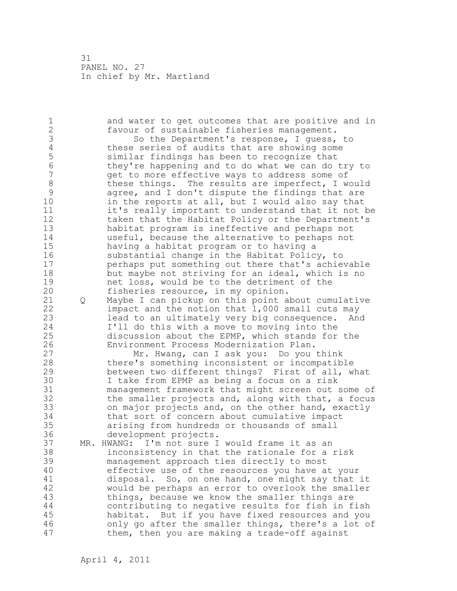1 and water to get outcomes that are positive and in 2 favour of sustainable fisheries management. 3 So the Department's response, I guess, to<br>4 these series of audits that are showing some 4 these series of audits that are showing some<br>5 similar findings has been to recognize that 5 similar findings has been to recognize that 6 they're happening and to do what we can do try to get to more effective ways to address some of 8 these things. The results are imperfect, I would<br>9 agree, and I don't dispute the findings that are 9 agree, and I don't dispute the findings that are<br>10 in the reports at all, but I would also sav that in the reports at all, but I would also say that 11 it's really important to understand that it not be 12 taken that the Habitat Policy or the Department's 13 habitat program is ineffective and perhaps not 14 useful, because the alternative to perhaps not 15 having a habitat program or to having a 16 substantial change in the Habitat Policy, to 17 perhaps put something out there that's achievable 18 but maybe not striving for an ideal, which is no 19 net loss, would be to the detriment of the<br>20 fisheries resource, in my opinion. fisheries resource, in my opinion. 21 Q Maybe I can pickup on this point about cumulative 22 impact and the notion that 1,000 small cuts may 23 lead to an ultimately very big consequence. And 24 I'll do this with a move to moving into the 25 discussion about the EPMP, which stands for the 26 Environment Process Modernization Plan.<br>27 Mr. Hwang, can I ask you: Do you Mr. Hwang, can I ask you: Do you think 28 there's something inconsistent or incompatible 29 between two different things? First of all, what 30 I take from EPMP as being a focus on a risk<br>31 management framework that might screen out : management framework that might screen out some of 32 the smaller projects and, along with that, a focus 33 on major projects and, on the other hand, exactly 34 that sort of concern about cumulative impact 35 arising from hundreds or thousands of small 36 development projects. 37 MR. HWANG: I'm not sure I would frame it as an 38 inconsistency in that the rationale for a risk 39 management approach ties directly to most 40 effective use of the resources you have at your 41 disposal. So, on one hand, one might say that it<br>42 would be perhaps an error to overlook the smaller would be perhaps an error to overlook the smaller 43 things, because we know the smaller things are 44 contributing to negative results for fish in fish 45 habitat. But if you have fixed resources and you 46 only go after the smaller things, there's a lot of 47 them, then you are making a trade-off against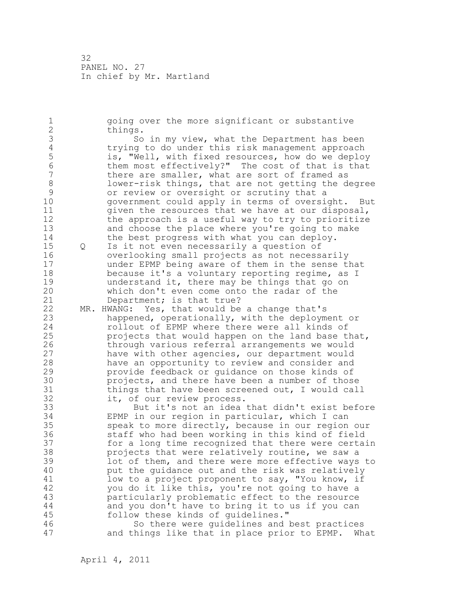1 going over the more significant or substantive 2 things. 3 So in my view, what the Department has been<br>4 trying to do under this risk management approach 4 trying to do under this risk management approach<br>5 (1995) is, "Well, with fixed resources, how do we deplo 5 is, "Well, with fixed resources, how do we deploy<br>6 them most effectivelv?" The cost of that is that 6 them most effectively?" The cost of that is that<br>7 there are smaller, what are sort of framed as there are smaller, what are sort of framed as 8 lower-risk things, that are not getting the degree<br>9 or review or oversight or scrutiny that a 9 or review or oversight or scrutiny that a<br>10 or overnment could apply in terms of oversi government could apply in terms of oversight. But 11 given the resources that we have at our disposal, 12 the approach is a useful way to try to prioritize 13 and choose the place where you're going to make 14 the best progress with what you can deploy. 15 Q Is it not even necessarily a question of 16 overlooking small projects as not necessarily 17 under EPMP being aware of them in the sense that 18 because it's a voluntary reporting regime, as I 19 understand it, there may be things that go on<br>20 which don't even come onto the radar of the which don't even come onto the radar of the 21 Department; is that true? 22 MR. HWANG: Yes, that would be a change that's 23 happened, operationally, with the deployment or 24 rollout of EPMP where there were all kinds of 25 projects that would happen on the land base that, 26 through various referral arrangements we would<br>27 have with other agencies, our department would have with other agencies, our department would 28 have an opportunity to review and consider and 29 provide feedback or guidance on those kinds of 30 projects, and there have been a number of those<br>31 bhings that have been screened out. I would call 31 things that have been screened out, I would call<br>32 it, of our review process. it, of our review process. 33 But it's not an idea that didn't exist before 34 EPMP in our region in particular, which I can 35 speak to more directly, because in our region our 36 staff who had been working in this kind of field 37 for a long time recognized that there were certain 38 projects that were relatively routine, we saw a 39 lot of them, and there were more effective ways to 40 put the guidance out and the risk was relatively 41 low to a project proponent to say, "You know, if<br>42 vou do it like this, you're not going to have a you do it like this, you're not going to have a 43 particularly problematic effect to the resource 44 and you don't have to bring it to us if you can 45 follow these kinds of guidelines." 46 So there were guidelines and best practices 47 and things like that in place prior to EPMP. What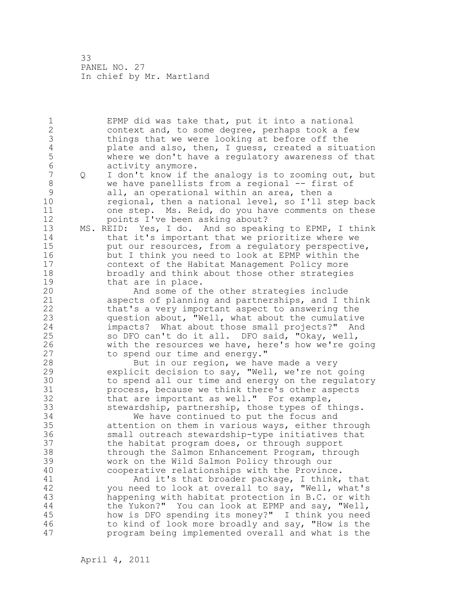1 EPMP did was take that, put it into a national 2 context and, to some degree, perhaps took a few 3 things that we were looking at before off the<br>4 plate and also, then, I quess, created a situ 4 plate and also, then, I guess, created a situation<br>5 where we don't have a regulatory awareness of that 5 where we don't have a regulatory awareness of that 6 activity anymore.<br>7 0 I don't know if t 7 Q I don't know if the analogy is to zooming out, but 8 we have panellists from a regional -- first of 9 all, an operational within an area, then a<br>10 regional, then a national level, so I'll s regional, then a national level, so I'll step back 11 one step. Ms. Reid, do you have comments on these 12 points I've been asking about? 13 MS. REID: Yes, I do. And so speaking to EPMP, I think 14 that it's important that we prioritize where we 15 put our resources, from a regulatory perspective, 16 but I think you need to look at EPMP within the 17 context of the Habitat Management Policy more 18 broadly and think about those other strategies 19 that are in place.<br>20 And some of t And some of the other strategies include 21 aspects of planning and partnerships, and I think 22 that's a very important aspect to answering the 23 question about, "Well, what about the cumulative 24 impacts? What about those small projects?" And 25 so DFO can't do it all. DFO said, "Okay, well, 26 with the resources we have, here's how we're going<br>27 to spend our time and energy." to spend our time and energy." 28 But in our region, we have made a very 29 explicit decision to say, "Well, we're not going 30 to spend all our time and energy on the regulatory<br>31 process, because we think there's other aspects 31 process, because we think there's other aspects<br>32 that are important as well." For example, that are important as well." For example, 33 stewardship, partnership, those types of things. 34 We have continued to put the focus and 35 attention on them in various ways, either through 36 small outreach stewardship-type initiatives that 37 the habitat program does, or through support 38 through the Salmon Enhancement Program, through 39 work on the Wild Salmon Policy through our 40 cooperative relationships with the Province. 41 And it's that broader package, I think, that<br>42 vou need to look at overall to say, "Well, what's you need to look at overall to say, "Well, what's 43 happening with habitat protection in B.C. or with 44 the Yukon?" You can look at EPMP and say, "Well, 45 how is DFO spending its money?" I think you need 46 to kind of look more broadly and say, "How is the 47 program being implemented overall and what is the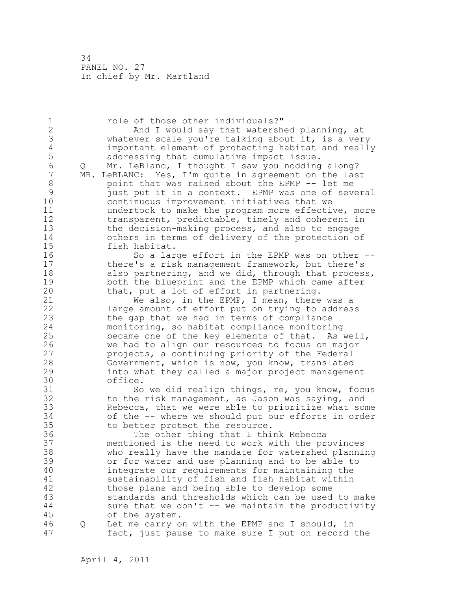1 role of those other individuals?" 2 And I would say that watershed planning, at 3 whatever scale you're talking about it, is a very<br>4 important element of protecting habitat and reall 4 important element of protecting habitat and really 5 addressing that cumulative impact issue.<br>6 0 Mr. LeBlanc, I thought I saw you nodding 6 Q Mr. LeBlanc, I thought I saw you nodding along? MR. LeBLANC: Yes, I'm quite in agreement on the last 8 boint that was raised about the EPMP -- let me 9 just put it in a context. EPMP was one of several continuous improvement initiatives that we 11 undertook to make the program more effective, more 12 transparent, predictable, timely and coherent in 13 the decision-making process, and also to engage 14 others in terms of delivery of the protection of 15 fish habitat. 16 So a large effort in the EPMP was on other --17 there's a risk management framework, but there's 18 also partnering, and we did, through that process, 19 both the blueprint and the EPMP which came after<br>20 that, put a lot of effort in partnering. that, put a lot of effort in partnering. 21 We also, in the EPMP, I mean, there was a 22 large amount of effort put on trying to address 23 the gap that we had in terms of compliance 24 monitoring, so habitat compliance monitoring 25 became one of the key elements of that. As well, 26 we had to align our resources to focus on major<br>27 brojects, a continuing priority of the Federal projects, a continuing priority of the Federal 28 Government, which is now, you know, translated 29 into what they called a major project management 30 office.<br>31 So 31 So we did realign things, re, you know, focus<br>32 to the risk management, as Jason was saving, and to the risk management, as Jason was saying, and 33 Rebecca, that we were able to prioritize what some 34 of the -- where we should put our efforts in order 35 to better protect the resource. 36 The other thing that I think Rebecca 37 mentioned is the need to work with the provinces 38 who really have the mandate for watershed planning 39 or for water and use planning and to be able to 40 integrate our requirements for maintaining the 41 sustainability of fish and fish habitat within<br>42 those plans and being able to develop some those plans and being able to develop some 43 standards and thresholds which can be used to make 44 sure that we don't -- we maintain the productivity 45 of the system. 46 Q Let me carry on with the EPMP and I should, in 47 fact, just pause to make sure I put on record the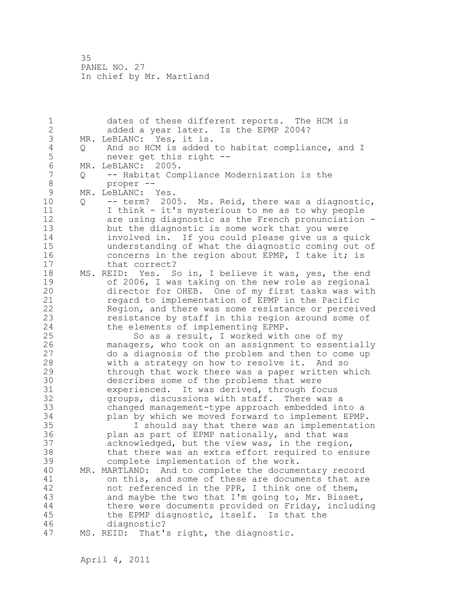1 dates of these different reports. The HCM is 2 added a year later. Is the EPMP 2004? 3 MR. LeBLANC: Yes, it is.<br>4 Q And so HCM is added 4 Q And so HCM is added to habitat compliance, and I<br>5 mever get this right --5 never get this right --<br>6 MR. LeBLANC: 2005. 6 MR. LeBLANC: 2005.<br>7 0 -- Habitat Com 7 Q -- Habitat Compliance Modernization is the 8 proper --<br>9 MR. LeBLANC: 9 MR. LeBLANC: Yes.<br>10 0 -- term? 200 10 Q -- term? 2005. Ms. Reid, there was a diagnostic, 11 I think - it's mysterious to me as to why people 12 are using diagnostic as the French pronunciation - 13 but the diagnostic is some work that you were 14 involved in. If you could please give us a quick 15 understanding of what the diagnostic coming out of 16 concerns in the region about EPMP, I take it; is 17 that correct? 18 MS. REID: Yes. So in, I believe it was, yes, the end 19 of 2006, I was taking on the new role as regional<br>20 director for OHEB. One of my first tasks was with director for OHEB. One of my first tasks was with 21 regard to implementation of EPMP in the Pacific 22 Region, and there was some resistance or perceived 23 resistance by staff in this region around some of 24 the elements of implementing EPMP. 25 So as a result, I worked with one of my 26 managers, who took on an assignment to essentially<br>27 do a diagnosis of the problem and then to come up 27 do a diagnosis of the problem and then to come up 28 with a strategy on how to resolve it. And so 29 through that work there was a paper written which 30 describes some of the problems that were<br>31 experienced. It was derived, through fo 31 experienced. It was derived, through focus<br>32 oroups, discussions with staff. There was groups, discussions with staff. There was a 33 changed management-type approach embedded into a 34 plan by which we moved forward to implement EPMP. 35 I should say that there was an implementation 36 plan as part of EPMP nationally, and that was 37 acknowledged, but the view was, in the region, 38 that there was an extra effort required to ensure 39 complete implementation of the work. 40 MR. MARTLAND: And to complete the documentary record 41 on this, and some of these are documents that are<br>42 hot referenced in the PPR, I think one of them, not referenced in the PPR, I think one of them, 43 and maybe the two that I'm going to, Mr. Bisset, 44 there were documents provided on Friday, including 45 the EPMP diagnostic, itself. Is that the 46 diagnostic? 47 MS. REID: That's right, the diagnostic.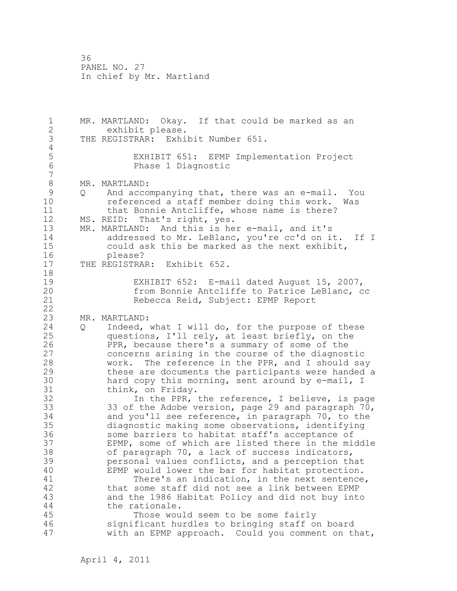1 MR. MARTLAND: Okay. If that could be marked as an 2 exhibit please. 3 THE REGISTRAR: Exhibit Number 651.  $\frac{4}{5}$ 5 EXHIBIT 651: EPMP Implementation Project Phase 1 Diagnostic 7 8 MR. MARTLAND:<br>9 0 And acco 9 Q And accompanying that, there was an e-mail. You<br>10 Seferenced a staff member doing this work. Was referenced a staff member doing this work. Was 11 that Bonnie Antcliffe, whose name is there? 12 MS. REID: That's right, yes. 13 MR. MARTLAND: And this is her e-mail, and it's 14 addressed to Mr. LeBlanc, you're cc'd on it. If I 15 could ask this be marked as the next exhibit, 16 please? 17 THE REGISTRAR: Exhibit 652. 18 19 EXHIBIT 652: E-mail dated August 15, 2007,<br>20 from Bonnie Antcliffe to Patrice LeBlanc, c from Bonnie Antcliffe to Patrice LeBlanc, cc 21 Rebecca Reid, Subject: EPMP Report 22 23 MR. MARTLAND: 24 Q Indeed, what I will do, for the purpose of these 25 questions, I'll rely, at least briefly, on the 26 PPR, because there's a summary of some of the<br>27 concerns arising in the course of the diagnos concerns arising in the course of the diagnostic 28 work. The reference in the PPR, and I should say 29 these are documents the participants were handed a 30 hard copy this morning, sent around by e-mail, I<br>31 think, on Fridav. 31 think, on Friday.<br>32 In the PPR, In the PPR, the reference, I believe, is page 33 33 of the Adobe version, page 29 and paragraph 70, 34 and you'll see reference, in paragraph 70, to the 35 diagnostic making some observations, identifying 36 some barriers to habitat staff's acceptance of 37 EPMP, some of which are listed there in the middle 38 of paragraph 70, a lack of success indicators, 39 personal values conflicts, and a perception that 40 EPMP would lower the bar for habitat protection. 41 There's an indication, in the next sentence,<br>42 that some staff did not see a link between EPMP that some staff did not see a link between EPMP 43 and the 1986 Habitat Policy and did not buy into 44 the rationale. 45 Those would seem to be some fairly 46 significant hurdles to bringing staff on board 47 with an EPMP approach. Could you comment on that,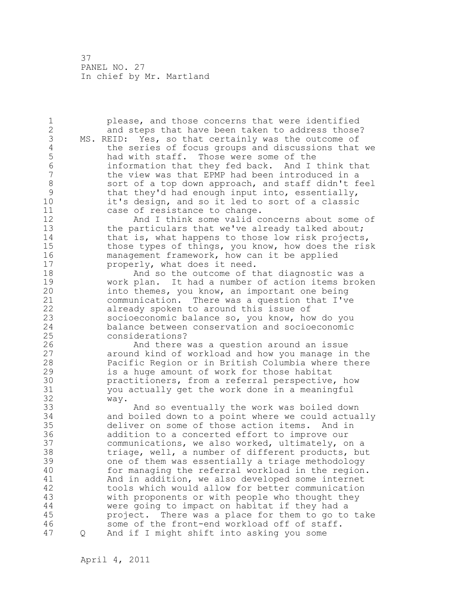1 please, and those concerns that were identified 2 and steps that have been taken to address those? 3 MS. REID: Yes, so that certainly was the outcome of<br>4 the series of focus groups and discussions that 4 the series of focus groups and discussions that we<br>5 had with staff. Those were some of the 5 had with staff. Those were some of the 6 information that they fed back. And I think that the view was that EPMP had been introduced in a 8 sort of a top down approach, and staff didn't feel 9 that they'd had enough input into, essentially,<br>10 it's design, and so it led to sort of a classic it's design, and so it led to sort of a classic 11 case of resistance to change. 12 And I think some valid concerns about some of 13 the particulars that we've already talked about; 14 that is, what happens to those low risk projects, 15 those types of things, you know, how does the risk 16 management framework, how can it be applied 17 properly, what does it need. 18 And so the outcome of that diagnostic was a 19 work plan. It had a number of action items broken<br>20 into themes, you know, an important one being into themes, you know, an important one being 21 communication. There was a question that I've 22 already spoken to around this issue of 23 socioeconomic balance so, you know, how do you 24 balance between conservation and socioeconomic 25 considerations? 26 And there was a question around an issue<br>27 around kind of workload and how you manage in around kind of workload and how you manage in the 28 Pacific Region or in British Columbia where there 29 is a huge amount of work for those habitat 30 **practitioners, from a referral perspective, how**<br>31 vou actually get the work done in a meaningful 31 you actually get the work done in a meaningful way. 33 And so eventually the work was boiled down 34 and boiled down to a point where we could actually 35 deliver on some of those action items. And in 36 addition to a concerted effort to improve our 37 communications, we also worked, ultimately, on a 38 triage, well, a number of different products, but 39 one of them was essentially a triage methodology 40 for managing the referral workload in the region. 41 and in addition, we also developed some internet<br>42 tools which would allow for better communication tools which would allow for better communication 43 with proponents or with people who thought they 44 were going to impact on habitat if they had a 45 project. There was a place for them to go to take 46 some of the front-end workload off of staff. 47 Q And if I might shift into asking you some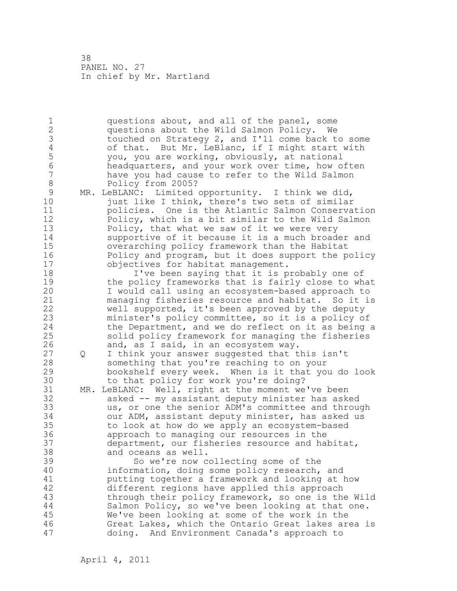1 questions about, and all of the panel, some 2 questions about the Wild Salmon Policy. We 3 touched on Strategy 2, and I'll come back to some<br>4 of that. But Mr. LeBlanc, if I might start with 4 of that. But Mr. LeBlanc, if I might start with<br>5 vou, you are working, obviously, at national 5 you, you are working, obviously, at national 6 headquarters, and your work over time, how often have you had cause to refer to the Wild Salmon 8 Policy from 2005? 9 MR. LeBLANC: Limited opportunity. I think we did,<br>10 iust like I think, there's two sets of similar just like I think, there's two sets of similar 11 policies. One is the Atlantic Salmon Conservation 12 Policy, which is a bit similar to the Wild Salmon 13 Policy, that what we saw of it we were very 14 supportive of it because it is a much broader and 15 overarching policy framework than the Habitat 16 Policy and program, but it does support the policy 17 objectives for habitat management. 18 I've been saying that it is probably one of 19 the policy frameworks that is fairly close to what<br>20 I would call using an ecosystem-based approach to I would call using an ecosystem-based approach to 21 managing fisheries resource and habitat. So it is 22 well supported, it's been approved by the deputy 23 minister's policy committee, so it is a policy of 24 the Department, and we do reflect on it as being a 25 solid policy framework for managing the fisheries 26 and, as I said, in an ecosystem way.<br>27 Q I think your answer suggested that t 27 Q I think your answer suggested that this isn't 28 something that you're reaching to on your 29 bookshelf every week. When is it that you do look 30 to that policy for work you're doing?<br>31 MR. LeBLANC: Well, right at the moment we MR. LeBLANC: Well, right at the moment we've been 32 asked -- my assistant deputy minister has asked 33 us, or one the senior ADM's committee and through 34 our ADM, assistant deputy minister, has asked us 35 to look at how do we apply an ecosystem-based 36 approach to managing our resources in the 37 department, our fisheries resource and habitat, 38 and oceans as well. 39 So we're now collecting some of the 40 information, doing some policy research, and 41 putting together a framework and looking at how<br>42 different regions have applied this approach different regions have applied this approach 43 through their policy framework, so one is the Wild 44 Salmon Policy, so we've been looking at that one. 45 We've been looking at some of the work in the 46 Great Lakes, which the Ontario Great lakes area is 47 doing. And Environment Canada's approach to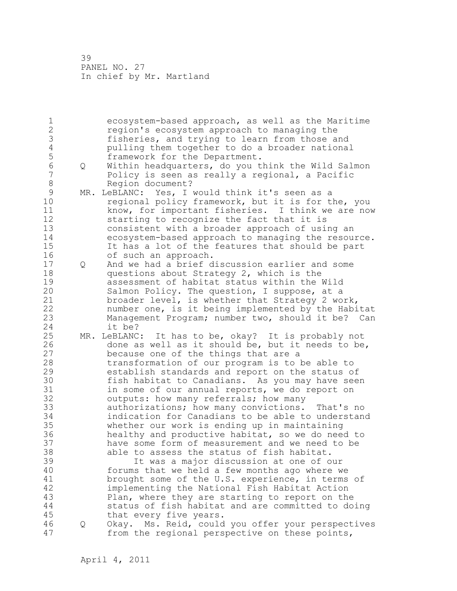| 1                |   | ecosystem-based approach, as well as the Maritime                                                   |
|------------------|---|-----------------------------------------------------------------------------------------------------|
| $\overline{2}$   |   | region's ecosystem approach to managing the                                                         |
| 3                |   | fisheries, and trying to learn from those and                                                       |
| $\overline{4}$   |   | pulling them together to do a broader national                                                      |
| 5                |   | framework for the Department.                                                                       |
| $6\phantom{a}$   | Q | Within headquarters, do you think the Wild Salmon                                                   |
| $\boldsymbol{7}$ |   | Policy is seen as really a regional, a Pacific                                                      |
| 8                |   | Region document?                                                                                    |
| $\mathsf{S}$     |   | MR. LeBLANC: Yes, I would think it's seen as a                                                      |
| 10               |   | regional policy framework, but it is for the, you                                                   |
| 11               |   | know, for important fisheries. I think we are now                                                   |
| 12               |   | starting to recognize the fact that it is                                                           |
| 13               |   | consistent with a broader approach of using an                                                      |
| 14               |   | ecosystem-based approach to managing the resource.                                                  |
| 15               |   | It has a lot of the features that should be part                                                    |
| 16               |   | of such an approach.                                                                                |
| 17               | Q | And we had a brief discussion earlier and some                                                      |
| 18               |   | questions about Strategy 2, which is the                                                            |
| 19               |   | assessment of habitat status within the Wild                                                        |
| 20               |   | Salmon Policy. The question, I suppose, at a                                                        |
| 21               |   | broader level, is whether that Strategy 2 work,                                                     |
| 22               |   | number one, is it being implemented by the Habitat                                                  |
| 23               |   |                                                                                                     |
| 24               |   | Management Program; number two, should it be? Can<br>it be?                                         |
| 25               |   |                                                                                                     |
| 26               |   | MR. LeBLANC: It has to be, okay? It is probably not                                                 |
| 27               |   | done as well as it should be, but it needs to be,                                                   |
| 28               |   | because one of the things that are a                                                                |
|                  |   |                                                                                                     |
|                  |   | transformation of our program is to be able to                                                      |
| 29               |   | establish standards and report on the status of                                                     |
| 30               |   | fish habitat to Canadians. As you may have seen                                                     |
| 31               |   | in some of our annual reports, we do report on                                                      |
| 32               |   | outputs: how many referrals; how many                                                               |
| 33               |   | authorizations; how many convictions.<br>That's no                                                  |
| 34               |   | indication for Canadians to be able to understand                                                   |
| 35               |   | whether our work is ending up in maintaining                                                        |
| 36               |   | healthy and productive habitat, so we do need to                                                    |
| 37               |   | have some form of measurement and we need to be                                                     |
| 38               |   | able to assess the status of fish habitat.                                                          |
| 39               |   | It was a major discussion at one of our                                                             |
| 40               |   | forums that we held a few months ago where we                                                       |
| 41               |   | brought some of the U.S. experience, in terms of                                                    |
| 42               |   | implementing the National Fish Habitat Action                                                       |
| 43               |   | Plan, where they are starting to report on the                                                      |
| 44               |   | status of fish habitat and are committed to doing                                                   |
| 45               |   | that every five years.                                                                              |
| 46<br>47         | Q | Okay. Ms. Reid, could you offer your perspectives<br>from the regional perspective on these points, |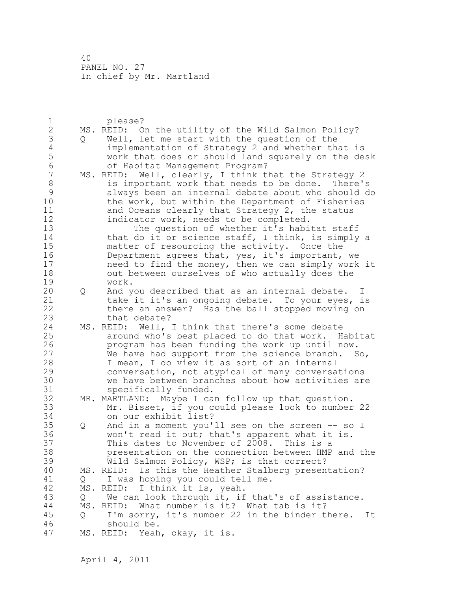| 1              |         | please?                                                 |
|----------------|---------|---------------------------------------------------------|
| $\overline{2}$ |         | MS. REID: On the utility of the Wild Salmon Policy?     |
| 3              | $\circ$ | Well, let me start with the question of the             |
| $\sqrt{4}$     |         | implementation of Strategy 2 and whether that is        |
| 5              |         | work that does or should land squarely on the desk      |
| 6              |         | of Habitat Management Program?                          |
| $\overline{7}$ |         | MS. REID: Well, clearly, I think that the Strategy 2    |
| $\,8\,$        |         | is important work that needs to be done.<br>There's     |
| $\mathcal{G}$  |         | always been an internal debate about who should do      |
| 10             |         |                                                         |
|                |         | the work, but within the Department of Fisheries        |
| 11             |         | and Oceans clearly that Strategy 2, the status          |
| 12             |         | indicator work, needs to be completed.                  |
| 13             |         | The question of whether it's habitat staff              |
| 14             |         | that do it or science staff, I think, is simply a       |
| 15             |         | matter of resourcing the activity. Once the             |
| 16             |         | Department agrees that, yes, it's important, we         |
| 17             |         | need to find the money, then we can simply work it      |
| 18             |         | out between ourselves of who actually does the          |
| 19             |         | work.                                                   |
| 20             | Q       | And you described that as an internal debate. I         |
| 21             |         | take it it's an ongoing debate. To your eyes, is        |
| 22             |         | there an answer? Has the ball stopped moving on         |
| 23             |         | that debate?                                            |
| 24             |         | MS. REID: Well, I think that there's some debate        |
| 25             |         | around who's best placed to do that work. Habitat       |
| 26             |         | program has been funding the work up until now.         |
| 27             |         | We have had support from the science branch.<br>So,     |
| 28             |         | I mean, I do view it as sort of an internal             |
| 29             |         | conversation, not atypical of many conversations        |
| 30             |         | we have between branches about how activities are       |
| 31             |         | specifically funded.                                    |
| 32             |         |                                                         |
|                |         | MR. MARTLAND: Maybe I can follow up that question.      |
| 33             |         | Mr. Bisset, if you could please look to number 22       |
| 34             |         | on our exhibit list?                                    |
| 35             | Q       | And in a moment you'll see on the screen -- so I        |
| 36             |         | won't read it out; that's apparent what it is.          |
| 37             |         | This dates to November of 2008. This is a               |
| 38             |         | presentation on the connection between HMP and the      |
| 39             |         | Wild Salmon Policy, WSP; is that correct?               |
| 40             |         | Is this the Heather Stalberg presentation?<br>MS. REID: |
| 41             | Q       | I was hoping you could tell me.                         |
| 42             |         | I think it is, yeah.<br>MS. REID:                       |
| 43             | Q       | We can look through it, if that's of assistance.        |
| $4\,4$         |         | What number is it? What tab is it?<br>MS. REID:         |
| 45             | Q       | I'm sorry, it's number 22 in the binder there.<br>It    |
| 46             |         | should be.                                              |
| 47             |         | MS. REID: Yeah, okay, it is.                            |
|                |         |                                                         |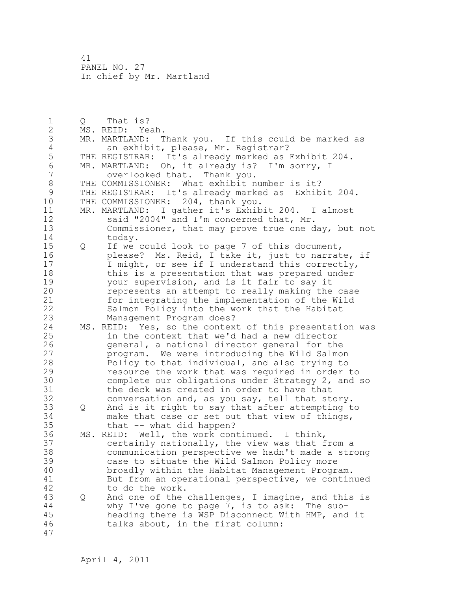1 Q That is? 2 MS. REID: Yeah. 3 MR. MARTLAND: Thank you. If this could be marked as<br>4 an exhibit, please, Mr. Registrar? 4 an exhibit, please, Mr. Registrar?<br>5 THE REGISTRAR: It's already marked as 5 THE REGISTRAR: It's already marked as Exhibit 204.<br>6 MR. MARTLAND: Oh, it already is? I'm sorry, I 6 MR. MARTLAND: Oh, it already is? I'm sorry, I overlooked that. Thank you. 8 THE COMMISSIONER: What exhibit number is it?<br>9 THE REGISTRAR: It's already marked as Exhib 9 THE REGISTRAR: It's already marked as Exhibit 204.<br>10 THE COMMISSIONER: 204, thank vou. THE COMMISSIONER: 204, thank you. 11 MR. MARTLAND: I gather it's Exhibit 204. I almost 12 said "2004" and I'm concerned that, Mr. 13 Commissioner, that may prove true one day, but not 14 today. 15 Q If we could look to page 7 of this document, 16 please? Ms. Reid, I take it, just to narrate, if 17 I might, or see if I understand this correctly, 18 this is a presentation that was prepared under 19 your supervision, and is it fair to say it<br>20 mepresents an attempt to really making the represents an attempt to really making the case 21 for integrating the implementation of the Wild 22 Salmon Policy into the work that the Habitat 23 Management Program does? 24 MS. REID: Yes, so the context of this presentation was 25 in the context that we'd had a new director 26 9eneral, a national director general for the<br>27 program. We were introducing the Wild Salmon program. We were introducing the Wild Salmon 28 Policy to that individual, and also trying to 29 resource the work that was required in order to 30 complete our obligations under Strategy 2, and so<br>31 the deck was created in order to have that the deck was created in order to have that 32 conversation and, as you say, tell that story. 33 Q And is it right to say that after attempting to 34 make that case or set out that view of things, 35 that -- what did happen? 36 MS. REID: Well, the work continued. I think, 37 certainly nationally, the view was that from a 38 communication perspective we hadn't made a strong 39 case to situate the Wild Salmon Policy more 40 broadly within the Habitat Management Program. 41 But from an operational perspective, we continued<br>42 to do the work. to do the work. 43 Q And one of the challenges, I imagine, and this is 44 why I've gone to page 7, is to ask: The sub-45 heading there is WSP Disconnect With HMP, and it 46 talks about, in the first column: 47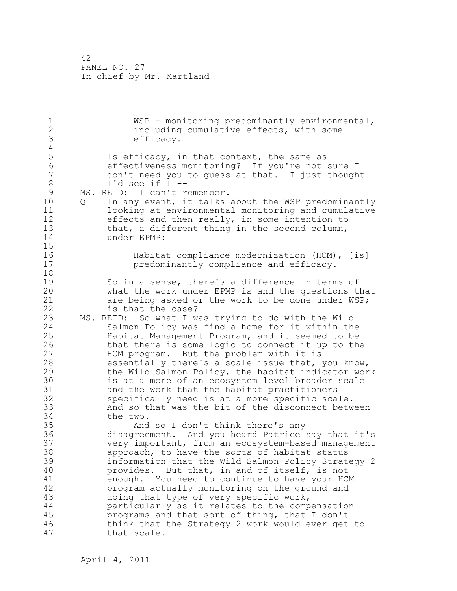1 WSP - monitoring predominantly environmental, 2 including cumulative effects, with some 3 efficacy.  $\frac{4}{5}$ 5 Is efficacy, in that context, the same as<br>6 6 The effectiveness monitoring? If you're not 6 effectiveness monitoring? If you're not sure I<br>7 don't need you to quess at that. I just though don't need you to quess at that. I just thought 8 I'd see if I -- 9 MS. REID: I can't remember.<br>10 0 In anvevent, it talks 10 Q In any event, it talks about the WSP predominantly 11 looking at environmental monitoring and cumulative 12 effects and then really, in some intention to 13 that, a different thing in the second column, 14 under EPMP:  $\frac{15}{16}$ 16 **Habitat compliance modernization (HCM),** [is]<br>17 **habitat compliance and efficacy**. predominantly compliance and efficacy. 18 19 So in a sense, there's a difference in terms of<br>20 what the work under EPMP is and the questions t what the work under EPMP is and the questions that 21 are being asked or the work to be done under WSP; 22 is that the case? 23 MS. REID: So what I was trying to do with the Wild 24 Salmon Policy was find a home for it within the 25 Habitat Management Program, and it seemed to be 26 that there is some logic to connect it up to the<br>27 HCM program. But the problem with it is HCM program. But the problem with it is 28 essentially there's a scale issue that, you know, 29 the Wild Salmon Policy, the habitat indicator work 30 is at a more of an ecosystem level broader scale<br>31 and the work that the habitat practitioners 31 and the work that the habitat practitioners<br>32 specifically need is at a more specific sca specifically need is at a more specific scale. 33 And so that was the bit of the disconnect between 34 the two. 35 And so I don't think there's any 36 disagreement. And you heard Patrice say that it's 37 very important, from an ecosystem-based management 38 approach, to have the sorts of habitat status 39 information that the Wild Salmon Policy Strategy 2 40 provides. But that, in and of itself, is not 41 enough. You need to continue to have your HCM<br>42 brogram actually monitoring on the ground and program actually monitoring on the ground and 43 doing that type of very specific work, 44 particularly as it relates to the compensation 45 programs and that sort of thing, that I don't 46 think that the Strategy 2 work would ever get to 47 that scale.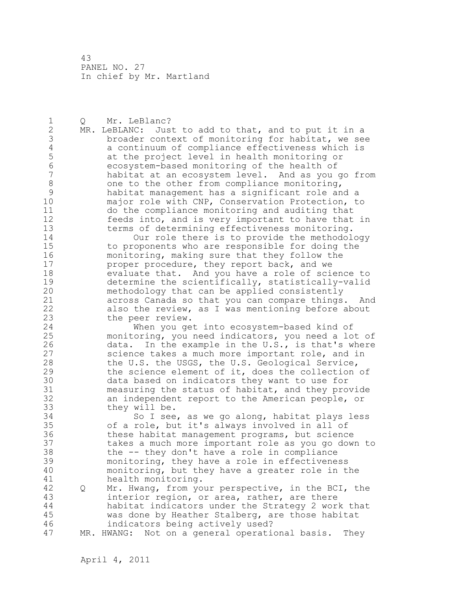1 Q Mr. LeBlanc? 2 MR. LeBLANC: Just to add to that, and to put it in a 3 broader context of monitoring for habitat, we see<br>4 a continuum of compliance effectiveness which is 4 a continuum of compliance effectiveness which is<br>5 at the project level in health monitoring or 5 at the project level in health monitoring or<br>6 ecosystem-based monitoring of the health of 6 ecosystem-based monitoring of the health of habitat at an ecosystem level. And as you go from 8 one to the other from compliance monitoring, 9 habitat management has a significant role and a major role with CNP, Conservation Protection, to 11 do the compliance monitoring and auditing that 12 feeds into, and is very important to have that in 13 terms of determining effectiveness monitoring. 14 Our role there is to provide the methodology 15 to proponents who are responsible for doing the 16 monitoring, making sure that they follow the 17 **proper procedure, they report back, and we** 18 evaluate that. And you have a role of science to 19 determine the scientifically, statistically-valid<br>20 methodology that can be applied consistently methodology that can be applied consistently 21 across Canada so that you can compare things. And 22 also the review, as I was mentioning before about 23 the peer review. 24 When you get into ecosystem-based kind of 25 monitoring, you need indicators, you need a lot of 26 data. In the example in the U.S., is that's where<br>27 science takes a much more important role, and in science takes a much more important role, and in 28 the U.S. the USGS, the U.S. Geological Service, 29 the science element of it, does the collection of 30 data based on indicators they want to use for<br>31 measuring the status of habitat, and they pro measuring the status of habitat, and they provide 32 an independent report to the American people, or 33 they will be. 34 So I see, as we go along, habitat plays less 35 of a role, but it's always involved in all of 36 these habitat management programs, but science 37 takes a much more important role as you go down to 38 the -- they don't have a role in compliance 39 monitoring, they have a role in effectiveness 40 monitoring, but they have a greater role in the 41 health monitoring. 42 Q Mr. Hwang, from your perspective, in the BCI, the 43 interior region, or area, rather, are there 44 habitat indicators under the Strategy 2 work that 45 was done by Heather Stalberg, are those habitat 46 indicators being actively used? 47 MR. HWANG: Not on a general operational basis. They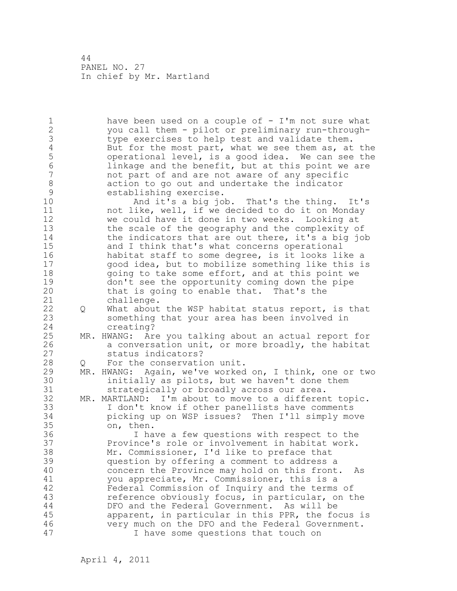1 have been used on a couple of - I'm not sure what 2 you call them - pilot or preliminary run-through-3 type exercises to help test and validate them.<br>4 But for the most part, what we see them as, at 4 But for the most part, what we see them as, at the<br>5 operational level, is a good idea. We can see the 5 operational level, is a good idea. We can see the<br>6 1inkage and the benefit, but at this point we are 6 linkage and the benefit, but at this point we are<br>7 and part of and are not aware of any specific not part of and are not aware of any specific 8 action to go out and undertake the indicator<br>9 stablishing exercise. 9 establishing exercise.<br>10 and it's a big io And it's a big job. That's the thing. It's 11 not like, well, if we decided to do it on Monday 12 we could have it done in two weeks. Looking at 13 the scale of the geography and the complexity of 14 the indicators that are out there, it's a big job 15 and I think that's what concerns operational 16 habitat staff to some degree, is it looks like a 17 good idea, but to mobilize something like this is 18 going to take some effort, and at this point we 19 don't see the opportunity coming down the pipe<br>20 that is going to enable that. That's the that is going to enable that. That's the 21 challenge. 22 Q What about the WSP habitat status report, is that 23 something that your area has been involved in 24 creating? 25 MR. HWANG: Are you talking about an actual report for 26 a conversation unit, or more broadly, the habitat<br>27 status indicators? status indicators? 28 Q For the conservation unit. 29 MR. HWANG: Again, we've worked on, I think, one or two 30 initially as pilots, but we haven't done them<br>31 strategically or broadly across our area. strategically or broadly across our area. 32 MR. MARTLAND: I'm about to move to a different topic. 33 I don't know if other panellists have comments 34 picking up on WSP issues? Then I'll simply move 35 on, then. 36 I have a few questions with respect to the 37 Province's role or involvement in habitat work. 38 Mr. Commissioner, I'd like to preface that 39 question by offering a comment to address a 40 concern the Province may hold on this front. As 41 you appreciate, Mr. Commissioner, this is a<br>42 Federal Commission of Inquiry and the terms Federal Commission of Inquiry and the terms of 43 reference obviously focus, in particular, on the 44 DFO and the Federal Government. As will be 45 apparent, in particular in this PPR, the focus is 46 very much on the DFO and the Federal Government. 47 I have some questions that touch on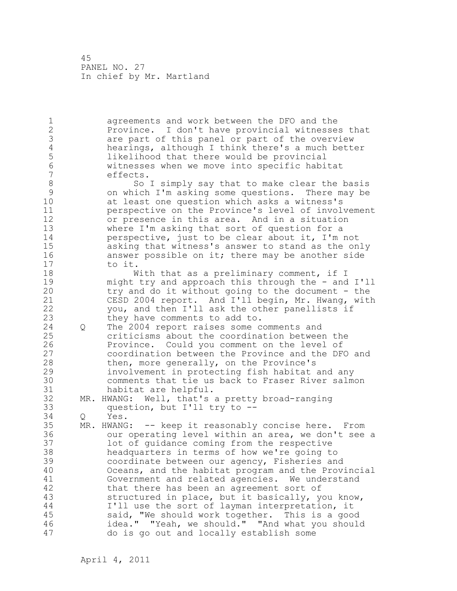1 agreements and work between the DFO and the 2 Province. I don't have provincial witnesses that 3 are part of this panel or part of the overview<br>4 hearings, although I think there's a much bett 4 hearings, although I think there's a much better<br>5 1ikelihood that there would be provincial 5 likelihood that there would be provincial<br>6 witnesses when we move into specific habi 6 witnesses when we move into specific habitat effects. 8 So I simply say that to make clear the basis<br>9 on which I'm asking some questions. There may be 9 on which I'm asking some questions. There may be at least one question which asks a witness's 11 perspective on the Province's level of involvement 12 or presence in this area. And in a situation 13 where I'm asking that sort of question for a 14 perspective, just to be clear about it, I'm not 15 asking that witness's answer to stand as the only 16 answer possible on it; there may be another side 17 to it. 18 With that as a preliminary comment, if I 19 might try and approach this through the - and I'll<br>20 try and do it without going to the document - the try and do it without going to the document - the 21 CESD 2004 report. And I'll begin, Mr. Hwang, with 22 you, and then I'll ask the other panellists if 23 they have comments to add to. 24 Q The 2004 report raises some comments and 25 criticisms about the coordination between the 26 Province. Could you comment on the level of<br>27 coordination between the Province and the DF coordination between the Province and the DFO and 28 then, more generally, on the Province's 29 involvement in protecting fish habitat and any 30 comments that tie us back to Fraser River salmon<br>31 babitat are helpful. habitat are helpful. 32 MR. HWANG: Well, that's a pretty broad-ranging 33 question, but I'll try to -- 34 Q Yes. 35 MR. HWANG: -- keep it reasonably concise here. From 36 our operating level within an area, we don't see a 37 lot of guidance coming from the respective 38 headquarters in terms of how we're going to 39 coordinate between our agency, Fisheries and 40 Oceans, and the habitat program and the Provincial 41 Government and related agencies. We understand<br>42 that there has been an agreement sort of that there has been an agreement sort of 43 structured in place, but it basically, you know, 44 I'll use the sort of layman interpretation, it 45 said, "We should work together. This is a good 46 idea." "Yeah, we should." "And what you should 47 do is go out and locally establish some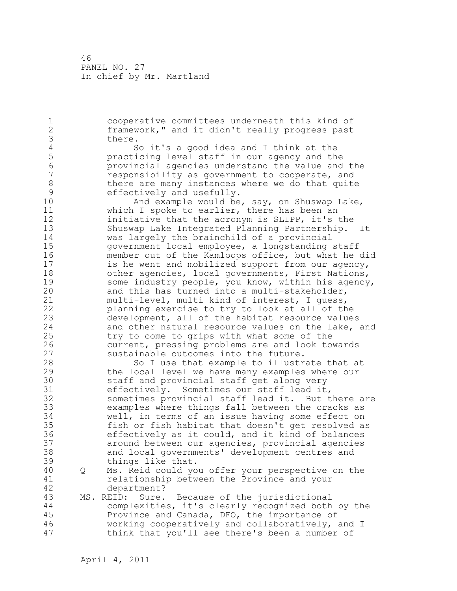1 cooperative committees underneath this kind of 2 framework," and it didn't really progress past 3 there.<br>4 S 4 So it's a good idea and I think at the<br>5 practicing level staff in our agency and the 5 practicing level staff in our agency and the 6 provincial agencies understand the value and the responsibility as government to cooperate, and 8 there are many instances where we do that quite<br>9 effectively and usefully. 9 effectively and usefully.<br>10 Mnd example would be And example would be, say, on Shuswap Lake, 11 which I spoke to earlier, there has been an 12 initiative that the acronym is SLIPP, it's the 13 Shuswap Lake Integrated Planning Partnership. It 14 was largely the brainchild of a provincial 15 government local employee, a longstanding staff 16 member out of the Kamloops office, but what he did 17 is he went and mobilized support from our agency, 18 other agencies, local governments, First Nations, 19 some industry people, you know, within his agency,<br>20 and this has turned into a multi-stakeholder, and this has turned into a multi-stakeholder, 21 multi-level, multi kind of interest, I guess, 22 planning exercise to try to look at all of the 23 development, all of the habitat resource values 24 and other natural resource values on the lake, and 25 try to come to grips with what some of the 26 current, pressing problems are and look towards<br>27 sustainable outcomes into the future. sustainable outcomes into the future. 28 So I use that example to illustrate that at 29 the local level we have many examples where our 30 staff and provincial staff get along very<br>31 effectively. Sometimes our staff lead it 31 effectively. Sometimes our staff lead it,<br>32 sometimes provincial staff lead it. But t sometimes provincial staff lead it. But there are 33 examples where things fall between the cracks as 34 well, in terms of an issue having some effect on 35 fish or fish habitat that doesn't get resolved as 36 effectively as it could, and it kind of balances 37 around between our agencies, provincial agencies 38 and local governments' development centres and 39 things like that. 40 Q Ms. Reid could you offer your perspective on the 41 relationship between the Province and your<br>42 department? department? 43 MS. REID: Sure. Because of the jurisdictional 44 complexities, it's clearly recognized both by the 45 Province and Canada, DFO, the importance of 46 working cooperatively and collaboratively, and I 47 think that you'll see there's been a number of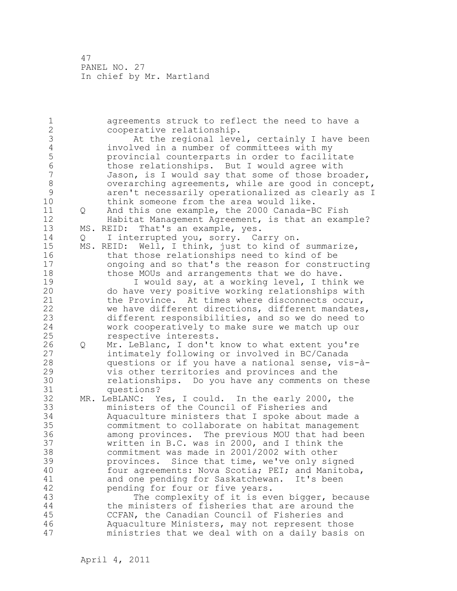1 agreements struck to reflect the need to have a 2 cooperative relationship. 3 At the regional level, certainly I have been<br>4 involved in a number of committees with my 4 involved in a number of committees with my<br>5 by provincial counterparts in order to facili 5 provincial counterparts in order to facilitate 6 those relationships. But I would agree with Jason, is I would say that some of those broader, 8 Superarching agreements, while are good in concept,<br>8 The aren't necessarily operationalized as clearly as I 9 aren't necessarily operationalized as clearly as I think someone from the area would like. 11 Q And this one example, the 2000 Canada-BC Fish 12 Habitat Management Agreement, is that an example? 13 MS. REID: That's an example, yes. 14 Q I interrupted you, sorry. Carry on. 15 MS. REID: Well, I think, just to kind of summarize, 16 that those relationships need to kind of be 17 ongoing and so that's the reason for constructing 18 those MOUs and arrangements that we do have. 19 I would say, at a working level, I think we<br>20 do have very positive working relationships with do have very positive working relationships with 21 the Province. At times where disconnects occur, 22 we have different directions, different mandates, 23 different responsibilities, and so we do need to 24 work cooperatively to make sure we match up our 25 respective interests. 26 Q Mr. LeBlanc, I don't know to what extent you're<br>27 intimately following or involved in BC/Canada intimately following or involved in BC/Canada 28 questions or if you have a national sense, vis-à-29 vis other territories and provinces and the 30 relationships. Do you have any comments on these questions? 32 MR. LeBLANC: Yes, I could. In the early 2000, the 33 ministers of the Council of Fisheries and 34 Aquaculture ministers that I spoke about made a 35 commitment to collaborate on habitat management 36 among provinces. The previous MOU that had been 37 written in B.C. was in 2000, and I think the 38 commitment was made in 2001/2002 with other 39 provinces. Since that time, we've only signed 40 four agreements: Nova Scotia; PEI; and Manitoba, 41 and one pending for Saskatchewan. It's been<br>42 bending for four or five years. pending for four or five years. 43 The complexity of it is even bigger, because 44 the ministers of fisheries that are around the 45 CCFAN, the Canadian Council of Fisheries and 46 Aquaculture Ministers, may not represent those 47 ministries that we deal with on a daily basis on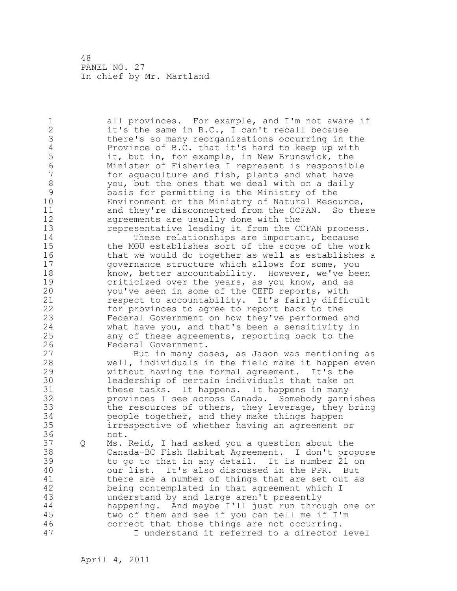1 all provinces. For example, and I'm not aware if 2 it's the same in B.C., I can't recall because 3 there's so many reorganizations occurring in the<br>4 Province of B.C. that it's hard to keep up with 4 Province of B.C. that it's hard to keep up with<br>5 it, but in, for example, in New Brunswick, the 5 it, but in, for example, in New Brunswick, the<br>6 Minister of Fisheries I represent is responsib 6 Minister of Fisheries I represent is responsible for aquaculture and fish, plants and what have 8 you, but the ones that we deal with on a daily<br>9 basis for permitting is the Ministry of the 9 basis for permitting is the Ministry of the Environment or the Ministry of Natural Resource, 11 and they're disconnected from the CCFAN. So these 12 agreements are usually done with the 13 representative leading it from the CCFAN process. 14 These relationships are important, because 15 the MOU establishes sort of the scope of the work 16 that we would do together as well as establishes a 17 governance structure which allows for some, you 18 know, better accountability. However, we've been 19 criticized over the years, as you know, and as<br>20 vou've seen in some of the CEFD reports, with you've seen in some of the CEFD reports, with 21 respect to accountability. It's fairly difficult 22 for provinces to agree to report back to the 23 Federal Government on how they've performed and 24 what have you, and that's been a sensitivity in 25 any of these agreements, reporting back to the 26 Federal Government.<br>27 But in many ca But in many cases, as Jason was mentioning as 28 well, individuals in the field make it happen even 29 without having the formal agreement. It's the 30 leadership of certain individuals that take on<br>31 these tasks. It happens. It happens in many 31 these tasks. It happens. It happens in many<br>32 provinces I see across Canada. Somebody garn provinces I see across Canada. Somebody garnishes 33 the resources of others, they leverage, they bring 34 people together, and they make things happen 35 irrespective of whether having an agreement or 36 not. 37 Q Ms. Reid, I had asked you a question about the 38 Canada-BC Fish Habitat Agreement. I don't propose 39 to go to that in any detail. It is number 21 on 40 our list. It's also discussed in the PPR. But 41 there are a number of things that are set out as<br>42 being contemplated in that agreement which I being contemplated in that agreement which I 43 understand by and large aren't presently 44 happening. And maybe I'll just run through one or 45 two of them and see if you can tell me if I'm 46 correct that those things are not occurring. 47 I understand it referred to a director level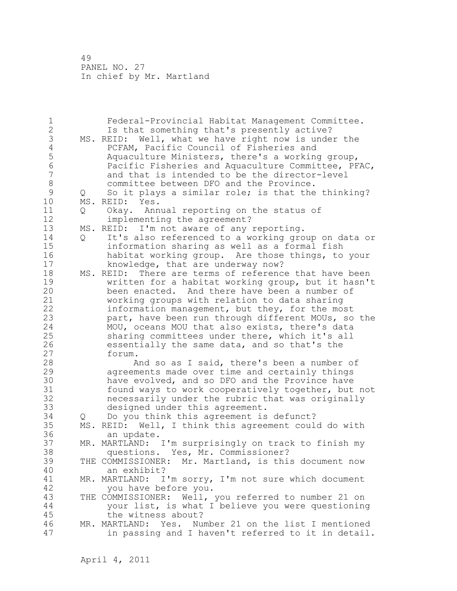1 Federal-Provincial Habitat Management Committee. 2 Is that something that's presently active? 3 MS. REID: Well, what we have right now is under the<br>4 PCFAM, Pacific Council of Fisheries and 4 PCFAM, Pacific Council of Fisheries and<br>5 Aquaculture Ministers, there's a working 5 Aquaculture Ministers, there's a working group,<br>6 Racific Fisheries and Aquaculture Committee, PF 6 Pacific Fisheries and Aquaculture Committee, PFAC,<br>7 and that is intended to be the director-level and that is intended to be the director-level 8 committee between DFO and the Province.<br>9 0 So it plays a similar role: is that the 9 Q So it plays a similar role; is that the thinking?<br>10 MS. REID: Yes. MS. REID: Yes. 11 Q Okay. Annual reporting on the status of 12 implementing the agreement? 13 MS. REID: I'm not aware of any reporting. 14 Q It's also referenced to a working group on data or 15 information sharing as well as a formal fish 16 habitat working group. Are those things, to your 17 knowledge, that are underway now? 18 MS. REID: There are terms of reference that have been 19 19 written for a habitat working group, but it hasn't<br>20 been enacted. And there have been a number of been enacted. And there have been a number of 21 working groups with relation to data sharing 22 information management, but they, for the most 23 part, have been run through different MOUs, so the 24 MOU, oceans MOU that also exists, there's data 25 sharing committees under there, which it's all 26 essentially the same data, and so that's the<br>27 forum. 27 forum.<br>28 A And so as I said, there's been a number of 29 agreements made over time and certainly things 30 have evolved, and so DFO and the Province have<br>31 found ways to work cooperatively together, but 31 found ways to work cooperatively together, but not<br>32 hecessarily under the rubric that was originally necessarily under the rubric that was originally 33 designed under this agreement. 34 Q Do you think this agreement is defunct? 35 MS. REID: Well, I think this agreement could do with 36 an update. 37 MR. MARTLAND: I'm surprisingly on track to finish my<br>38 (questions. Yes, Mr. Commissioner? questions. Yes, Mr. Commissioner? 39 THE COMMISSIONER: Mr. Martland, is this document now 40 an exhibit? 41 MR. MARTLAND: I'm sorry, I'm not sure which document 42 you have before you. 43 THE COMMISSIONER: Well, you referred to number 21 on 44 your list, is what I believe you were questioning 45 the witness about? 46 MR. MARTLAND: Yes. Number 21 on the list I mentioned 47 in passing and I haven't referred to it in detail.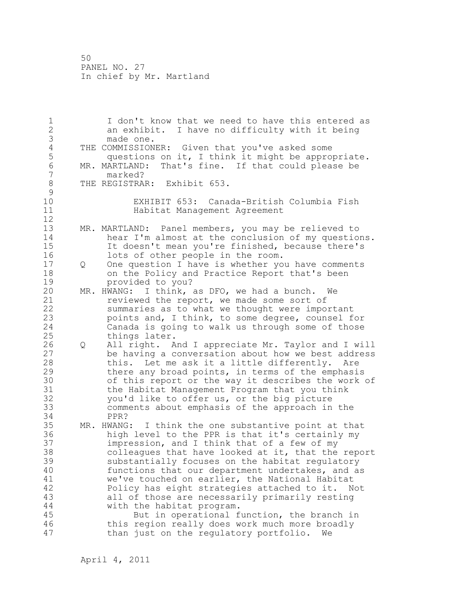1 I don't know that we need to have this entered as 2 an exhibit. I have no difficulty with it being 3 made one.<br>4 THE COMMISSION 4 THE COMMISSIONER: Given that you've asked some<br>5 questions on it, I think it might be approp 5 questions on it, I think it might be appropriate.<br>6 MR. MARTLAND: That's fine. If that could please be 6 MR. MARTLAND: That's fine. If that could please be 7 marked? 8 THE REGISTRAR: Exhibit 653.  $\begin{array}{c} 9 \\ 10 \end{array}$ EXHIBIT 653: Canada-British Columbia Fish 11 Habitat Management Agreement 12 13 MR. MARTLAND: Panel members, you may be relieved to 14 hear I'm almost at the conclusion of my questions. 15 It doesn't mean you're finished, because there's 16 lots of other people in the room. 17 Q One question I have is whether you have comments 18 on the Policy and Practice Report that's been 19 provided to you?<br>20 MR. HWANG: I think. MR. HWANG: I think, as DFO, we had a bunch. We 21 reviewed the report, we made some sort of 22 summaries as to what we thought were important 23 points and, I think, to some degree, counsel for 24 Canada is going to walk us through some of those 25 things later. 26 Q All right. And I appreciate Mr. Taylor and I will<br>27 be having a conversation about how we best address be having a conversation about how we best address 28 this. Let me ask it a little differently. Are 29 there any broad points, in terms of the emphasis 30 of this report or the way it describes the work of<br>31 the Habitat Management Program that you think the Habitat Management Program that you think 32 you'd like to offer us, or the big picture 33 comments about emphasis of the approach in the 34 PPR? 35 MR. HWANG: I think the one substantive point at that 36 high level to the PPR is that it's certainly my 37 impression, and I think that of a few of my 38 colleagues that have looked at it, that the report 39 substantially focuses on the habitat regulatory 40 functions that our department undertakes, and as 41 we've touched on earlier, the National Habitat<br>42 Policy has eight strategies attached to it. N Policy has eight strategies attached to it. Not 43 all of those are necessarily primarily resting 44 with the habitat program. 45 But in operational function, the branch in 46 this region really does work much more broadly 47 than just on the regulatory portfolio. We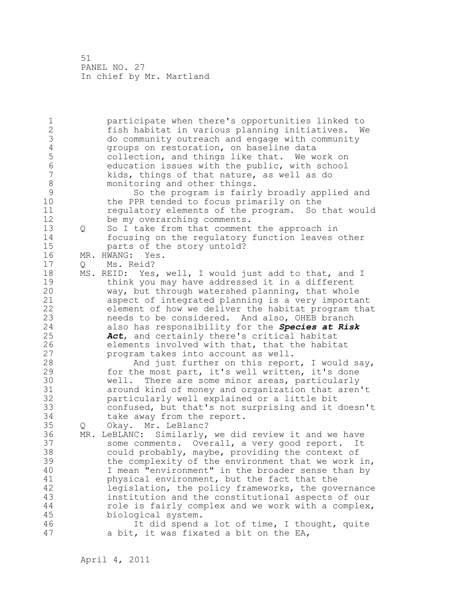1 participate when there's opportunities linked to 2 fish habitat in various planning initiatives. We 3 do community outreach and engage with community 4 groups on restoration, on baseline data<br>5 collection, and things like that. We we 5 collection, and things like that. We work on<br>6 education issues with the public, with school 6 education issues with the public, with school<br>7 kids, things of that nature, as well as do kids, things of that nature, as well as do 8 monitoring and other things.<br>9 So the program is fairl 9 So the program is fairly broadly applied and<br>10 the PPR tended to focus primarily on the the PPR tended to focus primarily on the 11 regulatory elements of the program. So that would 12 be my overarching comments. 13 Q So I take from that comment the approach in 14 focusing on the regulatory function leaves other 15 parts of the story untold? 16 MR. HWANG: Yes. 17 Q Ms. Reid? 18 MS. REID: Yes, well, I would just add to that, and I 19 think you may have addressed it in a different<br>20 way, but through watershed planning, that whole way, but through watershed planning, that whole 21 aspect of integrated planning is a very important 22 element of how we deliver the habitat program that 23 needs to be considered. And also, OHEB branch 24 also has responsibility for the *Species at Risk*  25 *Act*, and certainly there's critical habitat 26 elements involved with that, that the habitat<br>27 program takes into account as well. program takes into account as well. 28 And just further on this report, I would say, 29 for the most part, it's well written, it's done 30 well. There are some minor areas, particularly around kind of money and organization that aren't 32 particularly well explained or a little bit 33 confused, but that's not surprising and it doesn't 34 take away from the report. 35 Q Okay. Mr. LeBlanc? 36 MR. LeBLANC: Similarly, we did review it and we have 37 some comments. Overall, a very good report. It 38 could probably, maybe, providing the context of 39 the complexity of the environment that we work in, 40 I mean "environment" in the broader sense than by 41 physical environment, but the fact that the<br>42 legislation, the policy frameworks, the gove legislation, the policy frameworks, the governance 43 institution and the constitutional aspects of our 44 role is fairly complex and we work with a complex, 45 biological system. 46 It did spend a lot of time, I thought, quite 47 a bit, it was fixated a bit on the EA,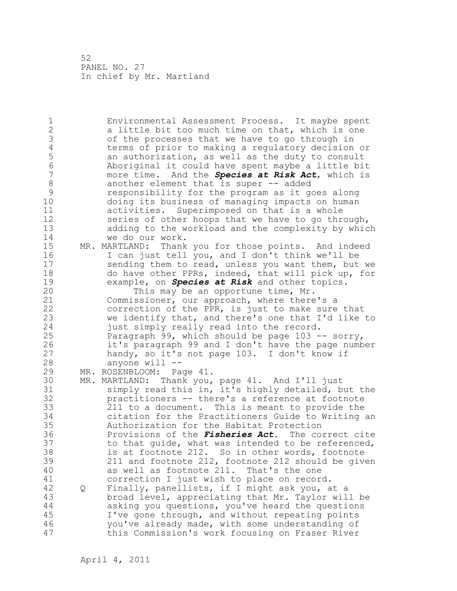1 Environmental Assessment Process. It maybe spent 2 a little bit too much time on that, which is one 3 of the processes that we have to go through in<br>4 terms of prior to making a regulatory decision 4 terms of prior to making a regulatory decision or 5 an authorization, as well as the duty to consult<br>6 Boriginal it could have spent maybe a little bi-6 Aboriginal it could have spent maybe a little bit<br>7 more time. And the **Species at Risk Act**, which is 7 more time. And the *Species at Risk Act*, which is 8 another element that is super -- added<br>9 sesponsibility for the program as it q 9 responsibility for the program as it goes along doing its business of managing impacts on human 11 activities. Superimposed on that is a whole 12 series of other hoops that we have to go through, 13 adding to the workload and the complexity by which 14 we do our work. 15 MR. MARTLAND: Thank you for those points. And indeed 16 I can just tell you, and I don't think we'll be 17 sending them to read, unless you want them, but we 18 do have other PPRs, indeed, that will pick up, for 19 example, on *Species at Risk* and other topics.<br>20 This may be an opportune time, Mr. This may be an opportune time, Mr. 21 Commissioner, our approach, where there's a 22 correction of the PPR, is just to make sure that 23 we identify that, and there's one that I'd like to 24 just simply really read into the record. 25 Paragraph 99, which should be page 103 -- sorry, 26 it's paragraph 99 and I don't have the page number<br>27 handy, so it's not page 103. I don't know if handy, so it's not page 103. I don't know if 28 anyone will -- 29 MR. ROSENBLOOM: Page 41. 30 MR. MARTLAND: Thank you, page 41. And I'll just simply read this in, it's highly detailed, but the 32 practitioners -- there's a reference at footnote 33 211 to a document. This is meant to provide the 34 citation for the Practitioners Guide to Writing an 35 Authorization for the Habitat Protection 36 Provisions of the *Fisheries Act*. The correct cite 37 to that guide, what was intended to be referenced, 38 is at footnote 212. So in other words, footnote 39 211 and footnote 212, footnote 212 should be given 40 as well as footnote 211. That's the one 41 correction I just wish to place on record.<br>42 0 Finally, panellists, if I might ask you, a 42 Q Finally, panellists, if I might ask you, at a 43 broad level, appreciating that Mr. Taylor will be 44 asking you questions, you've heard the questions 45 I've gone through, and without repeating points 46 you've already made, with some understanding of 47 this Commission's work focusing on Fraser River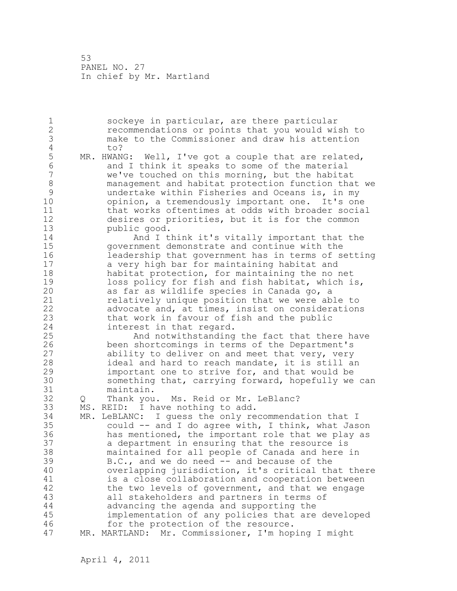1 sockeye in particular, are there particular 2 recommendations or points that you would wish to 3 make to the Commissioner and draw his attention 4 to?<br>5 MR.HWAN 5 MR. HWANG: Well, I've got a couple that are related,<br>6 and I think it speaks to some of the material 6 6 and I think it speaks to some of the material<br>7 we've touched on this morning, but the habita we've touched on this morning, but the habitat 8 management and habitat protection function that we 9 undertake within Fisheries and Oceans is, in my opinion, a tremendously important one. It's one 11 that works oftentimes at odds with broader social 12 desires or priorities, but it is for the common 13 public good. 14 And I think it's vitally important that the 15 government demonstrate and continue with the 16 leadership that government has in terms of setting 17 a very high bar for maintaining habitat and 18 habitat protection, for maintaining the no net 19 loss policy for fish and fish habitat, which is,<br>20 as far as wildlife species in Canada go, a as far as wildlife species in Canada go, a 21 relatively unique position that we were able to 22 advocate and, at times, insist on considerations 23 that work in favour of fish and the public 24 interest in that regard. 25 And notwithstanding the fact that there have 26 been shortcomings in terms of the Department's<br>27 ability to deliver on and meet that very, very ability to deliver on and meet that very, very 28 ideal and hard to reach mandate, it is still an 29 important one to strive for, and that would be 30 something that, carrying forward, hopefully we can maintain. 32 Q Thank you. Ms. Reid or Mr. LeBlanc? 33 MS. REID: I have nothing to add. 34 MR. LeBLANC: I guess the only recommendation that I 35 could -- and I do agree with, I think, what Jason 36 has mentioned, the important role that we play as 37 a department in ensuring that the resource is 38 maintained for all people of Canada and here in 39 B.C., and we do need -- and because of the 40 overlapping jurisdiction, it's critical that there 41 is a close collaboration and cooperation between<br>42 the two levels of government, and that we engage the two levels of government, and that we engage 43 all stakeholders and partners in terms of 44 advancing the agenda and supporting the 45 implementation of any policies that are developed 46 for the protection of the resource. 47 MR. MARTLAND: Mr. Commissioner, I'm hoping I might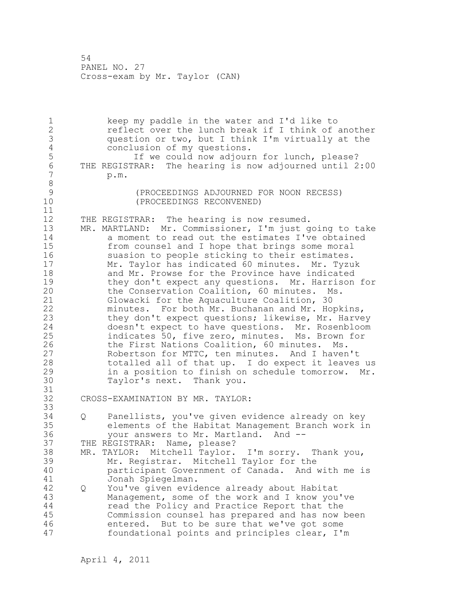1 keep my paddle in the water and I'd like to 2 reflect over the lunch break if I think of another 3 question or two, but I think I'm virtually at the 4 conclusion of my questions.<br>5 1f we could now adjour 5 1f we could now adjourn for lunch, please?<br>6 THE REGISTRAR: The hearing is now adjourned until 2 6 THE REGISTRAR: The hearing is now adjourned until 2:00<br>7 p.m. 7 p.m. 8<br>9 9 (PROCEEDINGS ADJOURNED FOR NOON RECESS)<br>(PROCEEDINGS RECONVENED) (PROCEEDINGS RECONVENED) 11 12 THE REGISTRAR: The hearing is now resumed. 13 MR. MARTLAND: Mr. Commissioner, I'm just going to take 14 a moment to read out the estimates I've obtained 15 from counsel and I hope that brings some moral 16 suasion to people sticking to their estimates. 17 Mr. Taylor has indicated 60 minutes. Mr. Tyzuk 18 and Mr. Prowse for the Province have indicated 19 they don't expect any questions. Mr. Harrison for<br>20 the Conservation Coalition, 60 minutes. Ms. the Conservation Coalition, 60 minutes. Ms. 21 Glowacki for the Aquaculture Coalition, 30 22 minutes. For both Mr. Buchanan and Mr. Hopkins, 23 they don't expect questions; likewise, Mr. Harvey 24 doesn't expect to have questions. Mr. Rosenbloom 25 indicates 50, five zero, minutes. Ms. Brown for 26 the First Nations Coalition, 60 minutes. Ms.<br>27 Robertson for MTTC, ten minutes. And I haven Robertson for MTTC, ten minutes. And I haven't 28 totalled all of that up. I do expect it leaves us 29 in a position to finish on schedule tomorrow. Mr. 30 Taylor's next. Thank you. 31<br>32 CROSS-EXAMINATION BY MR. TAYLOR: 33 34 Q Panellists, you've given evidence already on key 35 elements of the Habitat Management Branch work in 36 your answers to Mr. Martland. And -- 37 THE REGISTRAR: Name, please? 38 MR. TAYLOR: Mitchell Taylor. I'm sorry. Thank you, 39 Mr. Registrar. Mitchell Taylor for the 40 participant Government of Canada. And with me is 41 Jonah Spiegelman.<br>42 O You've given evid 42 Q You've given evidence already about Habitat 43 Management, some of the work and I know you've 44 read the Policy and Practice Report that the 45 Commission counsel has prepared and has now been 46 entered. But to be sure that we've got some 47 foundational points and principles clear, I'm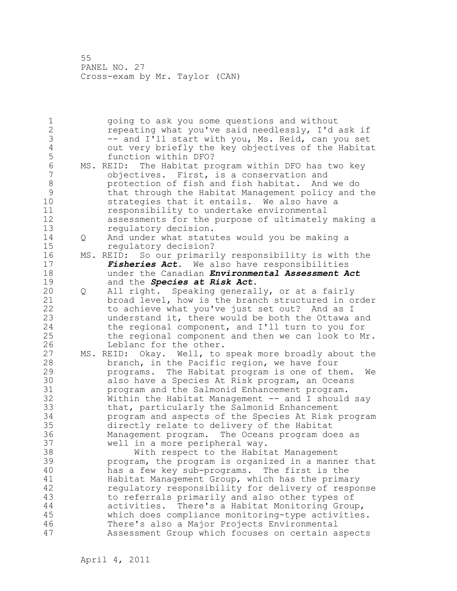1 going to ask you some questions and without 2 repeating what you've said needlessly, I'd ask if 3 -- and I'll start with you, Ms. Reid, can you set<br>4 0ut very briefly the key objectives of the Habita 4 out very briefly the key objectives of the Habitat 5 function within DFO?<br>6 MS. REID: The Habitat pr 6 MS. REID: The Habitat program within DFO has two key objectives. First, is a conservation and 8 protection of fish and fish habitat. And we do 9 that through the Habitat Management policy and the strategies that it entails. We also have a 11 responsibility to undertake environmental 12 assessments for the purpose of ultimately making a 13 regulatory decision. 14 Q And under what statutes would you be making a 15 regulatory decision? 16 MS. REID: So our primarily responsibility is with the 17 *Fisheries Act*. We also have responsibilities 18 under the Canadian *Environmental Assessment Act* 19 and the *Species at Risk Act*. 20 Q All right. Speaking generally, or at a fairly 21 broad level, how is the branch structured in order 22 to achieve what you've just set out? And as I 23 understand it, there would be both the Ottawa and 24 the regional component, and I'll turn to you for 25 the regional component and then we can look to Mr. 26 Leblanc for the other.<br>27 MS. REID: Okay. Well, to MS. REID: Okay. Well, to speak more broadly about the 28 branch, in the Pacific region, we have four 29 programs. The Habitat program is one of them. We 30 also have a Species At Risk program, an Oceans<br>31 brogram and the Salmonid Enhancement program. program and the Salmonid Enhancement program. 32 Within the Habitat Management -- and I should say 33 that, particularly the Salmonid Enhancement 34 program and aspects of the Species At Risk program 35 directly relate to delivery of the Habitat 36 Management program. The Oceans program does as 37 well in a more peripheral way. 38 With respect to the Habitat Management 39 program, the program is organized in a manner that 40 has a few key sub-programs. The first is the 41 Habitat Management Group, which has the primary<br>42 Fequlatory responsibility for delivery of respor regulatory responsibility for delivery of response 43 to referrals primarily and also other types of 44 activities. There's a Habitat Monitoring Group, 45 which does compliance monitoring-type activities. 46 There's also a Major Projects Environmental 47 Assessment Group which focuses on certain aspects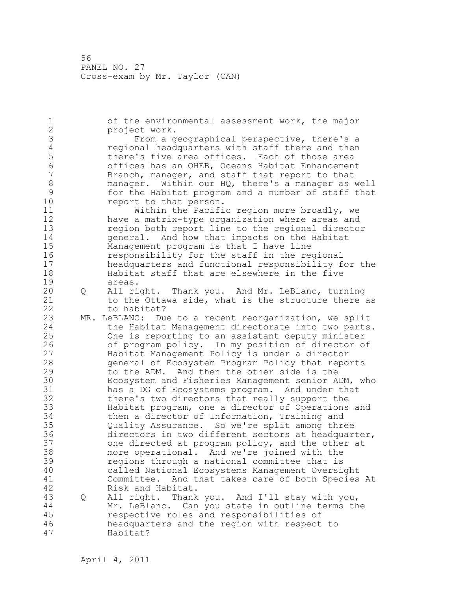1 of the environmental assessment work, the major 2 project work. 3 From a geographical perspective, there's a<br>4 Feqional headquarters with staff there and then 4 regional headquarters with staff there and then<br>5 there's five area offices. Each of those area 5 there's five area offices. Each of those area<br>6 6 the offices has an OHEB, Oceans Habitat Enhancemen 6 offices has an OHEB, Oceans Habitat Enhancement Branch, manager, and staff that report to that 8 manager. Within our HQ, there's a manager as well<br>9 for the Habitat program and a number of staff that 9 for the Habitat program and a number of staff that report to that person. 11 Within the Pacific region more broadly, we 12 have a matrix-type organization where areas and 13 region both report line to the regional director 14 general. And how that impacts on the Habitat 15 Management program is that I have line 16 responsibility for the staff in the regional 17 headquarters and functional responsibility for the 18 Habitat staff that are elsewhere in the five 19 areas.<br>20 O All ri 20 Q All right. Thank you. And Mr. LeBlanc, turning 21 to the Ottawa side, what is the structure there as 22 to habitat? 23 MR. LeBLANC: Due to a recent reorganization, we split 24 the Habitat Management directorate into two parts. 25 One is reporting to an assistant deputy minister 26 of program policy. In my position of director of<br>27 Habitat Management Policy is under a director Habitat Management Policy is under a director 28 general of Ecosystem Program Policy that reports 29 to the ADM. And then the other side is the 30 Ecosystem and Fisheries Management senior ADM, who 31 has a DG of Ecosystems program. And under that<br>32 there's two directors that really support the there's two directors that really support the 33 Habitat program, one a director of Operations and 34 then a director of Information, Training and 35 Quality Assurance. So we're split among three 36 directors in two different sectors at headquarter, 37 one directed at program policy, and the other at 38 more operational. And we're joined with the 39 regions through a national committee that is 40 called National Ecosystems Management Oversight 41 Committee. And that takes care of both Species At Risk and Habitat. 43 Q All right. Thank you. And I'll stay with you, 44 Mr. LeBlanc. Can you state in outline terms the 45 respective roles and responsibilities of 46 headquarters and the region with respect to 47 Habitat?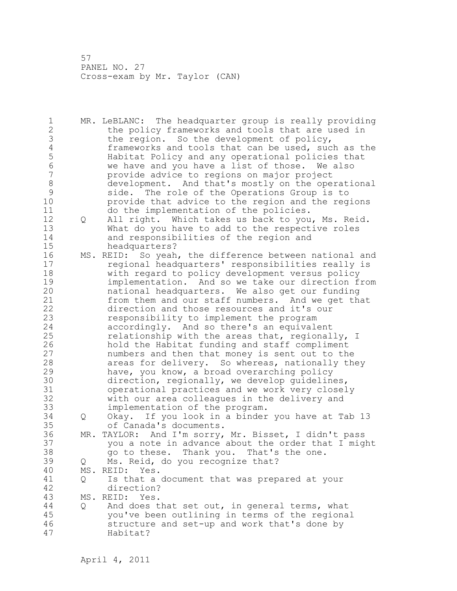1 MR. LeBLANC: The headquarter group is really providing 2 the policy frameworks and tools that are used in 3 the region. So the development of policy,<br>4 frameworks and tools that can be used, suc 4 frameworks and tools that can be used, such as the<br>5 Habitat Policy and any operational policies that 5 Habitat Policy and any operational policies that<br>6 We have and you have a list of those. We also 6 we have and you have a list of those. We also provide advice to regions on major project 8 development. And that's mostly on the operational<br>9 side. The role of the Operations Group is to 9 side. The role of the Operations Group is to<br>10 brovide that advice to the region and the reg provide that advice to the region and the regions 11 do the implementation of the policies. 12 Q All right. Which takes us back to you, Ms. Reid. 13 What do you have to add to the respective roles 14 and responsibilities of the region and 15 headquarters? 16 MS. REID: So yeah, the difference between national and 17 regional headquarters' responsibilities really is 18 with regard to policy development versus policy 19 implementation. And so we take our direction from<br>20 hational headquarters. We also get our funding national headquarters. We also get our funding 21 from them and our staff numbers. And we get that 22 direction and those resources and it's our 23 responsibility to implement the program 24 accordingly. And so there's an equivalent 25 relationship with the areas that, regionally, I 26 hold the Habitat funding and staff compliment<br>27 humbers and then that money is sent out to the numbers and then that money is sent out to the 28 areas for delivery. So whereas, nationally they 29 have, you know, a broad overarching policy 30 direction, regionally, we develop guidelines,<br>31 operational practices and we work very closel 31 operational practices and we work very closely with our area colleagues in the delivery and 33 implementation of the program. 34 Q Okay. If you look in a binder you have at Tab 13 35 of Canada's documents. 36 MR. TAYLOR: And I'm sorry, Mr. Bisset, I didn't pass 37 you a note in advance about the order that I might 38 go to these. Thank you. That's the one. 39 Q Ms. Reid, do you recognize that? 40 MS. REID: Yes. 41 Q Is that a document that was prepared at your<br>42 direction? direction? 43 MS. REID: Yes. 44 Q And does that set out, in general terms, what 45 you've been outlining in terms of the regional 46 structure and set-up and work that's done by 47 Habitat?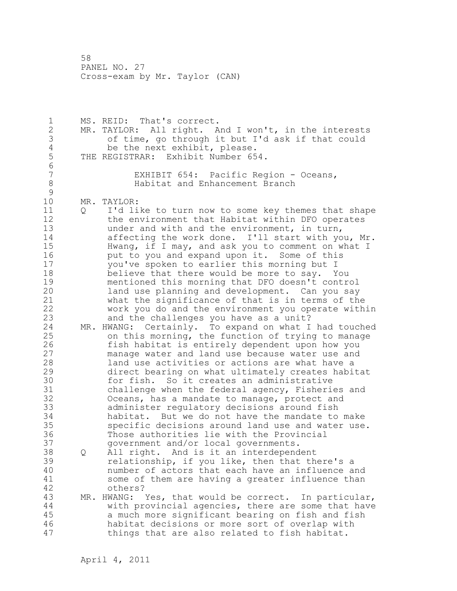1 MS. REID: That's correct. 2 MR. TAYLOR: All right. And I won't, in the interests 3 of time, go through it but I'd ask if that could 4 be the next exhibit, please.<br>5 THE REGISTRAR: Exhibit Number 65 THE REGISTRAR: Exhibit Number 654. 6<br>7 EXHIBIT 654: Pacific Region - Oceans, 8 Habitat and Enhancement Branch  $\begin{array}{c} 9 \\ 10 \end{array}$ MR. TAYLOR: 11 Q I'd like to turn now to some key themes that shape 12 the environment that Habitat within DFO operates 13 under and with and the environment, in turn, 14 affecting the work done. I'll start with you, Mr. 15 Hwang, if I may, and ask you to comment on what I 16 **put to you and expand upon it.** Some of this 17 you've spoken to earlier this morning but I 18 believe that there would be more to say. You 19 mentioned this morning that DFO doesn't control<br>20 1and use planning and development. Can you say land use planning and development. Can you say 21 what the significance of that is in terms of the 22 work you do and the environment you operate within 23 and the challenges you have as a unit? 24 MR. HWANG: Certainly. To expand on what I had touched 25 on this morning, the function of trying to manage 26 fish habitat is entirely dependent upon how you<br>27 manage water and land use because water use and manage water and land use because water use and 28 land use activities or actions are what have a 29 direct bearing on what ultimately creates habitat 30 for fish. So it creates an administrative<br>31 challenge when the federal agency, Fisherie 31 challenge when the federal agency, Fisheries and<br>32 Oceans, has a mandate to manage, protect and Oceans, has a mandate to manage, protect and 33 administer regulatory decisions around fish 34 habitat. But we do not have the mandate to make 35 specific decisions around land use and water use. 36 Those authorities lie with the Provincial 37 government and/or local governments. 38 Q All right. And is it an interdependent 39 relationship, if you like, then that there's a 40 number of actors that each have an influence and 41 some of them are having a greater influence than<br>42 others? others? 43 MR. HWANG: Yes, that would be correct. In particular, 44 with provincial agencies, there are some that have 45 a much more significant bearing on fish and fish 46 habitat decisions or more sort of overlap with 47 things that are also related to fish habitat.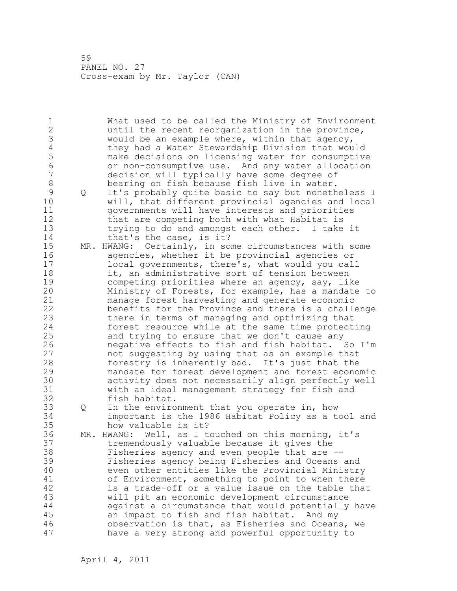1 What used to be called the Ministry of Environment 2 until the recent reorganization in the province, 3 would be an example where, within that agency,<br>4 they had a Water Stewardship Division that wou 4 they had a Water Stewardship Division that would 5 make decisions on licensing water for consumptive 6 or non-consumptive use. And any water allocation decision will typically have some degree of 8 bearing on fish because fish live in water. 9 Q It's probably quite basic to say but nonetheless I<br>10 will, that different provincial agencies and local will, that different provincial agencies and local 11 governments will have interests and priorities 12 that are competing both with what Habitat is 13 trying to do and amongst each other. I take it 14 that's the case, is it? 15 MR. HWANG: Certainly, in some circumstances with some 16 agencies, whether it be provincial agencies or 17 local governments, there's, what would you call 18 it, an administrative sort of tension between 19 competing priorities where an agency, say, like<br>20 Ministry of Forests, for example, has a mandate Ministry of Forests, for example, has a mandate to 21 manage forest harvesting and generate economic 22 benefits for the Province and there is a challenge 23 there in terms of managing and optimizing that 24 forest resource while at the same time protecting 25 and trying to ensure that we don't cause any 26 negative effects to fish and fish habitat. So I'm<br>27 hot suggesting by using that as an example that not suggesting by using that as an example that 28 forestry is inherently bad. It's just that the 29 mandate for forest development and forest economic 30 activity does not necessarily align perfectly well with an ideal management strategy for fish and 32 fish habitat. 33 Q In the environment that you operate in, how 34 important is the 1986 Habitat Policy as a tool and 35 how valuable is it? 36 MR. HWANG: Well, as I touched on this morning, it's 37 tremendously valuable because it gives the 38 Fisheries agency and even people that are -- 39 Fisheries agency being Fisheries and Oceans and 40 even other entities like the Provincial Ministry 41 of Environment, something to point to when there<br>42 is a trade-off or a value issue on the table that is a trade-off or a value issue on the table that 43 will pit an economic development circumstance 44 against a circumstance that would potentially have 45 an impact to fish and fish habitat. And my 46 observation is that, as Fisheries and Oceans, we 47 have a very strong and powerful opportunity to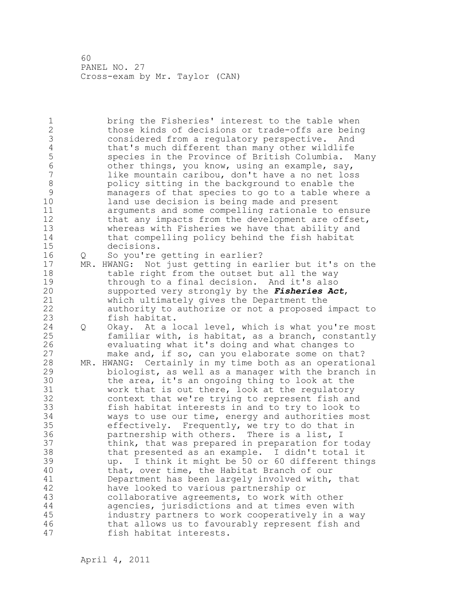1 bring the Fisheries' interest to the table when 2 those kinds of decisions or trade-offs are being 3 considered from a regulatory perspective. And 4 that's much different than many other wildlife<br>5 species in the Province of British Columbia. 5 species in the Province of British Columbia. Many<br>6 6 ther things, you know, using an example, sav, 6 other things, you know, using an example, say, like mountain caribou, don't have a no net loss 8 policy sitting in the background to enable the<br>9 managers of that species to go to a table where 9 managers of that species to go to a table where a land use decision is being made and present 11 arguments and some compelling rationale to ensure 12 that any impacts from the development are offset, 13 whereas with Fisheries we have that ability and 14 that compelling policy behind the fish habitat 15 decisions. 16 Q So you're getting in earlier? 17 MR. HWANG: Not just getting in earlier but it's on the 18 table right from the outset but all the way 19 through to a final decision. And it's also<br>20 supported very strongly by the **Fisheries Ac** supported very strongly by the *Fisheries Act*, 21 which ultimately gives the Department the 22 authority to authorize or not a proposed impact to 23 fish habitat. 24 Q Okay. At a local level, which is what you're most 25 familiar with, is habitat, as a branch, constantly 26 evaluating what it's doing and what changes to<br>27 make and, if so, can you elaborate some on tha make and, if so, can you elaborate some on that? 28 MR. HWANG: Certainly in my time both as an operational 29 biologist, as well as a manager with the branch in 30 the area, it's an ongoing thing to look at the<br>31 work that is out there, look at the regulatory work that is out there, look at the regulatory 32 context that we're trying to represent fish and 33 fish habitat interests in and to try to look to 34 ways to use our time, energy and authorities most 35 effectively. Frequently, we try to do that in 36 partnership with others. There is a list, I 37 think, that was prepared in preparation for today 38 that presented as an example. I didn't total it 39 up. I think it might be 50 or 60 different things 40 that, over time, the Habitat Branch of our 41 Department has been largely involved with, that<br>42 have looked to various partnership or have looked to various partnership or 43 collaborative agreements, to work with other 44 agencies, jurisdictions and at times even with 45 industry partners to work cooperatively in a way 46 that allows us to favourably represent fish and 47 fish habitat interests.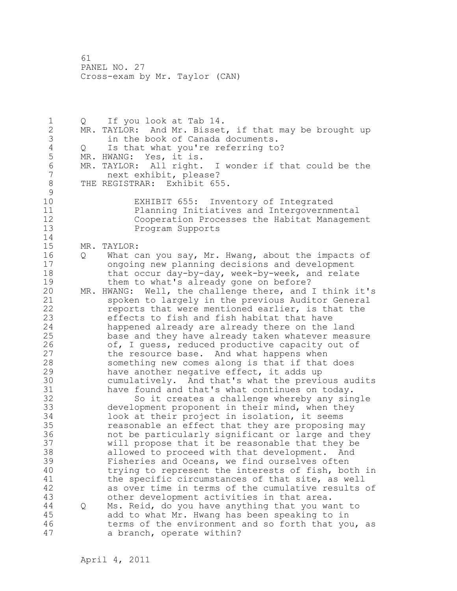1 Q If you look at Tab 14. 2 MR. TAYLOR: And Mr. Bisset, if that may be brought up 3 in the book of Canada documents.<br>4 Q Is that what you're referring to 4 Q Is that what you're referring to?<br>5 MR. HWANG: Yes, it is. 5 MR. HWANG: Yes, it is.<br>6 MR. TAYLOR: All right. 6 MR. TAYLOR: All right. I wonder if that could be the<br>7 mext exhibit, please? 7 next exhibit, please? 8 THE REGISTRAR: Exhibit 655.  $\begin{array}{c} 9 \\ 10 \end{array}$ EXHIBIT 655: Inventory of Integrated 11 Planning Initiatives and Intergovernmental 12 Cooperation Processes the Habitat Management 13 Program Supports 14 15 MR. TAYLOR: 16 Q What can you say, Mr. Hwang, about the impacts of 17 ongoing new planning decisions and development 18 that occur day-by-day, week-by-week, and relate 19 them to what's already gone on before?<br>20 MR. HWANG: Well, the challenge there, and MR. HWANG: Well, the challenge there, and I think it's 21 spoken to largely in the previous Auditor General 22 reports that were mentioned earlier, is that the 23 effects to fish and fish habitat that have 24 happened already are already there on the land 25 base and they have already taken whatever measure 26 of, I guess, reduced productive capacity out of<br>27 the resource base. And what happens when the resource base. And what happens when 28 something new comes along is that if that does 29 have another negative effect, it adds up 30 cumulatively. And that's what the previous audits<br>31 have found and that's what continues on todav. 31 have found and that's what continues on today.<br>32 So it creates a challenge whereby any sin So it creates a challenge whereby any single 33 development proponent in their mind, when they 34 look at their project in isolation, it seems 35 reasonable an effect that they are proposing may 36 not be particularly significant or large and they 37 will propose that it be reasonable that they be 38 allowed to proceed with that development. And 39 Fisheries and Oceans, we find ourselves often 40 trying to represent the interests of fish, both in 41 the specific circumstances of that site, as well<br>42 as over time in terms of the cumulative results as over time in terms of the cumulative results of 43 other development activities in that area. 44 Q Ms. Reid, do you have anything that you want to 45 add to what Mr. Hwang has been speaking to in 46 terms of the environment and so forth that you, as 47 a branch, operate within?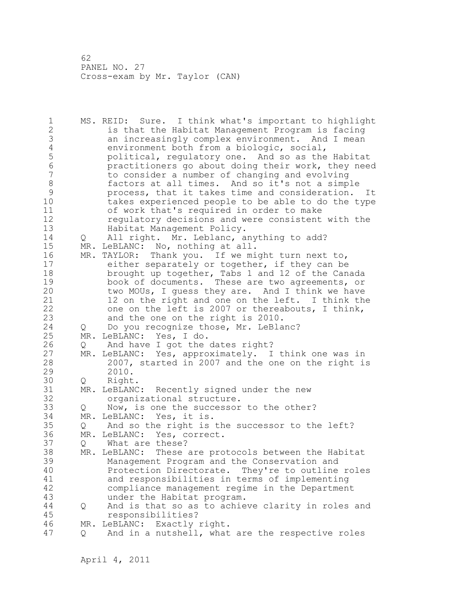1 MS. REID: Sure. I think what's important to highlight 2 is that the Habitat Management Program is facing 3 an increasingly complex environment. And I mean<br>4 environment both from a biologic, social, 4 environment both from a biologic, social,<br>5 bolitical, regulatory one. And so as the 5 political, regulatory one. And so as the Habitat 6 practitioners go about doing their work, they need 7 to consider a number of changing and evolving 8 factors at all times. And so it's not a simple<br>9 process, that it takes time and consideration. 9 process, that it takes time and consideration. It<br>10 takes experienced people to be able to do the type takes experienced people to be able to do the type 11 of work that's required in order to make 12 regulatory decisions and were consistent with the 13 Habitat Management Policy. 14 Q All right. Mr. Leblanc, anything to add? 15 MR. LeBLANC: No, nothing at all. 16 MR. TAYLOR: Thank you. If we might turn next to, 17 either separately or together, if they can be 18 brought up together, Tabs 1 and 12 of the Canada 19 book of documents. These are two agreements, or<br>20 two MOUs, I quess they are. And I think we have two MOUs, I guess they are. And I think we have 21 12 on the right and one on the left. I think the 22 one on the left is 2007 or thereabouts, I think, 23 and the one on the right is 2010. 24 Q Do you recognize those, Mr. LeBlanc? 25 MR. LeBLANC: Yes, I do. 26 Q And have I got the dates right?<br>27 MR. LeBLANC: Yes, approximately. I 27 MR. LeBLANC: Yes, approximately. I think one was in<br>28 2007, started in 2007 and the one on the right is 2007, started in 2007 and the one on the right is 29 2010. 30 Q Right.<br>31 MR. LeBLANC 31 MR. LeBLANC: Recently signed under the new<br>32 organizational structure. organizational structure. 33 Q Now, is one the successor to the other? 34 MR. LeBLANC: Yes, it is. 35 Q And so the right is the successor to the left? 36 MR. LeBLANC: Yes, correct. 37 Q What are these? 38 MR. LeBLANC: These are protocols between the Habitat 39 Management Program and the Conservation and 40 Protection Directorate. They're to outline roles 41 and responsibilities in terms of implementing<br>42 compliance management regime in the Departmen compliance management regime in the Department 43 under the Habitat program. 44 Q And is that so as to achieve clarity in roles and 45 responsibilities? 46 MR. LeBLANC: Exactly right. 47 Q And in a nutshell, what are the respective roles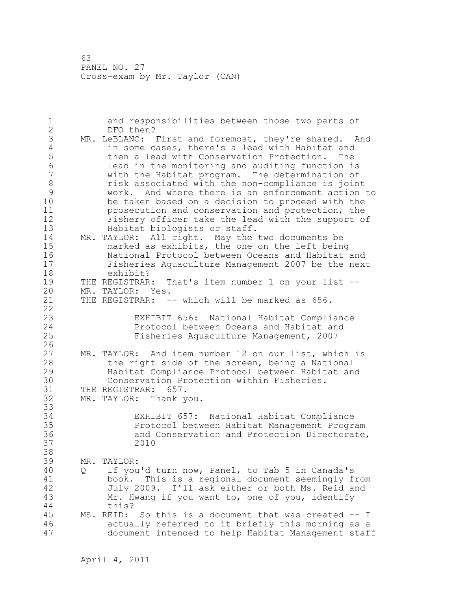| $\mathbf 1$<br>$\overline{2}$ |   | and responsibilities between those two parts of<br>DFO then?                                            |
|-------------------------------|---|---------------------------------------------------------------------------------------------------------|
| 3                             |   | MR. LeBLANC: First and foremost, they're shared. And                                                    |
| $\overline{4}$                |   | in some cases, there's a lead with Habitat and                                                          |
| 5                             |   | then a lead with Conservation Protection.<br>The                                                        |
| 6                             |   | lead in the monitoring and auditing function is                                                         |
| $\overline{7}$                |   | with the Habitat program. The determination of                                                          |
| 8                             |   | risk associated with the non-compliance is joint                                                        |
| 9                             |   | work. And where there is an enforcement action to                                                       |
| 10                            |   | be taken based on a decision to proceed with the                                                        |
| 11                            |   | prosecution and conservation and protection, the                                                        |
| 12                            |   | Fishery officer take the lead with the support of                                                       |
| 13                            |   | Habitat biologists or staff.                                                                            |
| 14                            |   | MR. TAYLOR: All right. May the two documents be                                                         |
| 15                            |   | marked as exhibits, the one on the left being                                                           |
| 16                            |   | National Protocol between Oceans and Habitat and                                                        |
| 17                            |   | Fisheries Aquaculture Management 2007 be the next                                                       |
| 18                            |   | exhibit?                                                                                                |
| 19                            |   | That's item number 1 on your list --<br>THE REGISTRAR:                                                  |
| 20                            |   | MR. TAYLOR: Yes.                                                                                        |
| 21                            |   | THE REGISTRAR: -- which will be marked as 656.                                                          |
| 22                            |   |                                                                                                         |
| 23                            |   | EXHIBIT 656: National Habitat Compliance                                                                |
| 24                            |   | Protocol between Oceans and Habitat and                                                                 |
| 25                            |   | Fisheries Aquaculture Management, 2007                                                                  |
| 26                            |   |                                                                                                         |
| 27                            |   | MR. TAYLOR: And item number 12 on our list, which is                                                    |
| 28                            |   | the right side of the screen, being a National                                                          |
| 29                            |   | Habitat Compliance Protocol between Habitat and                                                         |
| 30                            |   | Conservation Protection within Fisheries.                                                               |
| 31                            |   | THE REGISTRAR: 657.                                                                                     |
| 32                            |   | MR. TAYLOR: Thank you.                                                                                  |
| 33                            |   |                                                                                                         |
| 34                            |   | EXHIBIT 657: National Habitat Compliance                                                                |
| 35                            |   | Protocol between Habitat Management Program                                                             |
| 36                            |   | and Conservation and Protection Directorate,                                                            |
| 37                            |   | 2010                                                                                                    |
| 38                            |   |                                                                                                         |
| 39                            |   | MR. TAYLOR:                                                                                             |
| 40                            | Q | If you'd turn now, Panel, to Tab 5 in Canada's                                                          |
| 41                            |   | This is a regional document seemingly from<br>book.                                                     |
| 42                            |   | July 2009. I'll ask either or both Ms. Reid and                                                         |
| 43                            |   | Mr. Hwang if you want to, one of you, identify                                                          |
| 44                            |   | this?                                                                                                   |
| 45                            |   | MS. REID:<br>So this is a document that was created -- I                                                |
| 46<br>47                      |   | actually referred to it briefly this morning as a<br>document intended to help Habitat Management staff |
|                               |   |                                                                                                         |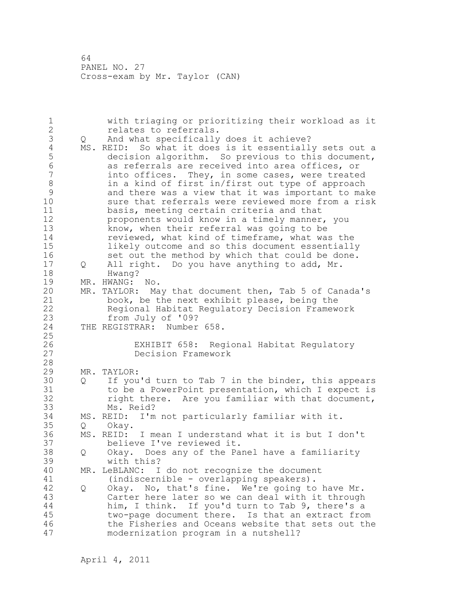1 with triaging or prioritizing their workload as it 2 relates to referrals. 3 Q And what specifically does it achieve?<br>4 MS. REID: So what it does is it essentiall 4 MS. REID: So what it does is it essentially sets out a<br>5 decision algorithm. So previous to this document, 5 decision algorithm. So previous to this document,<br>6 as referrals are received into area offices, or 6 as referrals are received into area offices, or into offices. They, in some cases, were treated 8 in a kind of first in/first out type of approach 9 and there was a view that it was important to make<br>10 sure that referrals were reviewed more from a risk sure that referrals were reviewed more from a risk 11 basis, meeting certain criteria and that 12 proponents would know in a timely manner, you 13 know, when their referral was going to be 14 reviewed, what kind of timeframe, what was the 15 likely outcome and so this document essentially 16 set out the method by which that could be done. 17 Q All right. Do you have anything to add, Mr. 18 Hwang? 19 MR. HWANG: No.<br>20 MR. TAYLOR: Ma MR. TAYLOR: May that document then, Tab 5 of Canada's 21 book, be the next exhibit please, being the 22 Regional Habitat Regulatory Decision Framework 23 from July of '09?<br>24 THE REGISTRAR: Number THE REGISTRAR: Number 658. 25 26 EXHIBIT 658: Regional Habitat Regulatory<br>27 Decision Framework Decision Framework 28 29 MR. TAYLOR: 30 Q If you'd turn to Tab 7 in the binder, this appears<br>31 to be a PowerPoint presentation, which I expect is 31 to be a PowerPoint presentation, which I expect is<br>32 right there. Are you familiar with that document. right there. Are you familiar with that document, 33 Ms. Reid? 34 MS. REID: I'm not particularly familiar with it. 35 Q Okay. MS. REID: I mean I understand what it is but I don't 37 believe I've reviewed it. 38 Q Okay. Does any of the Panel have a familiarity 39 with this? 40 MR. LeBLANC: I do not recognize the document 41 (indiscernible - overlapping speakers).<br>42 0 Okav. No, that's fine. We're going to Q Okay. No, that's fine. We're going to have Mr. 43 Carter here later so we can deal with it through 44 him, I think. If you'd turn to Tab 9, there's a 45 two-page document there. Is that an extract from 46 the Fisheries and Oceans website that sets out the 47 modernization program in a nutshell?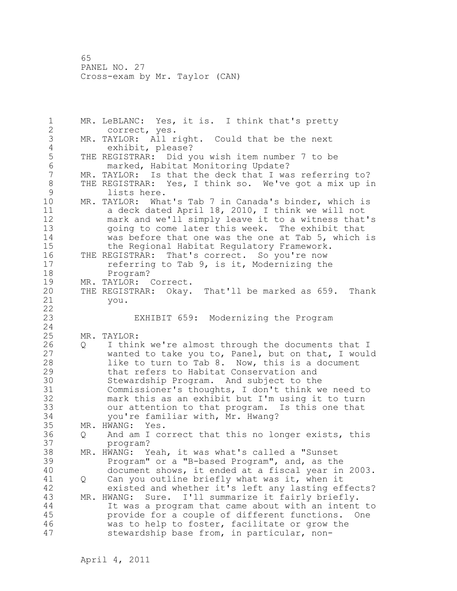1 MR. LeBLANC: Yes, it is. I think that's pretty 2 correct, yes. 3 MR. TAYLOR: All right. Could that be the next<br>4 exhibit, please? 4 exhibit, please?<br>5 THE REGISTRAR: Did y 5 THE REGISTRAR: Did you wish item number 7 to be 6 marked, Habitat Monitoring Update?<br>7 MR. TAYLOR: Is that the deck that I wa MR. TAYLOR: Is that the deck that I was referring to? 8 THE REGISTRAR: Yes, I think so. We've got a mix up in<br>9 1ists here. 9 lists here.<br>10 MR. TAYLOR: Wha MR. TAYLOR: What's Tab 7 in Canada's binder, which is 11 a deck dated April 18, 2010, I think we will not 12 mark and we'll simply leave it to a witness that's 13 going to come later this week. The exhibit that 14 was before that one was the one at Tab 5, which is 15 the Regional Habitat Regulatory Framework. 16 THE REGISTRAR: That's correct. So you're now 17 referring to Tab 9, is it, Modernizing the 18 Program? 19 MR. TAYLOR: Correct.<br>20 THE REGISTRAR: Okay. THE REGISTRAR: Okay. That'll be marked as 659. Thank 21 you. 22 23 EXHIBIT 659: Modernizing the Program 24 25 MR. TAYLOR: 26 Q I think we're almost through the documents that I<br>27 wanted to take you to, Panel, but on that, I would wanted to take you to, Panel, but on that, I would 28 like to turn to Tab 8. Now, this is a document 29 that refers to Habitat Conservation and 30 Stewardship Program. And subject to the<br>31 Commissioner's thoughts, I don't think we 31 Commissioner's thoughts, I don't think we need to mark this as an exhibit but I'm using it to turn 33 our attention to that program. Is this one that 34 you're familiar with, Mr. Hwang? 35 MR. HWANG: Yes. 36 Q And am I correct that this no longer exists, this 37 program? 38 MR. HWANG: Yeah, it was what's called a "Sunset 39 Program" or a "B-based Program", and, as the 40 document shows, it ended at a fiscal year in 2003. 41 Q Can you outline briefly what was it, when it<br>42 existed and whether it's left any lasting ef existed and whether it's left any lasting effects? 43 MR. HWANG: Sure. I'll summarize it fairly briefly. 44 It was a program that came about with an intent to 45 provide for a couple of different functions. One 46 was to help to foster, facilitate or grow the 47 stewardship base from, in particular, non-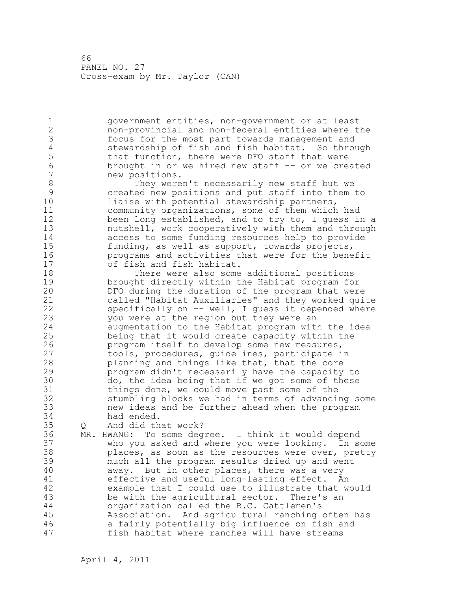2 non-provincial and non-federal entities where the 3 focus for the most part towards management and<br>4 stewardship of fish and fish habitat. So thro 4 stewardship of fish and fish habitat. So through<br>5 that function, there were DFO staff that were 5 that function, there were DFO staff that were<br>6 brought in or we hired new staff -- or we cre 6 brought in or we hired new staff -- or we created new positions. 8 They weren't necessarily new staff but we<br>9 created new positions and put staff into them 9 created new positions and put staff into them to<br>10 11aise with potential stewardship partners, liaise with potential stewardship partners, 11 community organizations, some of them which had 12 been long established, and to try to, I guess in a 13 nutshell, work cooperatively with them and through 14 access to some funding resources help to provide 15 funding, as well as support, towards projects, 16 programs and activities that were for the benefit<br>17 of fish and fish habitat. of fish and fish habitat. 18 There were also some additional positions 19 brought directly within the Habitat program for<br>20 DFO during the duration of the program that were DFO during the duration of the program that were 21 called "Habitat Auxiliaries" and they worked quite 22 specifically on -- well, I guess it depended where 23 you were at the region but they were an 24 augmentation to the Habitat program with the idea 25 being that it would create capacity within the 26 program itself to develop some new measures,<br>27 tools, procedures, quidelines, participate i tools, procedures, guidelines, participate in 28 planning and things like that, that the core 29 program didn't necessarily have the capacity to 30 do, the idea being that if we got some of these<br>31 things done, we could move past some of the things done, we could move past some of the 32 stumbling blocks we had in terms of advancing some 33 new ideas and be further ahead when the program 34 had ended. 35 Q And did that work? 36 MR. HWANG: To some degree. I think it would depend 37 who you asked and where you were looking. In some 38 places, as soon as the resources were over, pretty 39 much all the program results dried up and went 40 away. But in other places, there was a very 41 effective and useful long-lasting effect. An<br>42 example that I could use to illustrate that w example that I could use to illustrate that would 43 be with the agricultural sector. There's an 44 organization called the B.C. Cattlemen's 45 Association. And agricultural ranching often has 46 a fairly potentially big influence on fish and 47 fish habitat where ranches will have streams

1 government entities, non-government or at least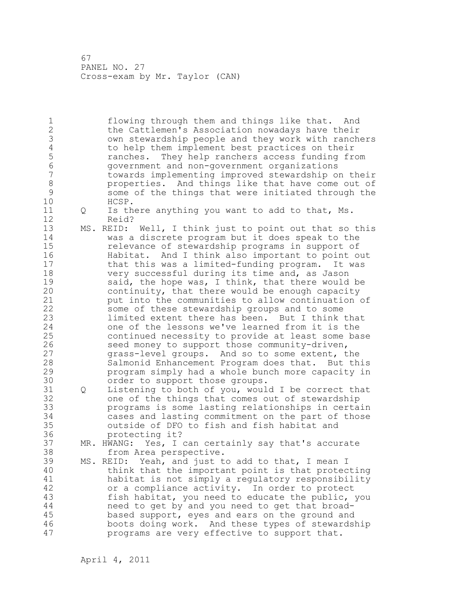1 flowing through them and things like that. And 2 the Cattlemen's Association nowadays have their 3 own stewardship people and they work with ranchers 4 to help them implement best practices on their<br>5 manches. They help ranchers access funding free 5 ranches. They help ranchers access funding from 6 government and non-government organizations towards implementing improved stewardship on their 8 properties. And things like that have come out of<br>9 some of the things that were initiated through the 9 some of the things that were initiated through the 10 HCSP. HCSP. 11 Q Is there anything you want to add to that, Ms. 12 Reid? 13 MS. REID: Well, I think just to point out that so this 14 was a discrete program but it does speak to the 15 relevance of stewardship programs in support of 16 Habitat. And I think also important to point out 17 that this was a limited-funding program. It was 18 very successful during its time and, as Jason 19 said, the hope was, I think, that there would be<br>20 continuity, that there would be enough capacity continuity, that there would be enough capacity 21 put into the communities to allow continuation of 22 some of these stewardship groups and to some 23 limited extent there has been. But I think that 24 one of the lessons we've learned from it is the 25 continued necessity to provide at least some base 26 seed money to support those community-driven,<br>27 orass-level groups. And so to some extent, t grass-level groups. And so to some extent, the 28 Salmonid Enhancement Program does that. But this 29 program simply had a whole bunch more capacity in 30 order to support those groups.<br>31 0 Listening to both of you, woul Q Listening to both of you, would I be correct that 32 one of the things that comes out of stewardship 33 programs is some lasting relationships in certain 34 cases and lasting commitment on the part of those 35 outside of DFO to fish and fish habitat and 36 protecting it? 37 MR. HWANG: Yes, I can certainly say that's accurate 38 from Area perspective. 39 MS. REID: Yeah, and just to add to that, I mean I 40 think that the important point is that protecting 41 habitat is not simply a regulatory responsibility<br>42 or a compliance activity. In order to protect or a compliance activity. In order to protect 43 fish habitat, you need to educate the public, you 44 need to get by and you need to get that broad-45 based support, eyes and ears on the ground and 46 boots doing work. And these types of stewardship 47 programs are very effective to support that.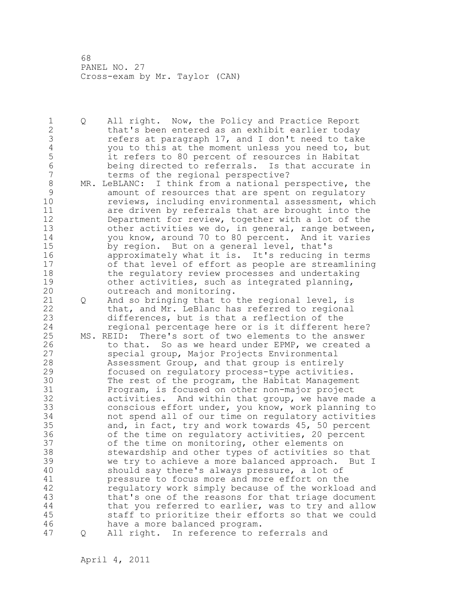1 Q All right. Now, the Policy and Practice Report 2 that's been entered as an exhibit earlier today 3 refers at paragraph 17, and I don't need to take<br>4 you to this at the moment unless you need to, bu 4 you to this at the moment unless you need to, but<br>5 it refers to 80 percent of resources in Habitat 5 it refers to 80 percent of resources in Habitat 6 being directed to referrals. Is that accurate in terms of the regional perspective? 8 MR. LeBLANC: I think from a national perspective, the<br>9 amount of resources that are spent on requlatory 9 amount of resources that are spent on regulatory<br>10 **bushes reviews, including environmental assessment, whi** reviews, including environmental assessment, which 11 are driven by referrals that are brought into the 12 Department for review, together with a lot of the 13 other activities we do, in general, range between, 14 you know, around 70 to 80 percent. And it varies 15 by region. But on a general level, that's 16 approximately what it is. It's reducing in terms 17 of that level of effort as people are streamlining 18 the regulatory review processes and undertaking 19 other activities, such as integrated planning,<br>20 outreach and monitoring. outreach and monitoring. 21 Q And so bringing that to the regional level, is 22 that, and Mr. LeBlanc has referred to regional 23 differences, but is that a reflection of the 24 regional percentage here or is it different here? 25 MS. REID: There's sort of two elements to the answer 26 to that. So as we heard under EPMP, we created a<br>27 special group, Major Projects Environmental special group, Major Projects Environmental 28 Assessment Group, and that group is entirely 29 focused on regulatory process-type activities. 30 The rest of the program, the Habitat Management<br>31 Program, is focused on other non-major project 31 Program, is focused on other non-major project<br>32 activities. And within that group, we have ma activities. And within that group, we have made a 33 conscious effort under, you know, work planning to 34 not spend all of our time on regulatory activities 35 and, in fact, try and work towards 45, 50 percent 36 of the time on regulatory activities, 20 percent 37 of the time on monitoring, other elements on 38 stewardship and other types of activities so that 39 we try to achieve a more balanced approach. But I 40 should say there's always pressure, a lot of 41 pressure to focus more and more effort on the<br>42 equilatory work simply because of the workloa regulatory work simply because of the workload and 43 that's one of the reasons for that triage document 44 that you referred to earlier, was to try and allow 45 staff to prioritize their efforts so that we could 46 have a more balanced program. 47 Q All right. In reference to referrals and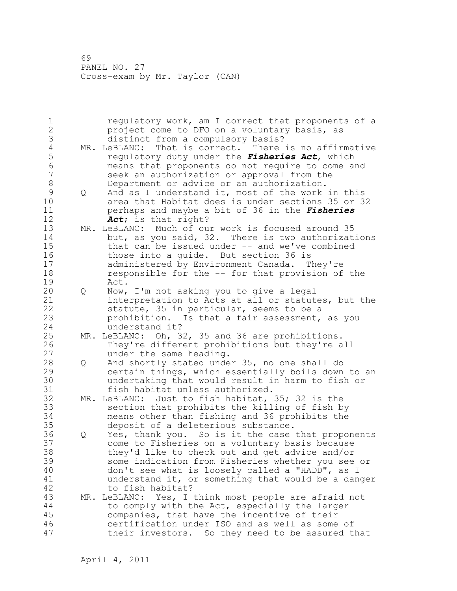| 1<br>$\overline{2}$<br>3          |   | regulatory work, am I correct that proponents of a<br>project come to DFO on a voluntary basis, as<br>distinct from a compulsory basis?                                                                                                                                                                             |
|-----------------------------------|---|---------------------------------------------------------------------------------------------------------------------------------------------------------------------------------------------------------------------------------------------------------------------------------------------------------------------|
| $\overline{4}$<br>5<br>$\sqrt{6}$ |   | MR. LeBLANC: That is correct. There is no affirmative<br>regulatory duty under the <i>Fisheries Act</i> , which<br>means that proponents do not require to come and                                                                                                                                                 |
| 7<br>8                            |   | seek an authorization or approval from the<br>Department or advice or an authorization.                                                                                                                                                                                                                             |
| 9<br>10<br>11                     | Q | And as I understand it, most of the work in this<br>area that Habitat does is under sections 35 or 32<br>perhaps and maybe a bit of 36 in the Fisheries                                                                                                                                                             |
| 12<br>13<br>14                    |   | Act; is that right?<br>MR. LeBLANC: Much of our work is focused around 35<br>but, as you said, 32. There is two authorizations                                                                                                                                                                                      |
| 15<br>16<br>17<br>18              |   | that can be issued under -- and we've combined<br>those into a quide. But section 36 is<br>administered by Environment Canada. They're<br>responsible for the -- for that provision of the                                                                                                                          |
| 19<br>20                          | Q | Act.<br>Now, I'm not asking you to give a legal                                                                                                                                                                                                                                                                     |
| 21<br>22<br>23                    |   | interpretation to Acts at all or statutes, but the<br>statute, 35 in particular, seems to be a<br>prohibition. Is that a fair assessment, as you                                                                                                                                                                    |
| 24<br>25<br>26<br>27              |   | understand it?<br>MR. LeBLANC: Oh, 32, 35 and 36 are prohibitions.<br>They're different prohibitions but they're all<br>under the same heading.                                                                                                                                                                     |
| 28<br>29<br>30<br>31              | Q | And shortly stated under 35, no one shall do<br>certain things, which essentially boils down to an<br>undertaking that would result in harm to fish or<br>fish habitat unless authorized.                                                                                                                           |
| 32<br>33<br>34<br>35              |   | MR. LeBLANC: Just to fish habitat, 35; 32 is the<br>section that prohibits the killing of fish by<br>means other than fishing and 36 prohibits the<br>deposit of a deleterious substance.                                                                                                                           |
| 36<br>37<br>38<br>39<br>40<br>41  | Q | Yes, thank you. So is it the case that proponents<br>come to Fisheries on a voluntary basis because<br>they'd like to check out and get advice and/or<br>some indication from Fisheries whether you see or<br>don't see what is loosely called a "HADD", as I<br>understand it, or something that would be a danger |
| 42<br>43<br>44<br>45<br>46<br>47  |   | to fish habitat?<br>MR. LeBLANC: Yes, I think most people are afraid not<br>to comply with the Act, especially the larger<br>companies, that have the incentive of their<br>certification under ISO and as well as some of<br>their investors. So they need to be assured that                                      |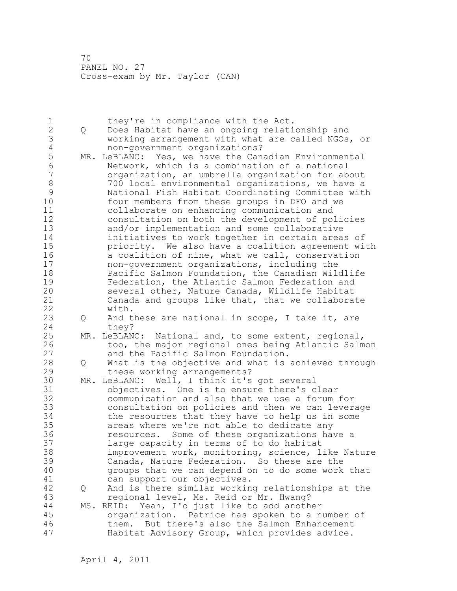1 they're in compliance with the Act.<br>2 0 Does Habitat have an ongoing relati 2 Q Does Habitat have an ongoing relationship and 3 working arrangement with what are called NGOs, or 4 non-government organizations?<br>5 MR. LeBLANC: Yes, we have the Can 5 MR. LeBLANC: Yes, we have the Canadian Environmental<br>6 Metwork, which is a combination of a national 6 Network, which is a combination of a national organization, an umbrella organization for about 8 700 local environmental organizations, we have a<br>9 11 National Fish Habitat Coordinating Committee with 9 National Fish Habitat Coordinating Committee with four members from these groups in DFO and we 11 collaborate on enhancing communication and 12 consultation on both the development of policies<br>13 and/or implementation and some collaborative and/or implementation and some collaborative 14 initiatives to work together in certain areas of<br>15 priority. We also have a coalition agreement wi 15 priority. We also have a coalition agreement with<br>16 a coalition of nine, what we call, conservation 16 a coalition of nine, what we call, conservation<br>17 hon-government organizations, including the non-government organizations, including the 18 Pacific Salmon Foundation, the Canadian Wildlife 19 Federation, the Atlantic Salmon Federation and<br>20 Several other, Nature Canada, Wildlife Habitat several other, Nature Canada, Wildlife Habitat 21 Canada and groups like that, that we collaborate 22 with. 23 Q And these are national in scope, I take it, are 24 they? 25 MR. LeBLANC: National and, to some extent, regional, 26 too, the major regional ones being Atlantic Salmon<br>27 and the Pacific Salmon Foundation. and the Pacific Salmon Foundation. 28 Q What is the objective and what is achieved through 29 these working arrangements? 30 MR. LeBLANC: Well, I think it's got several 31 objectives. One is to ensure there's clear communication and also that we use a forum for 33 consultation on policies and then we can leverage 34 the resources that they have to help us in some 35 areas where we're not able to dedicate any 36 resources. Some of these organizations have a 37 large capacity in terms of to do habitat 38 improvement work, monitoring, science, like Nature 39 Canada, Nature Federation. So these are the 40 groups that we can depend on to do some work that 41 can support our objectives.<br>42 O And is there similar workin 42 Q And is there similar working relationships at the 43 regional level, Ms. Reid or Mr. Hwang? 44 MS. REID: Yeah, I'd just like to add another 45 organization. Patrice has spoken to a number of 46 them. But there's also the Salmon Enhancement 47 Habitat Advisory Group, which provides advice.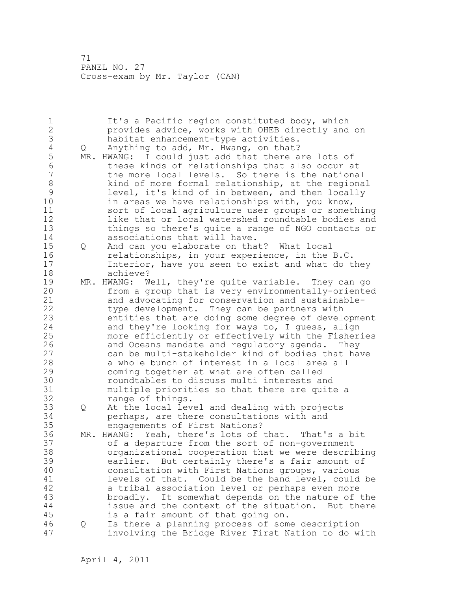1 It's a Pacific region constituted body, which 2 provides advice, works with OHEB directly and on 3 habitat enhancement-type activities.<br>4 Q Anything to add, Mr. Hwang, on that? 4 Q Anything to add, Mr. Hwang, on that?<br>5 MR. HWANG: I could just add that there a 5 MR. HWANG: I could just add that there are lots of<br>6 these kinds of relationships that also occur a 6 these kinds of relationships that also occur at the more local levels. So there is the national 8 kind of more formal relationship, at the regional<br>9 level, it's kind of in between, and then locally 9 level, it's kind of in between, and then locally<br>10 in areas we have relationships with, you know, in areas we have relationships with, you know, 11 sort of local agriculture user groups or something 12 like that or local watershed roundtable bodies and 13 things so there's quite a range of NGO contacts or 14 associations that will have. 15 Q And can you elaborate on that? What local 16 relationships, in your experience, in the B.C. 17 Interior, have you seen to exist and what do they 18 achieve? 19 MR. HWANG: Well, they're quite variable. They can go<br>20 from a group that is very environmentally-oriented from a group that is very environmentally-oriented 21 and advocating for conservation and sustainable-22 type development. They can be partners with 23 entities that are doing some degree of development 24 and they're looking for ways to, I guess, align 25 more efficiently or effectively with the Fisheries 26 and Oceans mandate and regulatory agenda. They<br>27 can be multi-stakeholder kind of bodies that ha can be multi-stakeholder kind of bodies that have 28 a whole bunch of interest in a local area all 29 coming together at what are often called 30 30 roundtables to discuss multi interests and<br>31 multiple priorities so that there are quite multiple priorities so that there are quite a 32 range of things. 33 Q At the local level and dealing with projects 34 perhaps, are there consultations with and 35 engagements of First Nations? 36 MR. HWANG: Yeah, there's lots of that. That's a bit 37 of a departure from the sort of non-government 38 organizational cooperation that we were describing 39 earlier. But certainly there's a fair amount of 40 consultation with First Nations groups, various 41 levels of that. Could be the band level, could be 42 a tribal association level or perhaps even more a tribal association level or perhaps even more 43 broadly. It somewhat depends on the nature of the 44 issue and the context of the situation. But there 45 is a fair amount of that going on. 46 Q Is there a planning process of some description 47 involving the Bridge River First Nation to do with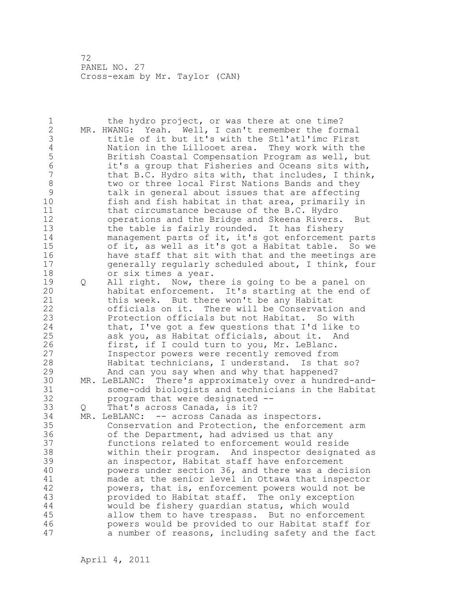1 the hydro project, or was there at one time? 2 MR. HWANG: Yeah. Well, I can't remember the formal 3 title of it but it's with the Stl'atl'imc First 4 Nation in the Lillooet area. They work with the<br>5 British Coastal Compensation Program as well, bu 5 British Coastal Compensation Program as well, but<br>6 it's a group that Fisheries and Oceans sits with, 6 it's a group that Fisheries and Oceans sits with, that B.C. Hydro sits with, that includes, I think, 8 two or three local First Nations Bands and they<br>9 talk in general about issues that are affecting 9 talk in general about issues that are affecting fish and fish habitat in that area, primarily in 11 that circumstance because of the B.C. Hydro 12 operations and the Bridge and Skeena Rivers. But 13 the table is fairly rounded. It has fishery 14 management parts of it, it's got enforcement parts 15 of it, as well as it's got a Habitat table. So we 16 have staff that sit with that and the meetings are 17 generally regularly scheduled about, I think, four 18 or six times a year. 19 Q All right. Now, there is going to be a panel on<br>20 habitat enforcement. It's starting at the end o habitat enforcement. It's starting at the end of 21 this week. But there won't be any Habitat 22 officials on it. There will be Conservation and 23 Protection officials but not Habitat. So with 24 that, I've got a few questions that I'd like to 25 ask you, as Habitat officials, about it. And 26 first, if I could turn to you, Mr. LeBlanc.<br>27 **Inspector powers were recently removed from** Inspector powers were recently removed from 28 Habitat technicians, I understand. Is that so? 29 And can you say when and why that happened? 30 MR. LeBLANC: There's approximately over a hundred-and-31 some-odd biologists and technicians in the Habitat<br>32 brogram that were designated -program that were designated --33 Q That's across Canada, is it? 34 MR. LeBLANC: -- across Canada as inspectors. 35 Conservation and Protection, the enforcement arm 36 of the Department, had advised us that any 37 functions related to enforcement would reside 38 within their program. And inspector designated as 39 an inspector, Habitat staff have enforcement 40 powers under section 36, and there was a decision 41 made at the senior level in Ottawa that inspector<br>42 mowers, that is, enforcement powers would not be powers, that is, enforcement powers would not be 43 provided to Habitat staff. The only exception 44 would be fishery guardian status, which would 45 allow them to have trespass. But no enforcement 46 powers would be provided to our Habitat staff for 47 a number of reasons, including safety and the fact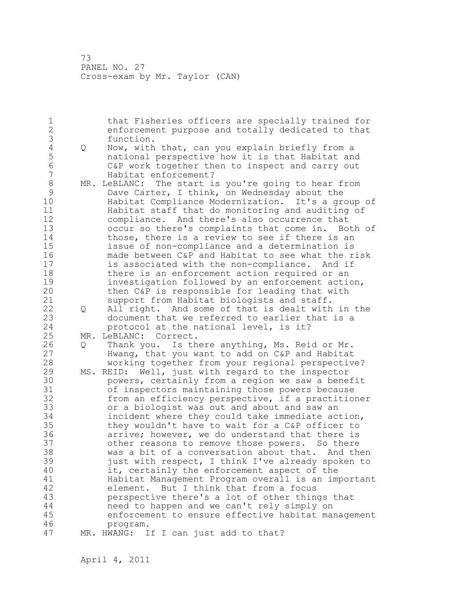1 that Fisheries officers are specially trained for 2 enforcement purpose and totally dedicated to that 3 function.<br>4 Q Now, with 4 Q Now, with that, can you explain briefly from a 5 national perspective how it is that Habitat and 6 C&P work together then to inspect and carry out Habitat enforcement? 8 MR. LeBLANC: The start is you're going to hear from<br>9 Dave Carter, I think, on Wednesday about the 9 Dave Carter, I think, on Wednesday about the<br>10 Habitat Compliance Modernization. It's a gre Habitat Compliance Modernization. It's a group of 11 Habitat staff that do monitoring and auditing of 12 compliance. And there's also occurrence that 13 occur so there's complaints that come in. Both of 14 those, there is a review to see if there is an 15 issue of non-compliance and a determination is 16 made between C&P and Habitat to see what the risk 17 is associated with the non-compliance. And if 18 there is an enforcement action required or an 19 investigation followed by an enforcement action,<br>20 then C&P is responsible for leading that with then C&P is responsible for leading that with 21 support from Habitat biologists and staff. 22 Q All right. And some of that is dealt with in the 23 document that we referred to earlier that is a 24 protocol at the national level, is it? 25 MR. LeBLANC: Correct. 26 Q Thank you. Is there anything, Ms. Reid or Mr.<br>27 Hwang, that you want to add on C&P and Habitat Hwang, that you want to add on C&P and Habitat 28 working together from your regional perspective? 29 MS. REID: Well, just with regard to the inspector 30 **powers, certainly from a region we saw a benefit**<br>31 of inspectors maintaining those powers because 31 of inspectors maintaining those powers because<br>32 from an efficiency perspective, if a practitio from an efficiency perspective, if a practitioner 33 or a biologist was out and about and saw an 34 incident where they could take immediate action, 35 they wouldn't have to wait for a C&P officer to 36 arrive; however, we do understand that there is 37 other reasons to remove those powers. So there 38 was a bit of a conversation about that. And then 39 just with respect, I think I've already spoken to 40 it, certainly the enforcement aspect of the 41 Habitat Management Program overall is an important element. But I think that from a focus 43 perspective there's a lot of other things that 44 need to happen and we can't rely simply on 45 enforcement to ensure effective habitat management 46 program. 47 MR. HWANG: If I can just add to that?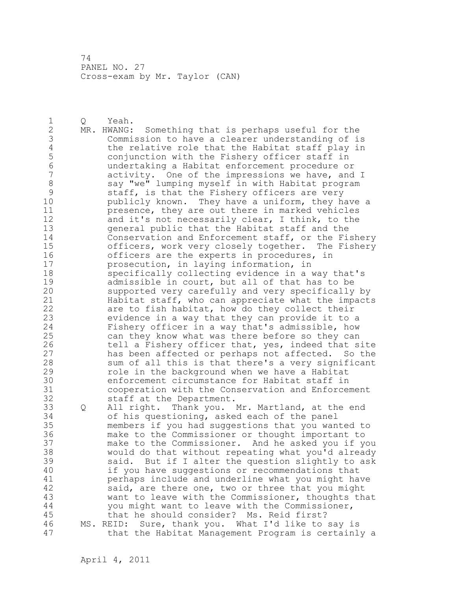1 Q Yeah. 2 MR. HWANG: Something that is perhaps useful for the 3 Commission to have a clearer understanding of is 4 the relative role that the Habitat staff play in<br>5 conjunction with the Fishery officer staff in 5 conjunction with the Fishery officer staff in 6 undertaking a Habitat enforcement procedure or activity. One of the impressions we have, and I 8 say "we" lumping myself in with Habitat program 9 staff, is that the Fishery officers are very<br>10 bublicly known. They have a uniform, they ha publicly known. They have a uniform, they have a 11 presence, they are out there in marked vehicles 12 and it's not necessarily clear, I think, to the 13 general public that the Habitat staff and the 14 Conservation and Enforcement staff, or the Fishery 15 officers, work very closely together. The Fishery 16 officers are the experts in procedures, in 17 prosecution, in laying information, in 18 specifically collecting evidence in a way that's 19 admissible in court, but all of that has to be<br>20 supported very carefully and very specifically supported very carefully and very specifically by 21 Habitat staff, who can appreciate what the impacts 22 are to fish habitat, how do they collect their 23 evidence in a way that they can provide it to a 24 Fishery officer in a way that's admissible, how 25 can they know what was there before so they can 26 tell a Fishery officer that, yes, indeed that site<br>27 has been affected or perhaps not affected. So the has been affected or perhaps not affected. So the 28 sum of all this is that there's a very significant 29 role in the background when we have a Habitat 30 enforcement circumstance for Habitat staff in cooperation with the Conservation and Enforcement 32 staff at the Department. 33 Q All right. Thank you. Mr. Martland, at the end 34 of his questioning, asked each of the panel 35 members if you had suggestions that you wanted to 36 make to the Commissioner or thought important to 37 make to the Commissioner. And he asked you if you 38 would do that without repeating what you'd already 39 said. But if I alter the question slightly to ask 40 if you have suggestions or recommendations that 41 perhaps include and underline what you might have<br>42 said, are there one, two or three that you might said, are there one, two or three that you might 43 want to leave with the Commissioner, thoughts that 44 you might want to leave with the Commissioner, 45 that he should consider? Ms. Reid first? 46 MS. REID: Sure, thank you. What I'd like to say is

47 that the Habitat Management Program is certainly a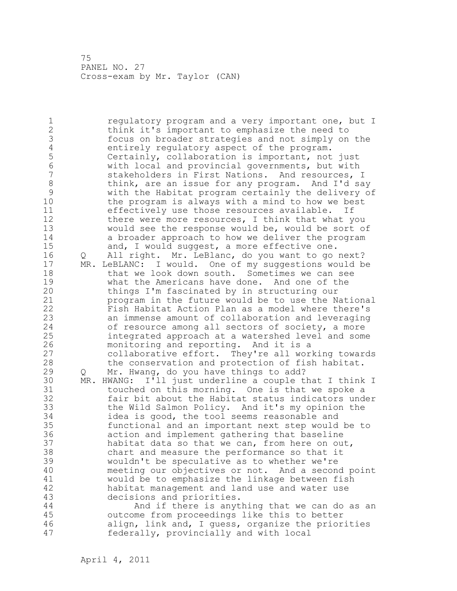1 **1** regulatory program and a very important one, but I 2 think it's important to emphasize the need to 3 focus on broader strategies and not simply on the 4 entirely regulatory aspect of the program.<br>5 Certainly, collaboration is important, not 5 Certainly, collaboration is important, not just 6 with local and provincial governments, but with stakeholders in First Nations. And resources, I 8 think, are an issue for any program. And I'd say<br>9 with the Habitat program certainly the delivery o: 9 with the Habitat program certainly the delivery of the program is always with a mind to how we best 11 effectively use those resources available. If 12 there were more resources, I think that what you 13 would see the response would be, would be sort of 14 a broader approach to how we deliver the program 15 and, I would suggest, a more effective one. 16 Q All right. Mr. LeBlanc, do you want to go next? 17 MR. LeBLANC: I would. One of my suggestions would be 18 that we look down south. Sometimes we can see 19 what the Americans have done. And one of the<br>20 things I'm fascinated by in structuring our things I'm fascinated by in structuring our 21 program in the future would be to use the National 22 Fish Habitat Action Plan as a model where there's 23 an immense amount of collaboration and leveraging 24 of resource among all sectors of society, a more 25 integrated approach at a watershed level and some 26 monitoring and reporting. And it is a<br>27 collaborative effort. They're all wor collaborative effort. They're all working towards 28 the conservation and protection of fish habitat. 29 Q Mr. Hwang, do you have things to add? 30 MR. HWANG: I'll just underline a couple that I think I 31 touched on this morning. One is that we spoke a<br>32 fair bit about the Habitat status indicators und fair bit about the Habitat status indicators under 33 the Wild Salmon Policy. And it's my opinion the 34 idea is good, the tool seems reasonable and 35 functional and an important next step would be to 36 action and implement gathering that baseline 37 habitat data so that we can, from here on out, 38 chart and measure the performance so that it 39 wouldn't be speculative as to whether we're 40 meeting our objectives or not. And a second point 41 would be to emphasize the linkage between fish<br>42 habitat management and land use and water use habitat management and land use and water use 43 decisions and priorities. 44 And if there is anything that we can do as an 45 outcome from proceedings like this to better 46 align, link and, I guess, organize the priorities 47 federally, provincially and with local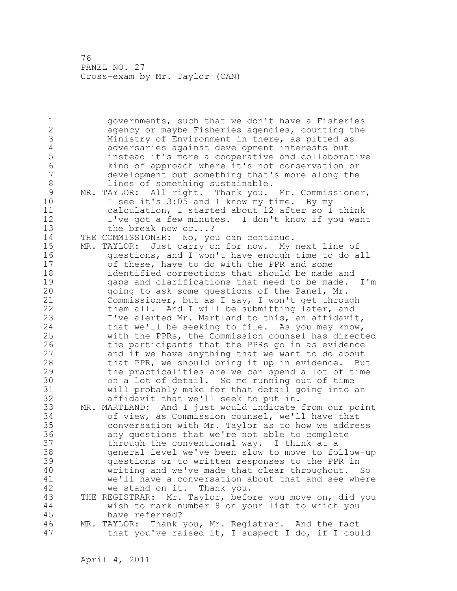1 governments, such that we don't have a Fisheries 2 agency or maybe Fisheries agencies, counting the 3 Ministry of Environment in there, as pitted as 4 adversaries against development interests but<br>5 instead it's more a cooperative and collabora 5 instead it's more a cooperative and collaborative 6 kind of approach where it's not conservation or development but something that's more along the 8 lines of something sustainable. 9 MR. TAYLOR: All right. Thank you. Mr. Commissioner,<br>10 1 see it's 3:05 and I know my time. By my I see it's 3:05 and I know my time. By my 11 calculation, I started about 12 after so I think 12 I've got a few minutes. I don't know if you want 13 the break now or...? 14 THE COMMISSIONER: No, you can continue. 15 MR. TAYLOR: Just carry on for now. My next line of 16 questions, and I won't have enough time to do all 17 of these, have to do with the PPR and some 18 identified corrections that should be made and 19 gaps and clarifications that need to be made. I'm<br>20 going to ask some questions of the Panel, Mr. going to ask some questions of the Panel, Mr. 21 Commissioner, but as I say, I won't get through 22 them all. And I will be submitting later, and 23 I've alerted Mr. Martland to this, an affidavit, 24 that we'll be seeking to file. As you may know, 25 with the PPRs, the Commission counsel has directed 26 the participants that the PPRs go in as evidence<br>27 and if we have anything that we want to do about and if we have anything that we want to do about 28 that PPR, we should bring it up in evidence. But 29 the practicalities are we can spend a lot of time 30 on a lot of detail. So me running out of time<br>31 will probably make for that detail going into. will probably make for that detail going into an 32 affidavit that we'll seek to put in. 33 MR. MARTLAND: And I just would indicate from our point 34 of view, as Commission counsel, we'll have that 35 conversation with Mr. Taylor as to how we address 36 any questions that we're not able to complete 37 through the conventional way. I think at a 38 general level we've been slow to move to follow-up 39 questions or to written responses to the PPR in 40 writing and we've made that clear throughout. So 41 we'll have a conversation about that and see where<br>42 we stand on it. Thank you. we stand on it. Thank you. 43 THE REGISTRAR: Mr. Taylor, before you move on, did you 44 wish to mark number 8 on your list to which you 45 have referred? 46 MR. TAYLOR: Thank you, Mr. Registrar. And the fact 47 that you've raised it, I suspect I do, if I could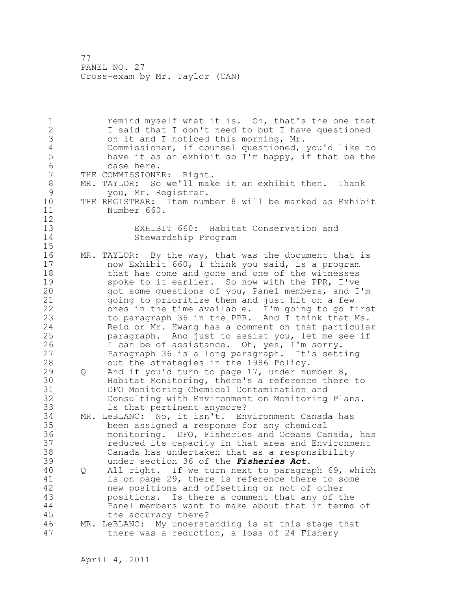1 **1** remind myself what it is. Oh, that's the one that 2 I said that I don't need to but I have questioned 3 on it and I noticed this morning, Mr.<br>4 Commissioner, if counsel questioned, 4 Commissioner, if counsel questioned, you'd like to 5 have it as an exhibit so I'm happy, if that be the 6 case here.<br>7 THE COMMISSIONE THE COMMISSIONER: Right. 8 MR. TAYLOR: So we'll make it an exhibit then. Thank<br>9 vou. Mr. Registrar. 9 you, Mr. Registrar.<br>10 THE REGISTRAR: Item num THE REGISTRAR: Item number 8 will be marked as Exhibit 11 Number 660.  $\begin{array}{c} 12 \\ 13 \end{array}$ EXHIBIT 660: Habitat Conservation and 14 Stewardship Program 15 16 MR. TAYLOR: By the way, that was the document that is 17 now Exhibit 660, I think you said, is a program 18 that has come and gone and one of the witnesses 19 spoke to it earlier. So now with the PPR, I've<br>20 opt some questions of you, Panel members, and I got some questions of you, Panel members, and I'm 21 going to prioritize them and just hit on a few 22 ones in the time available. I'm going to go first 23 to paragraph 36 in the PPR. And I think that Ms. 24 Reid or Mr. Hwang has a comment on that particular 25 paragraph. And just to assist you, let me see if 26 1 can be of assistance. Oh, yes, I'm sorry.<br>27 27 27 21 Paragraph 36 is a long paragraph. It's sett Paragraph 36 is a long paragraph. It's setting 28 out the strategies in the 1986 Policy. 29 Q And if you'd turn to page 17, under number 8, 30 Habitat Monitoring, there's a reference there to<br>31 DFO Monitoring Chemical Contamination and 31 DFO Monitoring Chemical Contamination and<br>32 Consulting with Environment on Monitoring Consulting with Environment on Monitoring Plans. 33 Is that pertinent anymore? 34 MR. LeBLANC: No, it isn't. Environment Canada has 35 been assigned a response for any chemical 36 monitoring. DFO, Fisheries and Oceans Canada, has 37 reduced its capacity in that area and Environment 38 Canada has undertaken that as a responsibility 39 under section 36 of the *Fisheries Act*. 40 Q All right. If we turn next to paragraph 69, which 41 is on page 29, there is reference there to some<br>42 hew positions and offsetting or not of other new positions and offsetting or not of other 43 positions. Is there a comment that any of the 44 Panel members want to make about that in terms of 45 the accuracy there? 46 MR. LeBLANC: My understanding is at this stage that 47 there was a reduction, a loss of 24 Fishery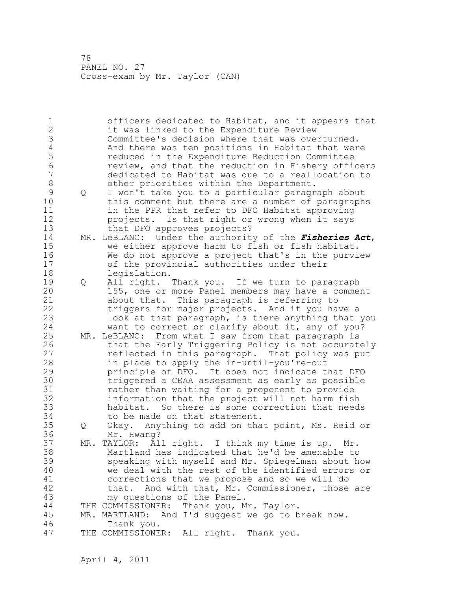1 officers dedicated to Habitat, and it appears that 2 it was linked to the Expenditure Review 3 Committee's decision where that was overturned.<br>4 And there was ten positions in Habitat that wer 4 And there was ten positions in Habitat that were<br>5 The duced in the Expenditure Reduction Committee 5 reduced in the Expenditure Reduction Committee 6 review, and that the reduction in Fishery officers dedicated to Habitat was due to a reallocation to 8 other priorities within the Department. 9 Q I won't take you to a particular paragraph about<br>10 this comment but there are a number of paragraph this comment but there are a number of paragraphs 11 in the PPR that refer to DFO Habitat approving 12 projects. Is that right or wrong when it says 13 that DFO approves projects? 14 MR. LeBLANC: Under the authority of the *Fisheries Act*, 15 we either approve harm to fish or fish habitat. 16 We do not approve a project that's in the purview 17 of the provincial authorities under their 18 legislation. 19 Q All right. Thank you. If we turn to paragraph<br>20 155, one or more Panel members may have a commer 155, one or more Panel members may have a comment 21 about that. This paragraph is referring to 22 triggers for major projects. And if you have a 23 look at that paragraph, is there anything that you 24 want to correct or clarify about it, any of you? 25 MR. LeBLANC: From what I saw from that paragraph is 26 that the Early Triggering Policy is not accurately<br>27 feflected in this paragraph. That policy was put reflected in this paragraph. That policy was put 28 in place to apply the in-until-you're-out 29 principle of DFO. It does not indicate that DFO 30 triggered a CEAA assessment as early as possible<br>31 father than waiting for a proponent to provide rather than waiting for a proponent to provide 32 information that the project will not harm fish 33 habitat. So there is some correction that needs 34 to be made on that statement. 35 Q Okay. Anything to add on that point, Ms. Reid or 36 Mr. Hwang? 37 MR. TAYLOR: All right. I think my time is up. Mr. 38 Martland has indicated that he'd be amenable to 39 speaking with myself and Mr. Spiegelman about how 40 we deal with the rest of the identified errors or 41 corrections that we propose and so we will do<br>42 that. And with that, Mr. Commissioner, those that. And with that, Mr. Commissioner, those are 43 my questions of the Panel. 44 THE COMMISSIONER: Thank you, Mr. Taylor. 45 MR. MARTLAND: And I'd suggest we go to break now. 46 Thank you. 47 THE COMMISSIONER: All right. Thank you.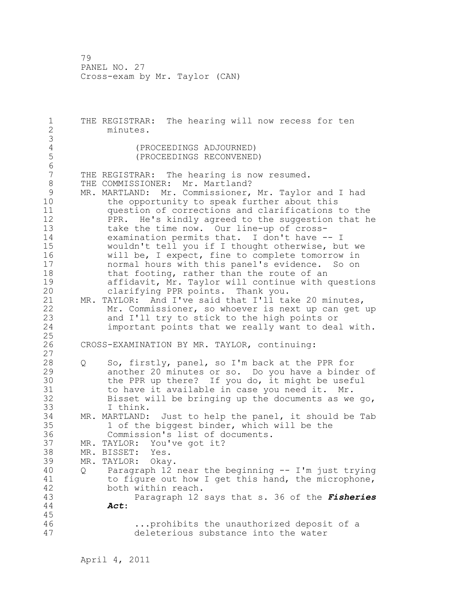1 THE REGISTRAR: The hearing will now recess for ten 2 minutes. 3 4 (PROCEEDINGS ADJOURNED)<br>5 (PROCEEDINGS RECONVENED 5 (PROCEEDINGS RECONVENED) 6 THE REGISTRAR: The hearing is now resumed. 8 THE COMMISSIONER: Mr. Martland?<br>9 MR. MARTLAND: Mr. Commissioner, 9 MR. MARTLAND: Mr. Commissioner, Mr. Taylor and I had<br>10 the opportunity to speak further about this the opportunity to speak further about this 11 question of corrections and clarifications to the 12 PPR. He's kindly agreed to the suggestion that he 13 take the time now. Our line-up of cross-14 examination permits that. I don't have -- I 15 wouldn't tell you if I thought otherwise, but we 16 will be, I expect, fine to complete tomorrow in 17 normal hours with this panel's evidence. So on 18 that footing, rather than the route of an 19 affidavit, Mr. Taylor will continue with questions clarifying PPR points. Thank you. 21 MR. TAYLOR: And I've said that I'll take 20 minutes, 22 Mr. Commissioner, so whoever is next up can get up 23 and I'll try to stick to the high points or<br>24 important points that we really want to dea. important points that we really want to deal with. 25 26 CROSS-EXAMINATION BY MR. TAYLOR, continuing: 27 28 Q So, firstly, panel, so I'm back at the PPR for 29 another 20 minutes or so. Do you have a binder of 30 the PPR up there? If you do, it might be useful<br>31 to have it available in case vou need it. Mr. 31 to have it available in case you need it. Mr.<br>32 Bisset will be bringing up the documents as we Bisset will be bringing up the documents as we go, 33 I think. 34 MR. MARTLAND: Just to help the panel, it should be Tab 35 1 of the biggest binder, which will be the 36 Commission's list of documents. 37 MR. TAYLOR: You've got it? 38 MR. BISSET: Yes. 39 MR. TAYLOR: Okay. 40 Q Paragraph 12 near the beginning -- I'm just trying 41 to figure out how I get this hand, the microphone,<br>42 both within reach. both within reach. 43 Paragraph 12 says that s. 36 of the *Fisheries*  44 *Act*: 45 46 ...prohibits the unauthorized deposit of a 47 deleterious substance into the water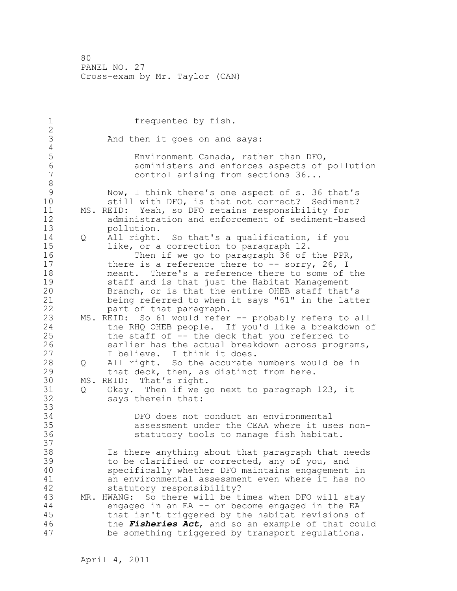| $\mathbf 1$<br>$\mathbf{2}$                        |        | frequented by fish.                                                                                                                                                                                                                                                                                                                                                                                              |
|----------------------------------------------------|--------|------------------------------------------------------------------------------------------------------------------------------------------------------------------------------------------------------------------------------------------------------------------------------------------------------------------------------------------------------------------------------------------------------------------|
| 3<br>$\sqrt{4}$                                    |        | And then it goes on and says:                                                                                                                                                                                                                                                                                                                                                                                    |
| 5<br>$\sqrt{6}$<br>$\boldsymbol{7}$<br>$\,8\,$     |        | Environment Canada, rather than DFO,<br>administers and enforces aspects of pollution<br>control arising from sections 36                                                                                                                                                                                                                                                                                        |
| $\mathcal{G}$<br>10<br>11<br>12                    |        | Now, I think there's one aspect of s. 36 that's<br>still with DFO, is that not correct? Sediment?<br>MS. REID: Yeah, so DFO retains responsibility for<br>administration and enforcement of sediment-based                                                                                                                                                                                                       |
| 13<br>14<br>15<br>16<br>17<br>18<br>19<br>20<br>21 | Q      | pollution.<br>All right. So that's a qualification, if you<br>like, or a correction to paragraph 12.<br>Then if we go to paragraph 36 of the PPR,<br>there is a reference there to $--$ sorry, 26, I<br>meant. There's a reference there to some of the<br>staff and is that just the Habitat Management<br>Branch, or is that the entire OHEB staff that's<br>being referred to when it says "61" in the latter |
| 22<br>23<br>24<br>25<br>26                         |        | part of that paragraph.<br>MS. REID: So 61 would refer -- probably refers to all<br>the RHQ OHEB people. If you'd like a breakdown of<br>the staff of -- the deck that you referred to<br>earlier has the actual breakdown across programs,                                                                                                                                                                      |
| 27<br>28<br>29<br>30<br>31                         | Q<br>Q | I believe. I think it does.<br>All right. So the accurate numbers would be in<br>that deck, then, as distinct from here.<br>MS. REID: That's right.<br>Okay. Then if we go next to paragraph 123, it                                                                                                                                                                                                             |
| 32<br>33<br>34<br>35<br>36                         |        | says therein that:<br>DFO does not conduct an environmental<br>assessment under the CEAA where it uses non-<br>statutory tools to manage fish habitat.                                                                                                                                                                                                                                                           |
| 37<br>38<br>39<br>40<br>41<br>42<br>43             |        | Is there anything about that paragraph that needs<br>to be clarified or corrected, any of you, and<br>specifically whether DFO maintains engagement in<br>an environmental assessment even where it has no<br>statutory responsibility?<br>MR. HWANG: So there will be times when DFO will stay                                                                                                                  |
| 44<br>45<br>46<br>47                               |        | engaged in an EA -- or become engaged in the EA<br>that isn't triggered by the habitat revisions of<br>the Fisheries Act, and so an example of that could<br>be something triggered by transport regulations.                                                                                                                                                                                                    |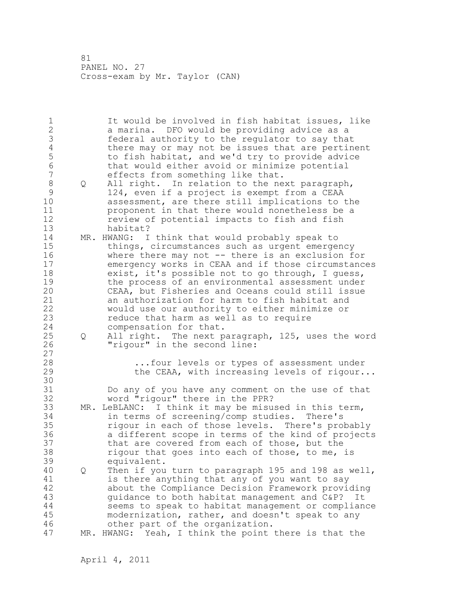| $\mathbf 1$     |   | It would be involved in fish habitat issues, like       |
|-----------------|---|---------------------------------------------------------|
| $\overline{2}$  |   | a marina. DFO would be providing advice as a            |
| $\mathfrak{Z}$  |   | federal authority to the regulator to say that          |
| $\overline{4}$  |   | there may or may not be issues that are pertinent       |
| 5               |   | to fish habitat, and we'd try to provide advice         |
| $6\phantom{1}6$ |   | that would either avoid or minimize potential           |
| $\overline{7}$  |   | effects from something like that.                       |
| $\,8\,$         | Q | All right. In relation to the next paragraph,           |
| $\mathcal{G}$   |   | 124, even if a project is exempt from a CEAA            |
| 10              |   | assessment, are there still implications to the         |
| 11              |   | proponent in that there would nonetheless be a          |
| 12              |   | review of potential impacts to fish and fish            |
| 13              |   | habitat?                                                |
| 14              |   |                                                         |
| 15              |   | MR. HWANG: I think that would probably speak to         |
|                 |   | things, circumstances such as urgent emergency          |
| 16              |   | where there may not -- there is an exclusion for        |
| 17              |   | emergency works in CEAA and if those circumstances      |
| 18              |   | exist, it's possible not to go through, I quess,        |
| 19              |   | the process of an environmental assessment under        |
| 20              |   | CEAA, but Fisheries and Oceans could still issue        |
| 21              |   | an authorization for harm to fish habitat and           |
| 22              |   | would use our authority to either minimize or           |
| 23              |   | reduce that harm as well as to require                  |
| 24              |   | compensation for that.                                  |
| 25              | Q | All right. The next paragraph, 125, uses the word       |
| 26              |   | "rigour" in the second line:                            |
| 27              |   |                                                         |
| 28              |   | four levels or types of assessment under                |
| 29              |   | the CEAA, with increasing levels of rigour              |
| 30              |   |                                                         |
| 31              |   | Do any of you have any comment on the use of that       |
| 32              |   | word "rigour" there in the PPR?                         |
| 33              |   | MR. LeBLANC: I think it may be misused in this term,    |
| 34              |   | in terms of screening/comp studies. There's             |
| 35              |   | rigour in each of those levels. There's probably        |
| 36              |   | a different scope in terms of the kind of projects      |
| 37              |   | that are covered from each of those, but the            |
| 38              |   | rigour that goes into each of those, to me, is          |
| 39              |   | equivalent.                                             |
| 40              | Q | Then if you turn to paragraph 195 and 198 as well,      |
| 41              |   | is there anything that any of you want to say           |
| 42              |   | about the Compliance Decision Framework providing       |
| 43              |   | quidance to both habitat management and C&P?<br>It      |
| 44              |   | seems to speak to habitat management or compliance      |
|                 |   |                                                         |
| 45              |   | modernization, rather, and doesn't speak to any         |
| 46              |   | other part of the organization.                         |
| 47              |   | Yeah, I think the point there is that the<br>MR. HWANG: |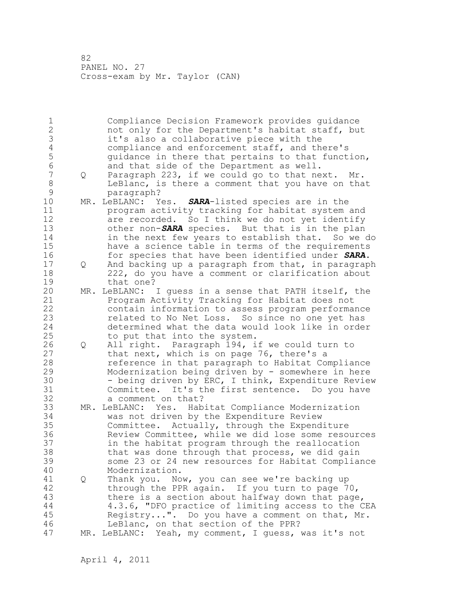1 Compliance Decision Framework provides guidance 2 not only for the Department's habitat staff, but 3 it's also a collaborative piece with the<br>4 compliance and enforcement staff, and the 4 compliance and enforcement staff, and there's<br>5 quidance in there that pertains to that funct 5 5 guidance in there that pertains to that function,<br>6 6 and that side of the Department as well. 6 and that side of the Department as well.<br>7 0 Paragraph 223, if we could go to that ne 7 Q Paragraph 223, if we could go to that next. Mr. 8 LeBlanc, is there a comment that you have on that 9 paragraph?<br>10 MR. LeBLANC: Y 10 MR. LeBLANC: Yes. *SARA*-listed species are in the 11 program activity tracking for habitat system and 12 are recorded. So I think we do not yet identify 13 other non-**SARA** species. But that is in the plan<br>14 in the next few years to establish that. So we in the next few years to establish that. So we do 15 have a science table in terms of the requirements 16 for species that have been identified under *SARA*. 17 Q And backing up a paragraph from that, in paragraph 18 222, do you have a comment or clarification about 19 that one?<br>20 MR. LeBLANC: MR. LeBLANC: I guess in a sense that PATH itself, the 21 Program Activity Tracking for Habitat does not 22 contain information to assess program performance 23 related to No Net Loss. So since no one yet has 24 determined what the data would look like in order 25 to put that into the system. 26 Q All right. Paragraph 194, if we could turn to<br>27 that next, which is on page 76, there's a that next, which is on page 76, there's a 28 reference in that paragraph to Habitat Compliance 29 Modernization being driven by - somewhere in here 30 - being driven by ERC, I think, Expenditure Review<br>31 - Committee. It's the first sentence. Do you have Committee. It's the first sentence. Do you have 32 a comment on that? 33 MR. LeBLANC: Yes. Habitat Compliance Modernization 34 was not driven by the Expenditure Review 35 Committee. Actually, through the Expenditure 36 Review Committee, while we did lose some resources 37 in the habitat program through the reallocation 38 that was done through that process, we did gain 39 some 23 or 24 new resources for Habitat Compliance 40 Modernization. 41 Q Thank you. Now, you can see we're backing up 42 through the PPR again. If you turn to page 70, 43 there is a section about halfway down that page, 44 4.3.6, "DFO practice of limiting access to the CEA 45 Registry...". Do you have a comment on that, Mr. 46 LeBlanc, on that section of the PPR? 47 MR. LeBLANC: Yeah, my comment, I guess, was it's not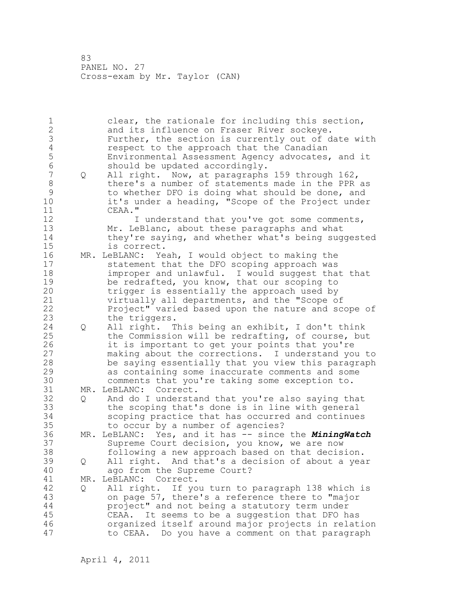1 clear, the rationale for including this section, 2 and its influence on Fraser River sockeye. 3 Further, the section is currently out of date with<br>4 sespect to the approach that the Canadian 4 respect to the approach that the Canadian<br>5 Environmental Assessment Agency advocates, 5 Environmental Assessment Agency advocates, and it 6 should be updated accordingly. 7 Q All right. Now, at paragraphs 159 through 162, 8 there's a number of statements made in the PPR as 9 to whether DFO is doing what should be done, and<br>10 it's under a heading, "Scope of the Project unde: it's under a heading, "Scope of the Project under 11 CEAA." 12 12 I understand that you've got some comments, 13 Mr. LeBlanc, about these paragraphs and what 14 they're saying, and whether what's being suggested 15 is correct. 16 MR. LeBLANC: Yeah, I would object to making the 17 statement that the DFO scoping approach was 18 improper and unlawful. I would suggest that that 19 be redrafted, you know, that our scoping to<br>20 trigger is essentially the approach used by trigger is essentially the approach used by 21 virtually all departments, and the "Scope of 22 Project" varied based upon the nature and scope of 23 the triggers. 24 Q All right. This being an exhibit, I don't think 25 the Commission will be redrafting, of course, but 26 it is important to get your points that you're<br>27 making about the corrections. I understand you making about the corrections. I understand you to 28 be saying essentially that you view this paragraph 29 as containing some inaccurate comments and some 30 comments that you're taking some exception to.<br>31 MR. LeBLANC: Correct. MR. LeBLANC: Correct. 32 Q And do I understand that you're also saying that 33 the scoping that's done is in line with general 34 scoping practice that has occurred and continues 35 to occur by a number of agencies? 36 MR. LeBLANC: Yes, and it has -- since the *MiningWatch* 37 Supreme Court decision, you know, we are now 38 following a new approach based on that decision. 39 Q All right. And that's a decision of about a year 40 ago from the Supreme Court? 41 MR. LeBLANC: Correct.<br>42 0 All right. If yo 42 Q All right. If you turn to paragraph 138 which is 43 on page 57, there's a reference there to "major 44 project" and not being a statutory term under 45 CEAA. It seems to be a suggestion that DFO has 46 organized itself around major projects in relation 47 to CEAA. Do you have a comment on that paragraph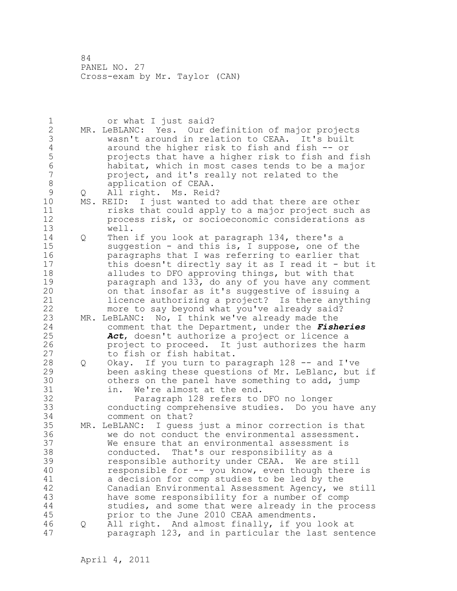1 or what I just said? 2 MR. LeBLANC: Yes. Our definition of major projects 3 wasn't around in relation to CEAA. It's built 4 around the higher risk to fish and fish -- or<br>5 brojects that have a higher risk to fish and 5 projects that have a higher risk to fish and fish 6 habitat, which in most cases tends to be a major project, and it's really not related to the 8 application of CEAA.<br>9 0 All right. Ms. Reid 9 Q All right. Ms. Reid?<br>10 MS. REID: I just wanted t MS. REID: I just wanted to add that there are other 11 risks that could apply to a major project such as 12 process risk, or socioeconomic considerations as 13 well. 14 Q Then if you look at paragraph 134, there's a 15 suggestion - and this is, I suppose, one of the 16 paragraphs that I was referring to earlier that 17 this doesn't directly say it as I read it - but it 18 alludes to DFO approving things, but with that 19 **paragraph and 133, do any of you have any comment**<br>20 **bushed insofar as it's suggestive of issuing a** on that insofar as it's suggestive of issuing a 21 licence authorizing a project? Is there anything 22 more to say beyond what you've already said? 23 MR. LeBLANC: No, I think we've already made the 24 comment that the Department, under the *Fisheries*  25 *Act*, doesn't authorize a project or licence a 26 project to proceed. It just authorizes the harm<br>27 to fish or fish habitat. to fish or fish habitat. 28 Q Okay. If you turn to paragraph 128 -- and I've 29 been asking these questions of Mr. LeBlanc, but if 30 others on the panel have something to add, jump 31 in. We're almost at the end. 31 in. We're almost at the end.<br>32 Paragraph 128 refers to Paragraph 128 refers to DFO no longer 33 conducting comprehensive studies. Do you have any 34 comment on that? 35 MR. LeBLANC: I guess just a minor correction is that 36 we do not conduct the environmental assessment. 37 We ensure that an environmental assessment is 38 conducted. That's our responsibility as a 39 responsible authority under CEAA. We are still 40 responsible for -- you know, even though there is 41 a decision for comp studies to be led by the<br>42 Canadian Environmental Assessment Agency, we Canadian Environmental Assessment Agency, we still 43 have some responsibility for a number of comp 44 studies, and some that were already in the process 45 prior to the June 2010 CEAA amendments. 46 Q All right. And almost finally, if you look at 47 paragraph 123, and in particular the last sentence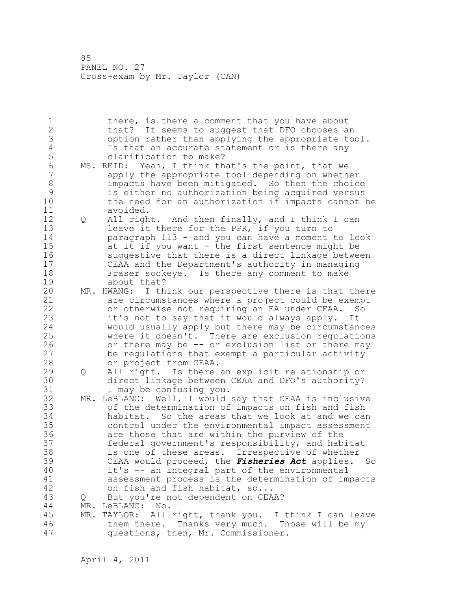1 there, is there a comment that you have about 2 that? It seems to suggest that DFO chooses an 3 3 option rather than applying the appropriate tool.<br>4 5 Is that an accurate statement or is there any 4 Is that an accurate statement or is there any<br>5 clarification to make? 5 clarification to make?<br>6 MS. REID: Yeah, I think th 6 MS. REID: Yeah, I think that's the point, that we<br>7 apply the appropriate tool depending on wheth apply the appropriate tool depending on whether 8 impacts have been mitigated. So then the choice 9 is either no authorization being acquired versus the need for an authorization if impacts cannot be 11 avoided. 12 Q All right. And then finally, and I think I can 13 leave it there for the PPR, if you turn to 14 paragraph 113 - and you can have a moment to look 15 at it if you want - the first sentence might be 16 suggestive that there is a direct linkage between 17 CEAA and the Department's authority in managing 18 Fraser sockeye. Is there any comment to make 19 about that?<br>20 MR. HWANG: I th MR. HWANG: I think our perspective there is that there 21 are circumstances where a project could be exempt 22 or otherwise not requiring an EA under CEAA. So 23 it's not to say that it would always apply. It 24 would usually apply but there may be circumstances 25 where it doesn't. There are exclusion regulations 26 or there may be -- or exclusion list or there may<br>27 be requlations that exempt a particular activity be regulations that exempt a particular activity 28 or project from CEAA. 29 Q All right. Is there an explicit relationship or 30 direct linkage between CEAA and DFO's authority?<br>31 I may be confusing you. I may be confusing you. 32 MR. LeBLANC: Well, I would say that CEAA is inclusive 33 of the determination of impacts on fish and fish 34 habitat. So the areas that we look at and we can 35 control under the environmental impact assessment 36 are those that are within the purview of the 37 federal government's responsibility, and habitat 38 is one of these areas. Irrespective of whether 39 CEAA would proceed, the *Fisheries Act* applies. So 40 it's -- an integral part of the environmental 41 assessment process is the determination of impacts<br>42 on fish and fish habitat, so... on fish and fish habitat, so... 43 Q But you're not dependent on CEAA? 44 MR. LeBLANC: No. 45 MR. TAYLOR: All right, thank you. I think I can leave 46 them there. Thanks very much. Those will be my 47 questions, then, Mr. Commissioner.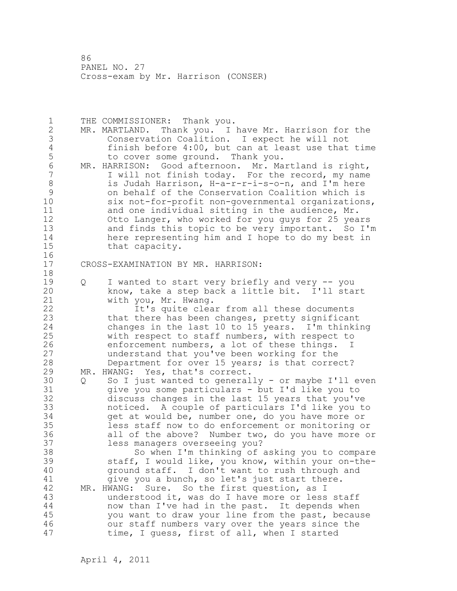1 THE COMMISSIONER: Thank you. 2 MR. MARTLAND. Thank you. I have Mr. Harrison for the 3 Conservation Coalition. I expect he will not 4 finish before 4:00, but can at least use that time<br>5 to cover some ground. Thank you. 5 to cover some ground. Thank you.<br>6 MR. HARRISON: Good afternoon. Mr. Ma 6 MR. HARRISON: Good afternoon. Mr. Martland is right,<br>7 Twill not finish today. For the record. my name I will not finish today. For the record, my name 8 is Judah Harrison, H-a-r-r-i-s-o-n, and I'm here 9 on behalf of the Conservation Coalition which is six not-for-profit non-governmental organizations, 11 and one individual sitting in the audience, Mr. 12 Otto Langer, who worked for you guys for 25 years 13 and finds this topic to be very important. So I'm 14 here representing him and I hope to do my best in 15 that capacity. 16 17 CROSS-EXAMINATION BY MR. HARRISON: 18 19 Q I wanted to start very briefly and very -- you<br>20 know, take a step back a little bit. I'll sta know, take a step back a little bit. I'll start 21 with you, Mr. Hwang. 22 It's quite clear from all these documents 23 that there has been changes, pretty significant 24 changes in the last 10 to 15 years. I'm thinking 25 with respect to staff numbers, with respect to 26 enforcement numbers, a lot of these things. I<br>27 understand that you've been working for the understand that you've been working for the 28 Department for over 15 years; is that correct? 29 MR. HWANG: Yes, that's correct. 30 Q So I just wanted to generally - or maybe I'll even<br>31 aive you some particulars - but I'd like you to give you some particulars - but I'd like you to 32 discuss changes in the last 15 years that you've 33 noticed. A couple of particulars I'd like you to 34 get at would be, number one, do you have more or 35 less staff now to do enforcement or monitoring or 36 all of the above? Number two, do you have more or 37 less managers overseeing you? 38 So when I'm thinking of asking you to compare 39 staff, I would like, you know, within your on-the-40 ground staff. I don't want to rush through and 41 give you a bunch, so let's just start there.<br>42 MR. HWANG: Sure. So the first question, as I MR. HWANG: Sure. So the first question, as I 43 understood it, was do I have more or less staff 44 now than I've had in the past. It depends when 45 you want to draw your line from the past, because 46 our staff numbers vary over the years since the 47 time, I guess, first of all, when I started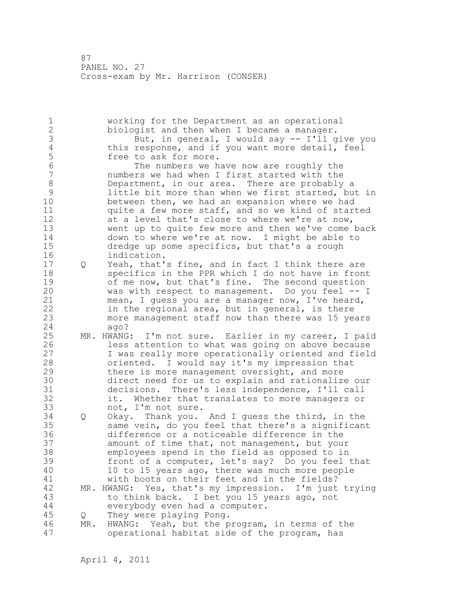1 working for the Department as an operational 2 biologist and then when I became a manager. 3 But, in general, I would say -- I'll give you<br>4 this response, and if you want more detail, feel 4 this response, and if you want more detail, feel<br>5 free to ask for more. 5 free to ask for more.<br>6 free numbers we h 6 The numbers we have now are roughly the<br>7 mumbers we had when I first started with the numbers we had when I first started with the 8 Department, in our area. There are probably a<br>9 little bit more than when we first started, bu 9 little bit more than when we first started, but in<br>10 between then, we had an expansion where we had between then, we had an expansion where we had 11 quite a few more staff, and so we kind of started 12 at a level that's close to where we're at now, 13 went up to quite few more and then we've come back 14 down to where we're at now. I might be able to 15 dredge up some specifics, but that's a rough 16 indication. 17 Q Yeah, that's fine, and in fact I think there are 18 specifics in the PPR which I do not have in front 19 of me now, but that's fine. The second question<br>20 was with respect to management. Do you feel -was with respect to management. Do you feel  $-$ - I 21 mean, I guess you are a manager now, I've heard, 22 in the regional area, but in general, is there 23 more management staff now than there was 15 years 24 ago? 25 MR. HWANG: I'm not sure. Earlier in my career, I paid 26 less attention to what was going on above because<br>27 I was really more operationally oriented and field I was really more operationally oriented and field 28 oriented. I would say it's my impression that 29 there is more management oversight, and more 30 direct need for us to explain and rationalize our 31 decisions. There's less independence, I'll call it. Whether that translates to more managers or 33 not, I'm not sure. 34 Q Okay. Thank you. And I guess the third, in the 35 same vein, do you feel that there's a significant 36 difference or a noticeable difference in the 37 amount of time that, not management, but your 38 employees spend in the field as opposed to in 39 front of a computer, let's say? Do you feel that 40 10 to 15 years ago, there was much more people 41 with boots on their feet and in the fields?<br>42 MR. HWANG: Yes, that's my impression. I'm just MR. HWANG: Yes, that's my impression. I'm just trying 43 to think back. I bet you 15 years ago, not 44 everybody even had a computer. 45 Q They were playing Pong. 46 MR. HWANG: Yeah, but the program, in terms of the 47 operational habitat side of the program, has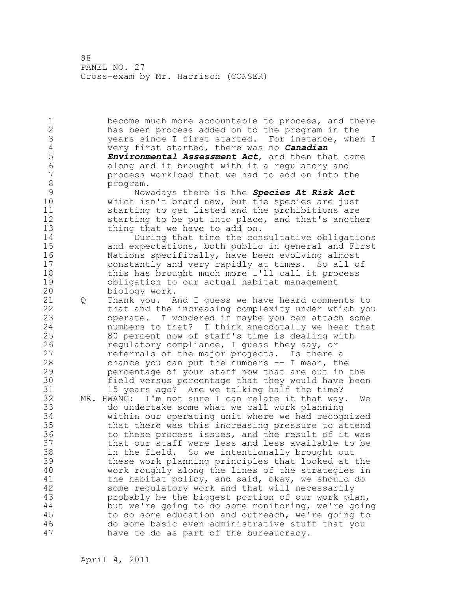1 become much more accountable to process, and there 2 has been process added on to the program in the 3 years since I first started. For instance, when I<br>4 very first started, there was no **Canadian** 4 very first started, there was no *Canadian*  5 *Environmental Assessment Act*, and then that came 6 along and it brought with it a regulatory and process workload that we had to add on into the 8 program.<br>9 Now 9 Nowadays there is the *Species At Risk Act* which isn't brand new, but the species are just 11 starting to get listed and the prohibitions are 12 starting to be put into place, and that's another 13 thing that we have to add on. 14 During that time the consultative obligations 15 and expectations, both public in general and First 16 Nations specifically, have been evolving almost 17 constantly and very rapidly at times. So all of 18 this has brought much more I'll call it process 19 obligation to our actual habitat management<br>20 biology work. biology work. 21 Q Thank you. And I guess we have heard comments to 22 that and the increasing complexity under which you 23 operate. I wondered if maybe you can attach some 24 numbers to that? I think anecdotally we hear that 25 80 percent now of staff's time is dealing with 26 regulatory compliance, I guess they say, or<br>27 referrals of the major projects. Is there referrals of the major projects. Is there a 28 chance you can put the numbers -- I mean, the 29 percentage of your staff now that are out in the 30 field versus percentage that they would have been 15 years ago? Are we talking half the time? 32 MR. HWANG: I'm not sure I can relate it that way. We 33 do undertake some what we call work planning 34 within our operating unit where we had recognized 35 that there was this increasing pressure to attend 36 to these process issues, and the result of it was 37 that our staff were less and less available to be 38 in the field. So we intentionally brought out 39 these work planning principles that looked at the 40 work roughly along the lines of the strategies in 41 the habitat policy, and said, okay, we should do<br>42 some requlatory work and that will necessarily some regulatory work and that will necessarily 43 probably be the biggest portion of our work plan, 44 but we're going to do some monitoring, we're going 45 to do some education and outreach, we're going to 46 do some basic even administrative stuff that you 47 have to do as part of the bureaucracy.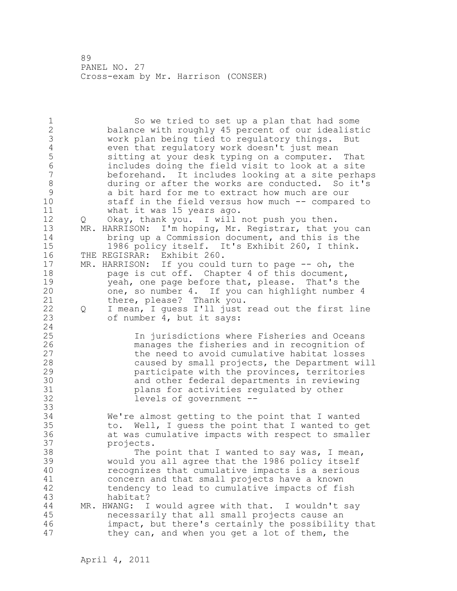1 So we tried to set up a plan that had some 2 balance with roughly 45 percent of our idealistic 3 work plan being tied to regulatory things. But<br>4 even that regulatory work doesn't just mean 4 even that regulatory work doesn't just mean<br>5 sitting at your desk typing on a computer. 5 sitting at your desk typing on a computer. That<br>6 includes doing the field visit to look at a site 6 includes doing the field visit to look at a site beforehand. It includes looking at a site perhaps 8 during or after the works are conducted. So it's 9 a bit hard for me to extract how much are our<br>10 staff in the field versus how much -- compare staff in the field versus how much -- compared to 11 what it was 15 years ago. 12 Q Okay, thank you. I will not push you then. 13 MR. HARRISON: I'm hoping, Mr. Registrar, that you can<br>14 bring up a Commission document, and this is the bring up a Commission document, and this is the 15 1986 policy itself. It's Exhibit 260, I think. 16 THE REGISRAR: Exhibit 260. 17 MR. HARRISON: If you could turn to page -- oh, the 18 page is cut off. Chapter 4 of this document, 19 yeah, one page before that, please. That's the<br>20 one, so number 4. If you can highlight number one, so number 4. If you can highlight number 4 21 there, please? Thank you. 22 Q I mean, I guess I'll just read out the first line 23 of number 4, but it says: 24 25 In jurisdictions where Fisheries and Oceans 26 manages the fisheries and in recognition of<br>27 the need to avoid cumulative habitat losses the need to avoid cumulative habitat losses 28 caused by small projects, the Department will 29 participate with the provinces, territories 30 and other federal departments in reviewing<br>31 blans for activities regulated by other 31 blans for activities regulated by other<br>32 levels of government -levels of government --33 34 We're almost getting to the point that I wanted 35 to. Well, I guess the point that I wanted to get 36 at was cumulative impacts with respect to smaller 37 projects. 38 The point that I wanted to say was, I mean, 39 would you all agree that the 1986 policy itself 40 recognizes that cumulative impacts is a serious 41 concern and that small projects have a known<br>42 tendency to lead to cumulative impacts of fi tendency to lead to cumulative impacts of fish 43 habitat? 44 MR. HWANG: I would agree with that. I wouldn't say 45 necessarily that all small projects cause an 46 impact, but there's certainly the possibility that 47 they can, and when you get a lot of them, the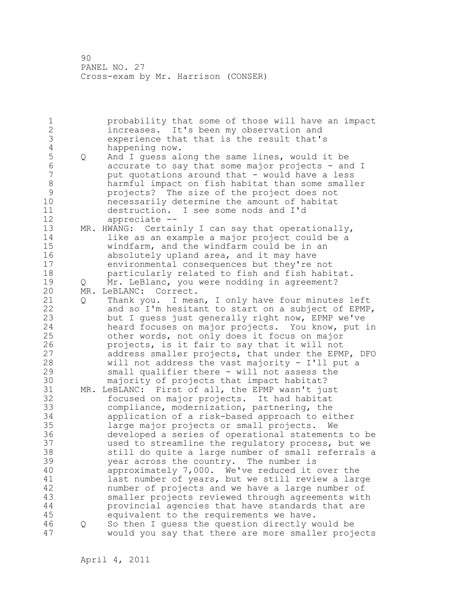1 probability that some of those will have an impact 2 increases. It's been my observation and 3 experience that that is the result that's<br>4 happening now. 4 happening now.<br>5 Q And I quess al 5 Q and I guess along the same lines, would it be<br>6 accurate to say that some major projects - an 6 accurate to say that some major projects - and I put quotations around that - would have a less 8 harmful impact on fish habitat than some smaller<br>9 projects? The size of the project does not 9 projects? The size of the project does not necessarily determine the amount of habitat 11 destruction. I see some nods and I'd 12 appreciate -- 13 MR. HWANG: Certainly I can say that operationally, 14 like as an example a major project could be a 15 windfarm, and the windfarm could be in an 16 **absolutely upland area, and it may have** 17 environmental consequences but they're not 18 particularly related to fish and fish habitat. 19 Q Mr. LeBlanc, you were nodding in agreement?<br>20 MR. LeBLANC: Correct. MR. LeBLANC: Correct. 21 Q Thank you. I mean, I only have four minutes left 22 and so I'm hesitant to start on a subject of EPMP, 23 but I guess just generally right now, EPMP we've 24 heard focuses on major projects. You know, put in 25 other words, not only does it focus on major 26 projects, is it fair to say that it will not<br>27 address smaller projects, that under the EPM address smaller projects, that under the EPMP, DFO 28 will not address the vast majority - I'll put a 29 small qualifier there - will not assess the 30 majority of projects that impact habitat?<br>31 MR. LeBLANC: First of all, the EPMP wasn't ju MR. LeBLANC: First of all, the EPMP wasn't just 32 focused on major projects. It had habitat 33 compliance, modernization, partnering, the 34 application of a risk-based approach to either 35 large major projects or small projects. We 36 developed a series of operational statements to be 37 used to streamline the regulatory process, but we 38 still do quite a large number of small referrals a 39 year across the country. The number is 40 approximately 7,000. We've reduced it over the 41 last number of years, but we still review a large<br>42 mumber of projects and we have a large number of number of projects and we have a large number of 43 smaller projects reviewed through agreements with 44 provincial agencies that have standards that are 45 equivalent to the requirements we have. 46 Q So then I guess the question directly would be 47 would you say that there are more smaller projects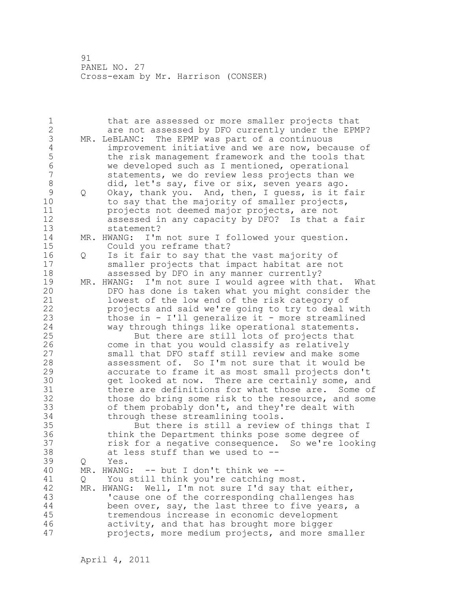1 that are assessed or more smaller projects that 2 are not assessed by DFO currently under the EPMP? 3 MR. LeBLANC: The EPMP was part of a continuous<br>4 improvement initiative and we are now, bec. 4 improvement initiative and we are now, because of<br>5 the risk management framework and the tools that 5 the risk management framework and the tools that<br>6 we developed such as I mentioned, operational 6 we developed such as I mentioned, operational statements, we do review less projects than we 8 did, let's say, five or six, seven years ago. 9 Q Okay, thank you. And, then, I guess, is it fair<br>10 to sav that the maiority of smaller projects. to say that the majority of smaller projects, 11 projects not deemed major projects, are not 12 assessed in any capacity by DFO? Is that a fair 13 statement? 14 MR. HWANG: I'm not sure I followed your question. 15 Could you reframe that? 16 Q Is it fair to say that the vast majority of 17 smaller projects that impact habitat are not 18 **assessed by DFO in any manner currently?** 19 MR. HWANG: I'm not sure I would agree with that. What<br>20 DFO has done is taken what you might consider the DFO has done is taken what you might consider the 21 lowest of the low end of the risk category of 22 projects and said we're going to try to deal with 23 those in - I'll generalize it - more streamlined 24 way through things like operational statements. 25 But there are still lots of projects that 26 come in that you would classify as relatively<br>27 small that DFO staff still review and make so small that DFO staff still review and make some 28 assessment of. So I'm not sure that it would be 29 accurate to frame it as most small projects don't 30 9et looked at now. There are certainly some, and<br>31 there are definitions for what those are. Some of there are definitions for what those are. Some of 32 those do bring some risk to the resource, and some 33 of them probably don't, and they're dealt with 34 through these streamlining tools. 35 But there is still a review of things that I 36 think the Department thinks pose some degree of 37 risk for a negative consequence. So we're looking 38 at less stuff than we used to -- 39 Q Yes. 40 MR. HWANG: -- but I don't think we -- 41 Q You still think you're catching most.<br>42 MR. HWANG: Well, I'm not sure I'd sav tha MR. HWANG: Well, I'm not sure I'd say that either, 43 'cause one of the corresponding challenges has 44 been over, say, the last three to five years, a 45 tremendous increase in economic development 46 activity, and that has brought more bigger 47 projects, more medium projects, and more smaller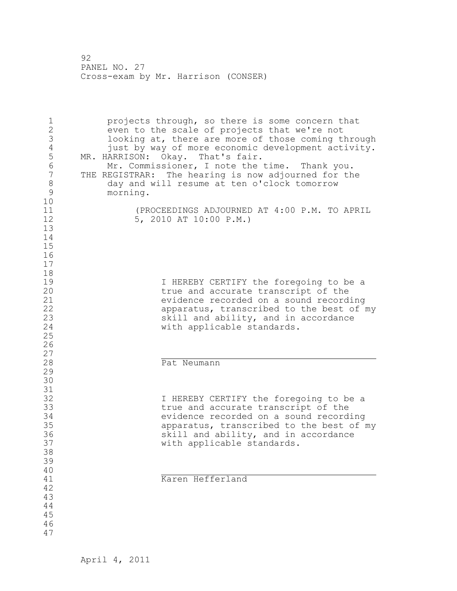1 projects through, so there is some concern that 2 even to the scale of projects that we're not 3 looking at, there are more of those coming through<br>4 iust by way of more economic development activity. 4 just by way of more economic development activity.<br>5 MR. HARRISON: Okay. That's fair. 5 MR. HARRISON: Okay. That's fair. 6 Mr. Commissioner, I note the time. Thank you. 7 THE REGISTRAR: The hearing is now adjourned for the 8 day and will resume at ten o'clock tomorrow<br>9 morning. 9 morning.  $\begin{smallmatrix}1&0\1&1\end{smallmatrix}$ 11 (PROCEEDINGS ADJOURNED AT 4:00 P.M. TO APRIL 12 5, 2010 AT 10:00 P.M.) 13 14 15 16 17 18 19 19 I HEREBY CERTIFY the foregoing to be a<br>20 120 11 20 true and accurate transcript of the 21 evidence recorded on a sound recording<br>22 apparatus, transcribed to the best of 1 apparatus, transcribed to the best of my 23 skill and ability, and in accordance 24 with applicable standards. 25 26  $\begin{array}{c} 27 \\ 28 \end{array}$ Pat Neumann 29 30 31<br>32 32 I HEREBY CERTIFY the foregoing to be a<br>33 true and accurate transcript of the 33 true and accurate transcript of the evidence recorded on a sound recording 35 apparatus, transcribed to the best of my 36 36 skill and ability, and in accordance<br>37 settled applicable standards. with applicable standards. 38 39 40 41 Karen Hefferland 42 43 44 45 46 47